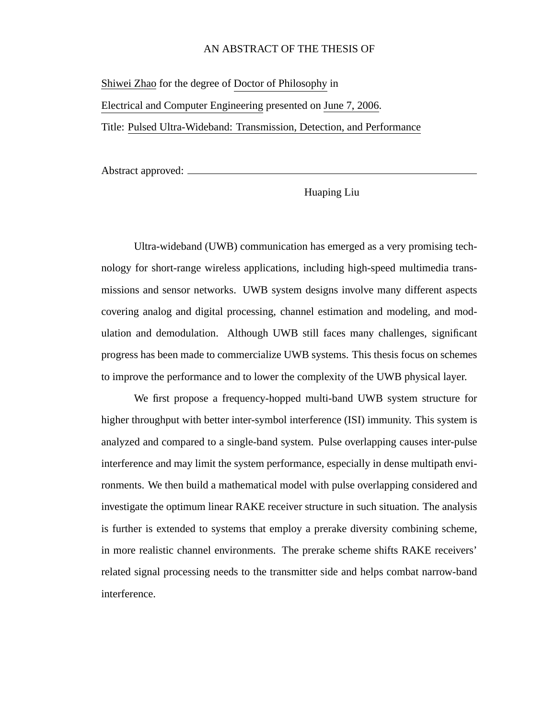### AN ABSTRACT OF THE THESIS OF

Shiwei Zhao for the degree of Doctor of Philosophy in Electrical and Computer Engineering presented on June 7, 2006. Title: Pulsed Ultra-Wideband: Transmission, Detection, and Performance

Abstract approved:

Huaping Liu

Ultra-wideband (UWB) communication has emerged as a very promising technology for short-range wireless applications, including high-speed multimedia transmissions and sensor networks. UWB system designs involve many different aspects covering analog and digital processing, channel estimation and modeling, and modulation and demodulation. Although UWB still faces many challenges, significant progress has been made to commercialize UWB systems. This thesis focus on schemes to improve the performance and to lower the complexity of the UWB physical layer.

We first propose a frequency-hopped multi-band UWB system structure for higher throughput with better inter-symbol interference (ISI) immunity. This system is analyzed and compared to a single-band system. Pulse overlapping causes inter-pulse interference and may limit the system performance, especially in dense multipath environments. We then build a mathematical model with pulse overlapping considered and investigate the optimum linear RAKE receiver structure in such situation. The analysis is further is extended to systems that employ a prerake diversity combining scheme, in more realistic channel environments. The prerake scheme shifts RAKE receivers' related signal processing needs to the transmitter side and helps combat narrow-band interference.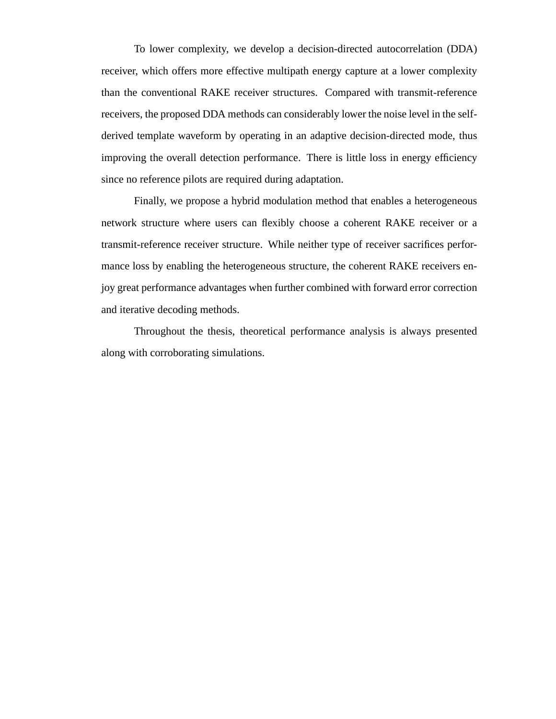To lower complexity, we develop a decision-directed autocorrelation (DDA) receiver, which offers more effective multipath energy capture at a lower complexity than the conventional RAKE receiver structures. Compared with transmit-reference receivers, the proposed DDA methods can considerably lower the noise level in the selfderived template waveform by operating in an adaptive decision-directed mode, thus improving the overall detection performance. There is little loss in energy efficiency since no reference pilots are required during adaptation.

Finally, we propose a hybrid modulation method that enables a heterogeneous network structure where users can flexibly choose a coherent RAKE receiver or a transmit-reference receiver structure. While neither type of receiver sacrifices performance loss by enabling the heterogeneous structure, the coherent RAKE receivers enjoy great performance advantages when further combined with forward error correction and iterative decoding methods.

Throughout the thesis, theoretical performance analysis is always presented along with corroborating simulations.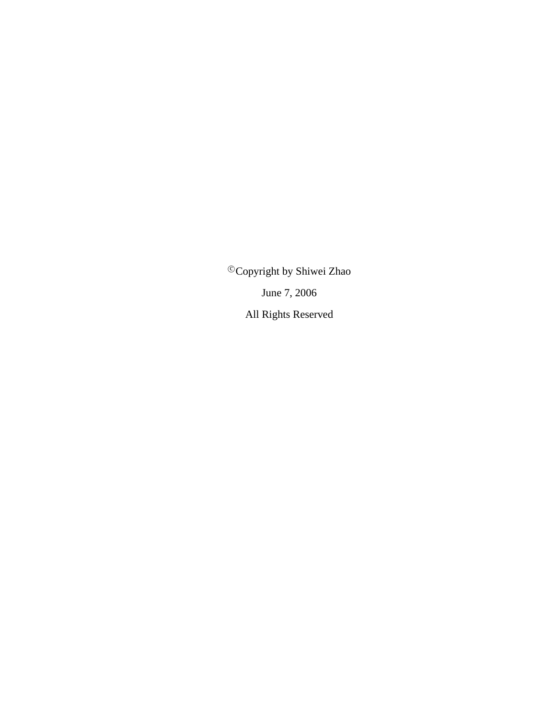$^\copyright$  Copyright by Shiwei Zhao June 7, 2006 All Rights Reserved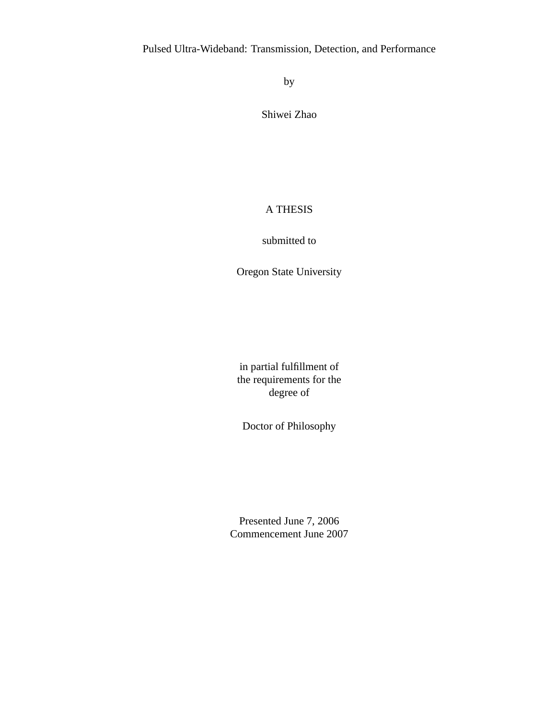by

Shiwei Zhao

# A THESIS

# submitted to

Oregon State University

in partial fulfillment of the requirements for the degree of

Doctor of Philosophy

Presented June 7, 2006 Commencement June 2007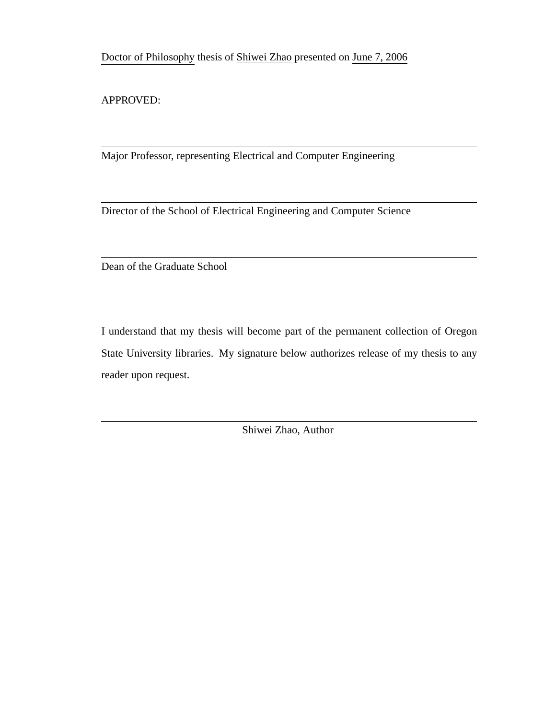Doctor of Philosophy thesis of Shiwei Zhao presented on June 7, 2006

APPROVED:

Major Professor, representing Electrical and Computer Engineering

Director of the School of Electrical Engineering and Computer Science

Dean of the Graduate School

I understand that my thesis will become part of the permanent collection of Oregon State University libraries. My signature below authorizes release of my thesis to any reader upon request.

Shiwei Zhao, Author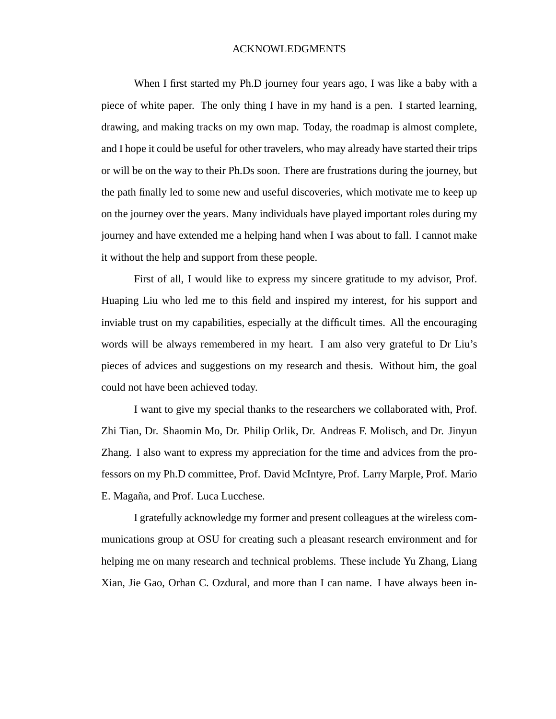### ACKNOWLEDGMENTS

When I first started my Ph.D journey four years ago, I was like a baby with a piece of white paper. The only thing I have in my hand is a pen. I started learning, drawing, and making tracks on my own map. Today, the roadmap is almost complete, and I hope it could be useful for other travelers, who may already have started their trips or will be on the way to their Ph.Ds soon. There are frustrations during the journey, but the path finally led to some new and useful discoveries, which motivate me to keep up on the journey over the years. Many individuals have played important roles during my journey and have extended me a helping hand when I was about to fall. I cannot make it without the help and support from these people.

First of all, I would like to express my sincere gratitude to my advisor, Prof. Huaping Liu who led me to this field and inspired my interest, for his support and inviable trust on my capabilities, especially at the difficult times. All the encouraging words will be always remembered in my heart. I am also very grateful to Dr Liu's pieces of advices and suggestions on my research and thesis. Without him, the goal could not have been achieved today.

I want to give my special thanks to the researchers we collaborated with, Prof. Zhi Tian, Dr. Shaomin Mo, Dr. Philip Orlik, Dr. Andreas F. Molisch, and Dr. Jinyun Zhang. I also want to express my appreciation for the time and advices from the professors on my Ph.D committee, Prof. David McIntyre, Prof. Larry Marple, Prof. Mario E. Magaña, and Prof. Luca Lucchese.

I gratefully acknowledge my former and present colleagues at the wireless communications group at OSU for creating such a pleasant research environment and for helping me on many research and technical problems. These include Yu Zhang, Liang Xian, Jie Gao, Orhan C. Ozdural, and more than I can name. I have always been in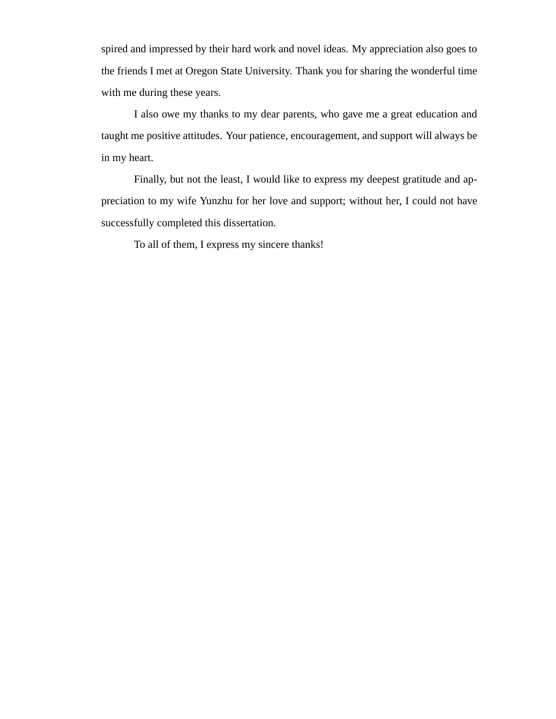spired and impressed by their hard work and novel ideas. My appreciation also goes to the friends I met at Oregon State University. Thank you for sharing the wonderful time with me during these years.

I also owe my thanks to my dear parents, who gave me a great education and taught me positive attitudes. Your patience, encouragement, and support will always be in my heart.

Finally, but not the least, I would like to express my deepest gratitude and appreciation to my wife Yunzhu for her love and support; without her, I could not have successfully completed this dissertation.

To all of them, I express my sincere thanks!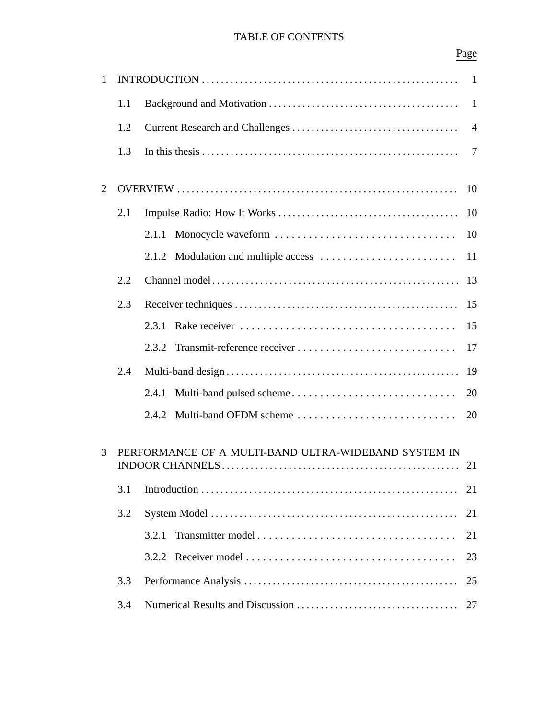# TABLE OF CONTENTS

# Page

| $\mathbf{1}$ |     | 1                                                    |                |
|--------------|-----|------------------------------------------------------|----------------|
|              | 1.1 |                                                      | 1              |
|              | 1.2 |                                                      | $\overline{4}$ |
|              | 1.3 |                                                      | 7              |
| 2            |     |                                                      | 10             |
|              | 2.1 |                                                      | 10             |
|              |     | Monocycle waveform<br>2.1.1                          | 10             |
|              |     | 2.1.2                                                | 11             |
|              | 2.2 |                                                      | 13             |
|              | 2.3 |                                                      | 15             |
|              |     | 2.3.1                                                | 15             |
|              |     | 2.3.2                                                | 17             |
|              | 2.4 |                                                      | 19             |
|              |     | 2.4.1                                                | 20             |
|              |     | Multi-band OFDM scheme<br>2.4.2                      | 20             |
| 3            |     | PERFORMANCE OF A MULTI-BAND ULTRA-WIDEBAND SYSTEM IN |                |
|              | 3.1 |                                                      | 21             |
|              | 3.2 |                                                      | 21             |
|              |     | 3.2.1                                                | 21             |
|              |     | 3.2.2                                                | 23             |
|              | 3.3 |                                                      | 25             |
|              | 3.4 |                                                      | 27             |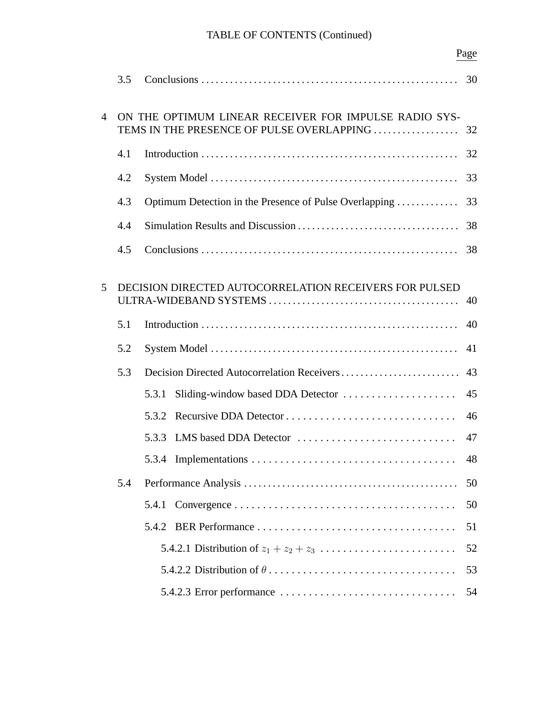# TABLE OF CONTENTS (Continued)

|                | 3.5 |                                                                                                    | 30 |
|----------------|-----|----------------------------------------------------------------------------------------------------|----|
| $\overline{4}$ |     | ON THE OPTIMUM LINEAR RECEIVER FOR IMPULSE RADIO SYS-<br>TEMS IN THE PRESENCE OF PULSE OVERLAPPING | 32 |
|                | 4.1 |                                                                                                    | 32 |
|                | 4.2 |                                                                                                    | 33 |
|                | 4.3 | Optimum Detection in the Presence of Pulse Overlapping                                             | 33 |
|                | 4.4 |                                                                                                    | 38 |
|                | 4.5 |                                                                                                    | 38 |
| 5              |     | DECISION DIRECTED AUTOCORRELATION RECEIVERS FOR PULSED                                             | 40 |
|                | 5.1 |                                                                                                    | 40 |
|                | 5.2 |                                                                                                    | 41 |
|                | 5.3 |                                                                                                    | 43 |
|                |     | Sliding-window based DDA Detector<br>5.3.1                                                         | 45 |
|                |     | 5.3.2                                                                                              | 46 |
|                |     | 5.3.3<br>LMS based DDA Detector                                                                    | 47 |
|                |     |                                                                                                    | 48 |
|                | 5.4 |                                                                                                    | 50 |
|                |     | 5.4.1                                                                                              | 50 |
|                |     | 5.4.2                                                                                              | 51 |
|                |     |                                                                                                    | 52 |
|                |     |                                                                                                    | 53 |
|                |     | 5.4.2.3 Error performance                                                                          | 54 |

Page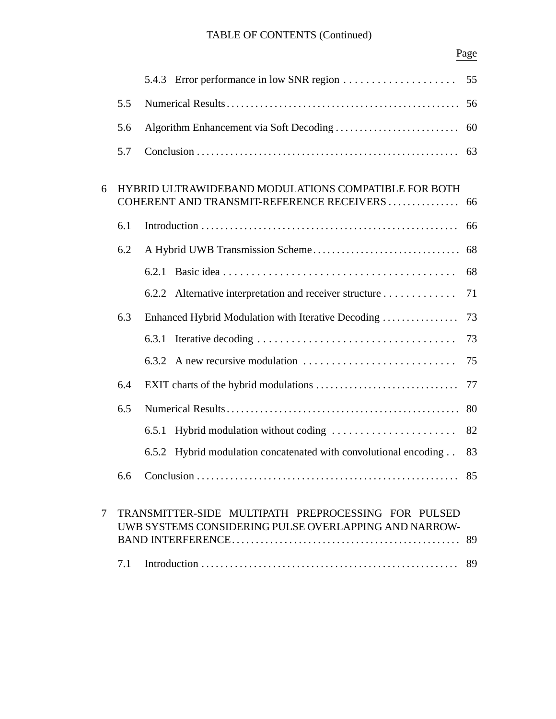# TABLE OF CONTENTS (Continued)

|   |     | 5.4.3 Error performance in low SNR region                                                                    | 55 |
|---|-----|--------------------------------------------------------------------------------------------------------------|----|
|   | 5.5 |                                                                                                              | 56 |
|   | 5.6 |                                                                                                              | 60 |
|   | 5.7 |                                                                                                              | 63 |
| 6 |     | <b>HYBRID ULTRAWIDEBAND MODULATIONS COMPATIBLE FOR BOTH</b><br>COHERENT AND TRANSMIT-REFERENCE RECEIVERS     | 66 |
|   | 6.1 |                                                                                                              | 66 |
|   | 6.2 |                                                                                                              | 68 |
|   |     | 6.2.1                                                                                                        | 68 |
|   |     | Alternative interpretation and receiver structure<br>6.2.2                                                   | 71 |
|   | 6.3 | Enhanced Hybrid Modulation with Iterative Decoding                                                           | 73 |
|   |     | 6.3.1                                                                                                        | 73 |
|   |     | 6.3.2                                                                                                        | 75 |
|   | 6.4 |                                                                                                              | 77 |
|   | 6.5 |                                                                                                              | 80 |
|   |     | 6.5.1                                                                                                        | 82 |
|   |     | 6.5.2 Hybrid modulation concatenated with convolutional encoding                                             | 83 |
|   | 6.6 |                                                                                                              |    |
| 7 |     | TRANSMITTER-SIDE MULTIPATH PREPROCESSING FOR PULSED<br>UWB SYSTEMS CONSIDERING PULSE OVERLAPPING AND NARROW- |    |
|   | 7.1 |                                                                                                              | 89 |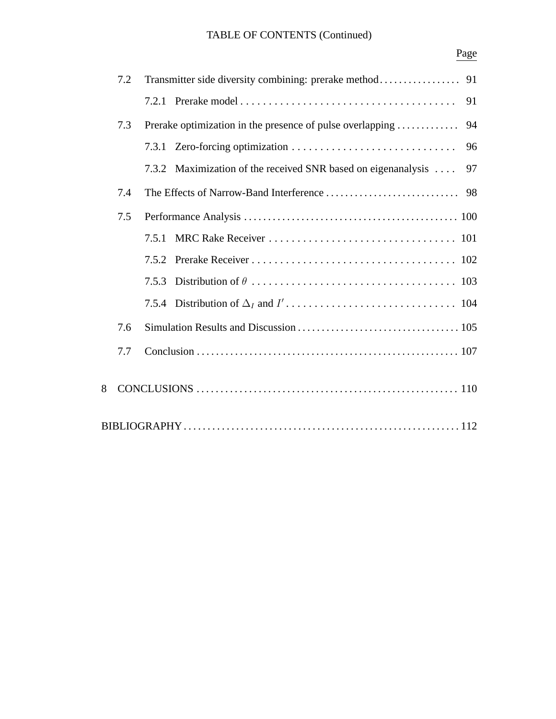# TABLE OF CONTENTS (Continued)

# Page

| 7.2 |     |                                                                     |
|-----|-----|---------------------------------------------------------------------|
|     |     | 91                                                                  |
|     | 7.3 | Prerake optimization in the presence of pulse overlapping<br>94     |
|     |     | 96                                                                  |
|     |     | 7.3.2 Maximization of the received SNR based on eigenanalysis<br>97 |
|     | 7.4 |                                                                     |
| 7.5 |     |                                                                     |
|     |     | 7.5.1                                                               |
|     |     |                                                                     |
|     |     |                                                                     |
|     |     |                                                                     |
|     | 7.6 |                                                                     |
|     | 7.7 |                                                                     |
| 8   |     |                                                                     |
|     |     |                                                                     |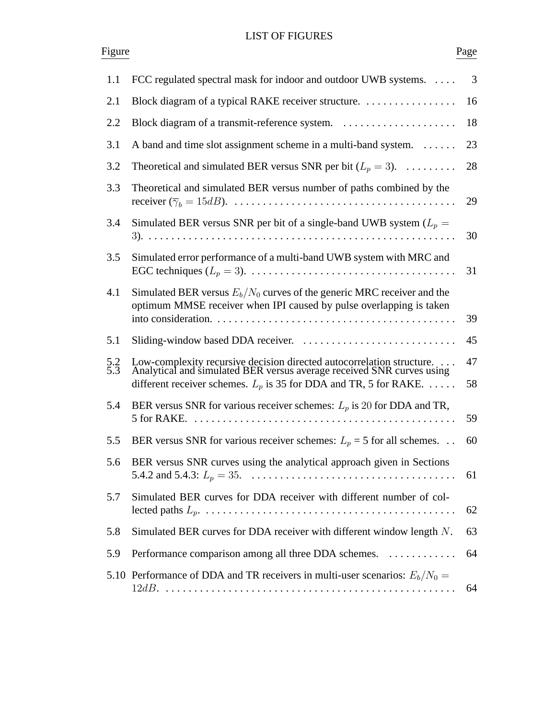# LIST OF FIGURES

### Figure Page

| 1.1               | FCC regulated spectral mask for indoor and outdoor UWB systems.                                                                                                                                                    | 3        |
|-------------------|--------------------------------------------------------------------------------------------------------------------------------------------------------------------------------------------------------------------|----------|
| 2.1               | Block diagram of a typical RAKE receiver structure.                                                                                                                                                                | 16       |
| 2.2               |                                                                                                                                                                                                                    | 18       |
| 3.1               | A band and time slot assignment scheme in a multi-band system.                                                                                                                                                     | 23       |
| 3.2               | Theoretical and simulated BER versus SNR per bit $(L_p = 3)$ .                                                                                                                                                     | 28       |
| 3.3               | Theoretical and simulated BER versus number of paths combined by the                                                                                                                                               | 29       |
| 3.4               | Simulated BER versus SNR per bit of a single-band UWB system ( $L_p =$                                                                                                                                             | 30       |
| 3.5               | Simulated error performance of a multi-band UWB system with MRC and                                                                                                                                                | 31       |
| 4.1               | Simulated BER versus $E_b/N_0$ curves of the generic MRC receiver and the<br>optimum MMSE receiver when IPI caused by pulse overlapping is taken                                                                   | 39       |
| 5.1               |                                                                                                                                                                                                                    | 45       |
| $\frac{5.2}{5.3}$ | Low-complexity recursive decision directed autocorrelation structure. Analytical and simulated BER versus average received SNR curves using<br>different receiver schemes. $L_p$ is 35 for DDA and TR, 5 for RAKE. | 47<br>58 |
| 5.4               | BER versus SNR for various receiver schemes: $L_p$ is 20 for DDA and TR,                                                                                                                                           | 59       |
| 5.5               | BER versus SNR for various receiver schemes: $L_p = 5$ for all schemes                                                                                                                                             | 60       |
| 5.6               | BER versus SNR curves using the analytical approach given in Sections                                                                                                                                              |          |
| 5.7               | Simulated BER curves for DDA receiver with different number of col-                                                                                                                                                | 62       |
| 5.8               | Simulated BER curves for DDA receiver with different window length $N$ .                                                                                                                                           | 63       |
| 5.9               | Performance comparison among all three DDA schemes.                                                                                                                                                                | 64       |
|                   | 5.10 Performance of DDA and TR receivers in multi-user scenarios: $E_b/N_0 =$                                                                                                                                      | 64       |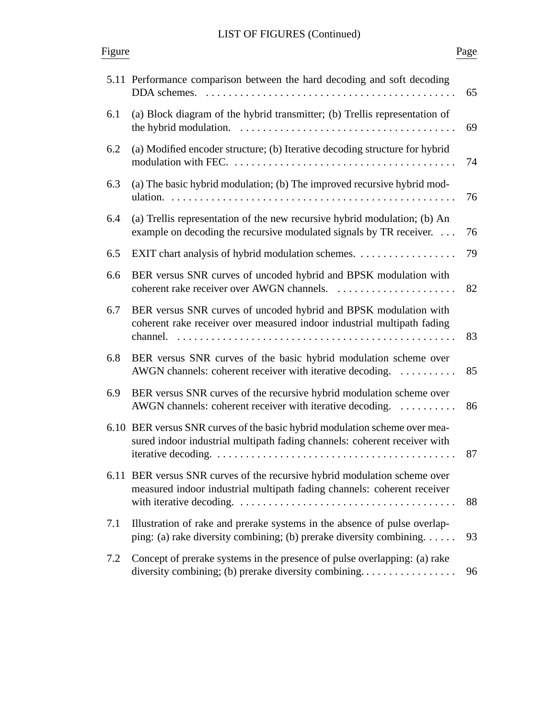# LIST OF FIGURES (Continued)

| Figure |                                                                                                                                                                                     | Page |
|--------|-------------------------------------------------------------------------------------------------------------------------------------------------------------------------------------|------|
|        | 5.11 Performance comparison between the hard decoding and soft decoding                                                                                                             | 65   |
| 6.1    | (a) Block diagram of the hybrid transmitter; (b) Trellis representation of<br>the hybrid modulation. $\ldots \ldots \ldots \ldots \ldots \ldots \ldots \ldots \ldots \ldots \ldots$ | 69   |
| 6.2    | (a) Modified encoder structure; (b) Iterative decoding structure for hybrid                                                                                                         | 74   |
| 6.3    | (a) The basic hybrid modulation; (b) The improved recursive hybrid mod-                                                                                                             | 76   |
| 6.4    | (a) Trellis representation of the new recursive hybrid modulation; (b) An<br>example on decoding the recursive modulated signals by TR receiver.                                    | 76   |
| 6.5    | EXIT chart analysis of hybrid modulation schemes.                                                                                                                                   | 79   |
| 6.6    | BER versus SNR curves of uncoded hybrid and BPSK modulation with                                                                                                                    | 82   |
| 6.7    | BER versus SNR curves of uncoded hybrid and BPSK modulation with<br>coherent rake receiver over measured indoor industrial multipath fading                                         | 83   |
| 6.8    | BER versus SNR curves of the basic hybrid modulation scheme over<br>AWGN channels: coherent receiver with iterative decoding.                                                       | 85   |
| 6.9    | BER versus SNR curves of the recursive hybrid modulation scheme over<br>AWGN channels: coherent receiver with iterative decoding.                                                   | 86   |
|        | 6.10 BER versus SNR curves of the basic hybrid modulation scheme over mea-<br>sured indoor industrial multipath fading channels: coherent receiver with                             | 87   |
|        | 6.11 BER versus SNR curves of the recursive hybrid modulation scheme over<br>measured indoor industrial multipath fading channels: coherent receiver                                | 88   |
| 7.1    | Illustration of rake and prerake systems in the absence of pulse overlap-<br>ping: (a) rake diversity combining; (b) prerake diversity combining.                                   | 93   |
| 7.2    | Concept of prerake systems in the presence of pulse overlapping: (a) rake<br>diversity combining; (b) prerake diversity combining                                                   | 96   |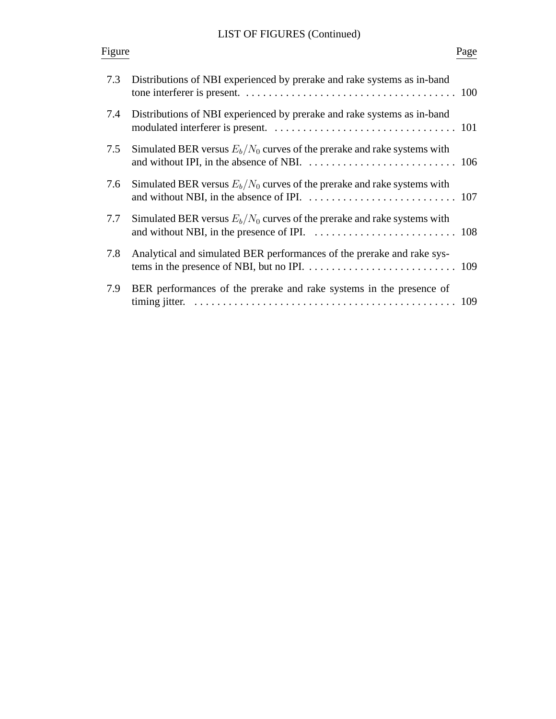# LIST OF FIGURES (Continued)

### Figure Page

| 7.3 | Distributions of NBI experienced by prerake and rake systems as in-band    |
|-----|----------------------------------------------------------------------------|
| 7.4 | Distributions of NBI experienced by prerake and rake systems as in-band    |
| 7.5 | Simulated BER versus $E_b/N_0$ curves of the prerake and rake systems with |
| 7.6 | Simulated BER versus $E_b/N_0$ curves of the prerake and rake systems with |
| 7.7 | Simulated BER versus $E_b/N_0$ curves of the prerake and rake systems with |
| 7.8 | Analytical and simulated BER performances of the prerake and rake sys-     |
| 7.9 | BER performances of the prerake and rake systems in the presence of        |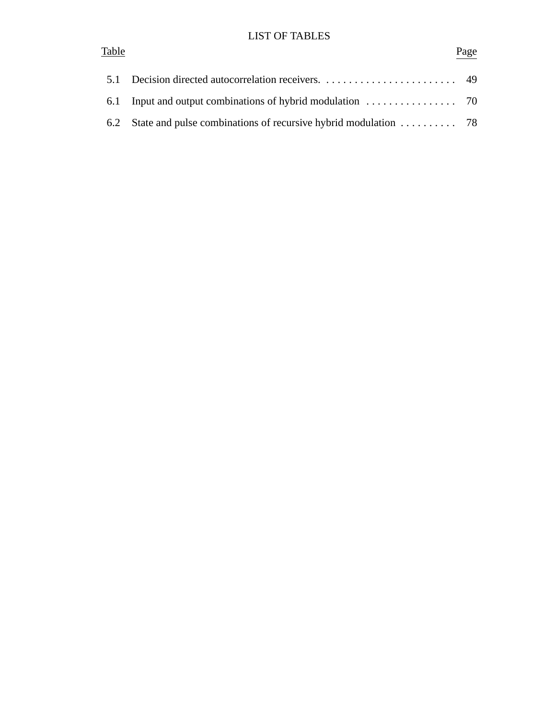| Table | Page |
|-------|------|
|       |      |
|       |      |
|       |      |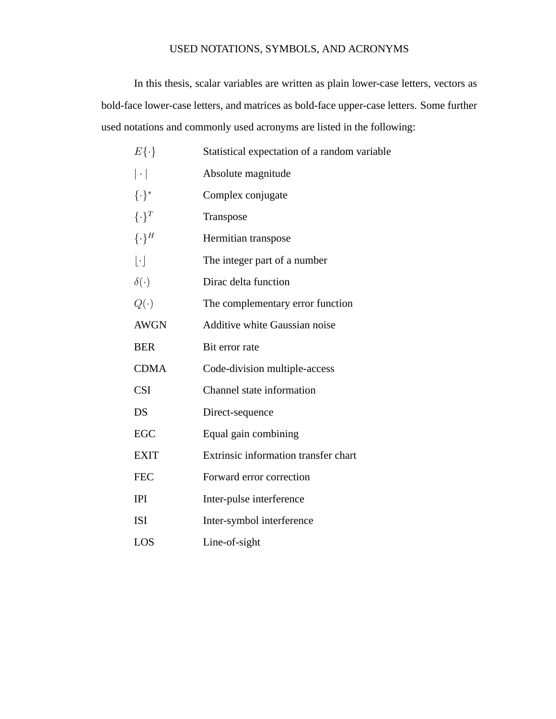## USED NOTATIONS, SYMBOLS, AND ACRONYMS

In this thesis, scalar variables are written as plain lower-case letters, vectors as bold-face lower-case letters, and matrices as bold-face upper-case letters. Some further used notations and commonly used acronyms are listed in the following:

| $E\{\cdot\}$    | Statistical expectation of a random variable |
|-----------------|----------------------------------------------|
| $ \cdot $       | Absolute magnitude                           |
| $\{\cdot\}^*$   | Complex conjugate                            |
| $\{\cdot\}^T$   | Transpose                                    |
| $\{\cdot\}^H$   | Hermitian transpose                          |
| $ \cdot $       | The integer part of a number                 |
| $\delta(\cdot)$ | Dirac delta function                         |
| $Q(\cdot)$      | The complementary error function             |
| <b>AWGN</b>     | Additive white Gaussian noise                |
| <b>BER</b>      | Bit error rate                               |
| <b>CDMA</b>     | Code-division multiple-access                |
| <b>CSI</b>      | Channel state information                    |
| DS              | Direct-sequence                              |
| <b>EGC</b>      | Equal gain combining                         |
| <b>EXIT</b>     | Extrinsic information transfer chart         |
| <b>FEC</b>      | Forward error correction                     |
| <b>IPI</b>      | Inter-pulse interference                     |
| <b>ISI</b>      | Inter-symbol interference                    |
| LOS             | Line-of-sight                                |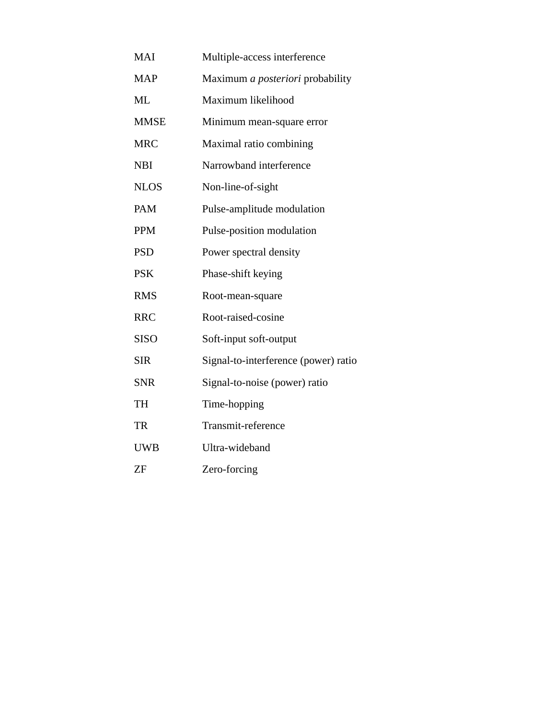| <b>MAI</b>  | Multiple-access interference         |
|-------------|--------------------------------------|
| <b>MAP</b>  | Maximum a posteriori probability     |
| <b>ML</b>   | Maximum likelihood                   |
| <b>MMSE</b> | Minimum mean-square error            |
| <b>MRC</b>  | Maximal ratio combining              |
| <b>NBI</b>  | Narrowband interference              |
| <b>NLOS</b> | Non-line-of-sight                    |
| PAM         | Pulse-amplitude modulation           |
| <b>PPM</b>  | Pulse-position modulation            |
| <b>PSD</b>  | Power spectral density               |
| <b>PSK</b>  | Phase-shift keying                   |
| <b>RMS</b>  | Root-mean-square                     |
| <b>RRC</b>  | Root-raised-cosine                   |
| <b>SISO</b> | Soft-input soft-output               |
| <b>SIR</b>  | Signal-to-interference (power) ratio |
| <b>SNR</b>  | Signal-to-noise (power) ratio        |
| TH          | Time-hopping                         |
| TR          | Transmit-reference                   |
| <b>UWB</b>  | Ultra-wideband                       |
| ZF          | Zero-forcing                         |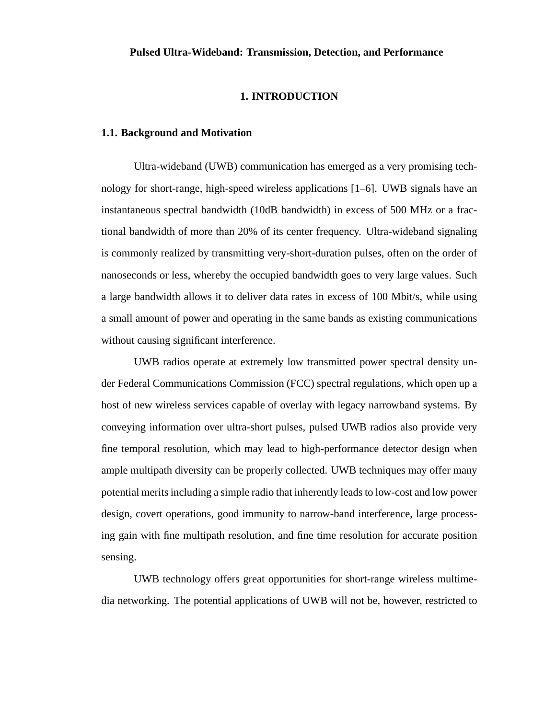### **Pulsed Ultra-Wideband: Transmission, Detection, and Performance**

### **1. INTRODUCTION**

### **1.1. Background and Motivation**

Ultra-wideband (UWB) communication has emerged as a very promising technology for short-range, high-speed wireless applications [1–6]. UWB signals have an instantaneous spectral bandwidth (10dB bandwidth) in excess of 500 MHz or a fractional bandwidth of more than 20% of its center frequency. Ultra-wideband signaling is commonly realized by transmitting very-short-duration pulses, often on the order of nanoseconds or less, whereby the occupied bandwidth goes to very large values. Such a large bandwidth allows it to deliver data rates in excess of 100 Mbit/s, while using a small amount of power and operating in the same bands as existing communications without causing significant interference.

UWB radios operate at extremely low transmitted power spectral density under Federal Communications Commission (FCC) spectral regulations, which open up a host of new wireless services capable of overlay with legacy narrowband systems. By conveying information over ultra-short pulses, pulsed UWB radios also provide very fine temporal resolution, which may lead to high-performance detector design when ample multipath diversity can be properly collected. UWB techniques may offer many potential merits including a simple radio that inherently leads to low-cost and low power design, covert operations, good immunity to narrow-band interference, large processing gain with fine multipath resolution, and fine time resolution for accurate position sensing.

UWB technology offers great opportunities for short-range wireless multimedia networking. The potential applications of UWB will not be, however, restricted to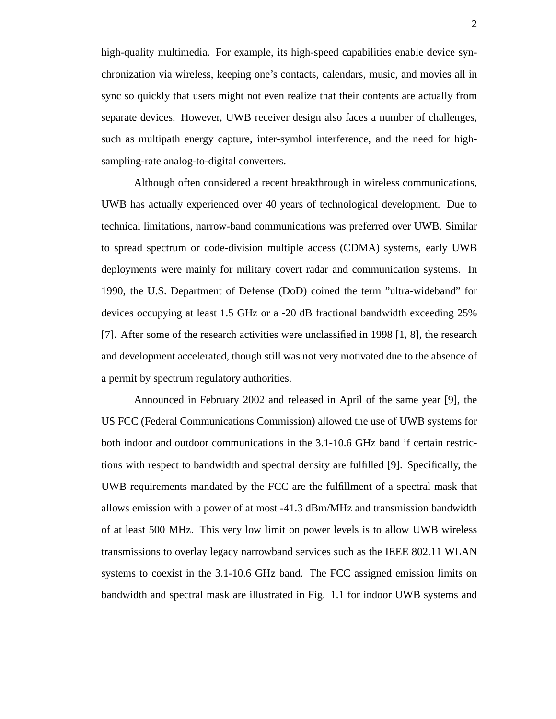high-quality multimedia. For example, its high-speed capabilities enable device synchronization via wireless, keeping one's contacts, calendars, music, and movies all in sync so quickly that users might not even realize that their contents are actually from separate devices. However, UWB receiver design also faces a number of challenges, such as multipath energy capture, inter-symbol interference, and the need for highsampling-rate analog-to-digital converters.

Although often considered a recent breakthrough in wireless communications, UWB has actually experienced over 40 years of technological development. Due to technical limitations, narrow-band communications was preferred over UWB. Similar to spread spectrum or code-division multiple access (CDMA) systems, early UWB deployments were mainly for military covert radar and communication systems. In 1990, the U.S. Department of Defense (DoD) coined the term "ultra-wideband" for devices occupying at least 1.5 GHz or a -20 dB fractional bandwidth exceeding 25% [7]. After some of the research activities were unclassified in 1998 [1, 8], the research and development accelerated, though still was not very motivated due to the absence of a permit by spectrum regulatory authorities.

Announced in February 2002 and released in April of the same year [9], the US FCC (Federal Communications Commission) allowed the use of UWB systems for both indoor and outdoor communications in the 3.1-10.6 GHz band if certain restrictions with respect to bandwidth and spectral density are fulfilled [9]. Specifically, the UWB requirements mandated by the FCC are the fulfillment of a spectral mask that allows emission with a power of at most -41.3 dBm/MHz and transmission bandwidth of at least 500 MHz. This very low limit on power levels is to allow UWB wireless transmissions to overlay legacy narrowband services such as the IEEE 802.11 WLAN systems to coexist in the 3.1-10.6 GHz band. The FCC assigned emission limits on bandwidth and spectral mask are illustrated in Fig. 1.1 for indoor UWB systems and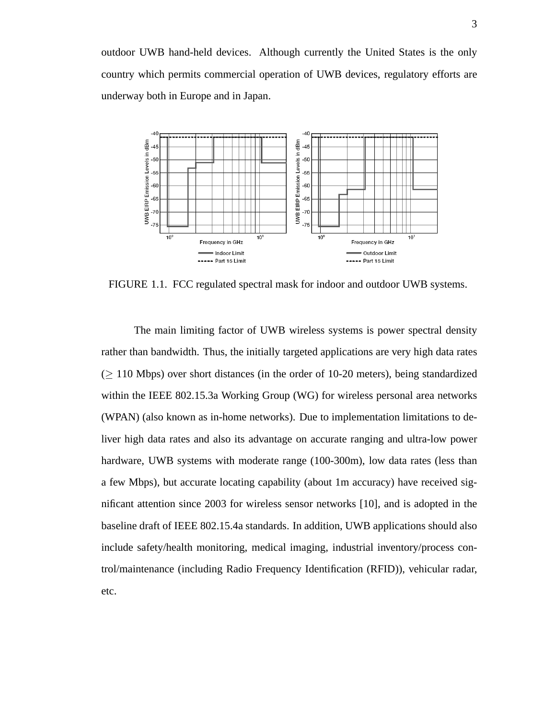outdoor UWB hand-held devices. Although currently the United States is the only country which permits commercial operation of UWB devices, regulatory efforts are underway both in Europe and in Japan.



FIGURE 1.1. FCC regulated spectral mask for indoor and outdoor UWB systems.

The main limiting factor of UWB wireless systems is power spectral density rather than bandwidth. Thus, the initially targeted applications are very high data rates  $($  2 110 Mbps) over short distances (in the order of 10-20 meters), being standardized within the IEEE 802.15.3a Working Group (WG) for wireless personal area networks (WPAN) (also known as in-home networks). Due to implementation limitations to deliver high data rates and also its advantage on accurate ranging and ultra-low power hardware, UWB systems with moderate range (100-300m), low data rates (less than a few Mbps), but accurate locating capability (about 1m accuracy) have received significant attention since 2003 for wireless sensor networks [10], and is adopted in the baseline draft of IEEE 802.15.4a standards. In addition, UWB applications should also include safety/health monitoring, medical imaging, industrial inventory/process control/maintenance (including Radio Frequency Identification (RFID)), vehicular radar, etc.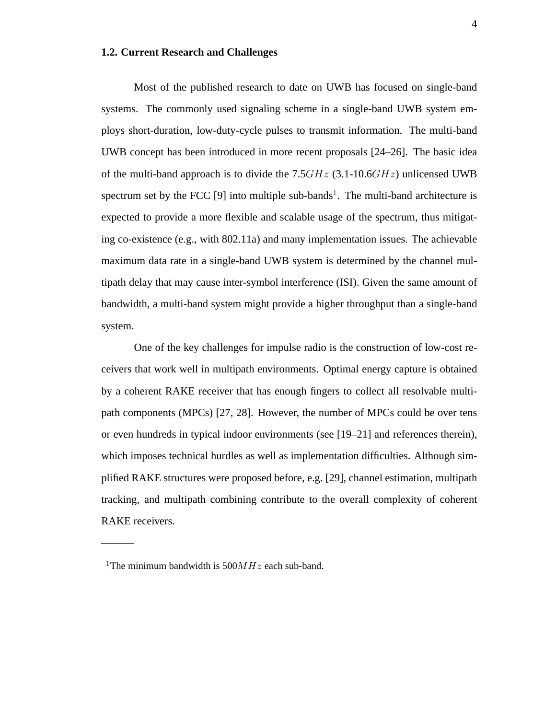### **1.2. Current Research and Challenges**

Most of the published research to date on UWB has focused on single-band systems. The commonly used signaling scheme in a single-band UWB system employs short-duration, low-duty-cycle pulses to transmit information. The multi-band UWB concept has been introduced in more recent proposals [24–26]. The basic idea of the multi-band approach is to divide the  $7.5GHz$  (3.1-10.6 $GHz$ ) unlicensed UWB spectrum set by the FCC [9] into multiple sub-bands<sup>1</sup>. The multi-band architecture is expected to provide a more flexible and scalable usage of the spectrum, thus mitigating co-existence (e.g., with 802.11a) and many implementation issues. The achievable maximum data rate in a single-band UWB system is determined by the channel multipath delay that may cause inter-symbol interference (ISI). Given the same amount of bandwidth, a multi-band system might provide a higher throughput than a single-band system.

One of the key challenges for impulse radio is the construction of low-cost receivers that work well in multipath environments. Optimal energy capture is obtained by a coherent RAKE receiver that has enough fingers to collect all resolvable multipath components (MPCs) [27, 28]. However, the number of MPCs could be over tens or even hundreds in typical indoor environments (see [19–21] and references therein), which imposes technical hurdles as well as implementation difficulties. Although simplified RAKE structures were proposed before, e.g. [29], channel estimation, multipath tracking, and multipath combining contribute to the overall complexity of coherent RAKE receivers.

<sup>&</sup>lt;sup>1</sup>The minimum bandwidth is  $500MHz$  each sub-band.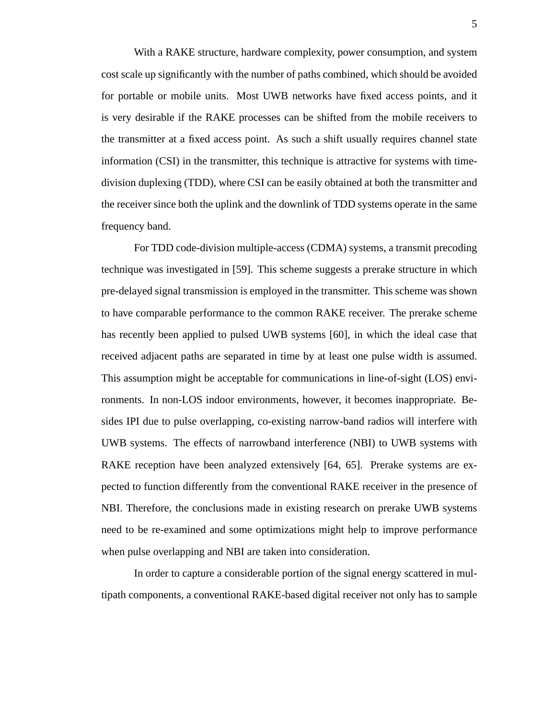With a RAKE structure, hardware complexity, power consumption, and system cost scale up significantly with the number of paths combined, which should be avoided for portable or mobile units. Most UWB networks have fixed access points, and it is very desirable if the RAKE processes can be shifted from the mobile receivers to the transmitter at a fixed access point. As such a shift usually requires channel state information (CSI) in the transmitter, this technique is attractive for systems with timedivision duplexing (TDD), where CSI can be easily obtained at both the transmitter and the receiver since both the uplink and the downlink of TDD systems operate in the same frequency band.

For TDD code-division multiple-access (CDMA) systems, a transmit precoding technique was investigated in [59]. This scheme suggests a prerake structure in which pre-delayed signal transmission is employed in the transmitter. This scheme was shown to have comparable performance to the common RAKE receiver. The prerake scheme has recently been applied to pulsed UWB systems [60], in which the ideal case that received adjacent paths are separated in time by at least one pulse width is assumed. This assumption might be acceptable for communications in line-of-sight (LOS) environments. In non-LOS indoor environments, however, it becomes inappropriate. Besides IPI due to pulse overlapping, co-existing narrow-band radios will interfere with UWB systems. The effects of narrowband interference (NBI) to UWB systems with RAKE reception have been analyzed extensively [64, 65]. Prerake systems are expected to function differently from the conventional RAKE receiver in the presence of NBI. Therefore, the conclusions made in existing research on prerake UWB systems need to be re-examined and some optimizations might help to improve performance when pulse overlapping and NBI are taken into consideration.

In order to capture a considerable portion of the signal energy scattered in multipath components, a conventional RAKE-based digital receiver not only has to sample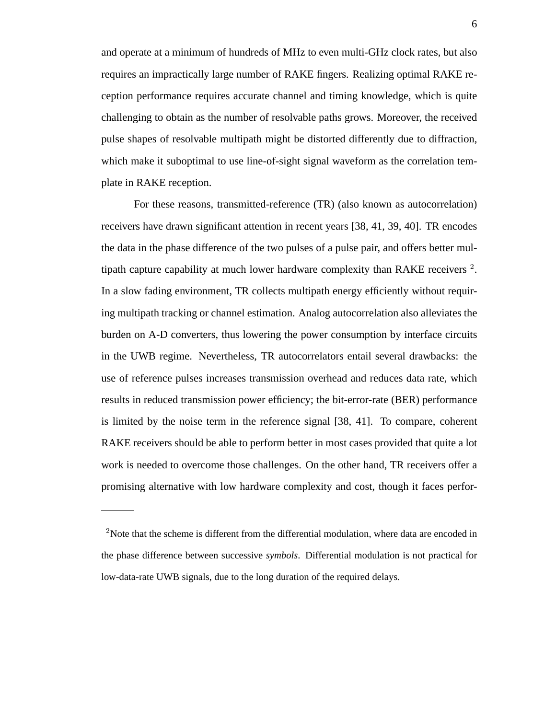and operate at a minimum of hundreds of MHz to even multi-GHz clock rates, but also requires an impractically large number of RAKE fingers. Realizing optimal RAKE reception performance requires accurate channel and timing knowledge, which is quite challenging to obtain as the number of resolvable paths grows. Moreover, the received pulse shapes of resolvable multipath might be distorted differently due to diffraction, which make it suboptimal to use line-of-sight signal waveform as the correlation template in RAKE reception.

For these reasons, transmitted-reference (TR) (also known as autocorrelation) receivers have drawn significant attention in recent years [38, 41, 39, 40]. TR encodes the data in the phase difference of the two pulses of a pulse pair, and offers better multipath capture capability at much lower hardware complexity than RAKE receivers  $2$ . In a slow fading environment, TR collects multipath energy efficiently without requiring multipath tracking or channel estimation. Analog autocorrelation also alleviates the burden on A-D converters, thus lowering the power consumption by interface circuits in the UWB regime. Nevertheless, TR autocorrelators entail several drawbacks: the use of reference pulses increases transmission overhead and reduces data rate, which results in reduced transmission power efficiency; the bit-error-rate (BER) performance is limited by the noise term in the reference signal [38, 41]. To compare, coherent RAKE receivers should be able to perform better in most cases provided that quite a lot work is needed to overcome those challenges. On the other hand, TR receivers offer a promising alternative with low hardware complexity and cost, though it faces perfor-

 $2$ Note that the scheme is different from the differential modulation, where data are encoded in the phase difference between successive *symbols*. Differential modulation is not practical for low-data-rate UWB signals, due to the long duration of the required delays.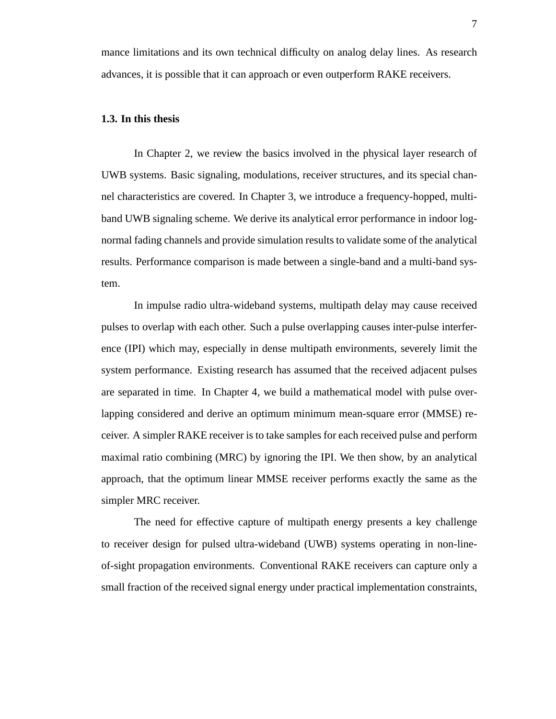mance limitations and its own technical difficulty on analog delay lines. As research advances, it is possible that it can approach or even outperform RAKE receivers.

### **1.3. In this thesis**

In Chapter 2, we review the basics involved in the physical layer research of UWB systems. Basic signaling, modulations, receiver structures, and its special channel characteristics are covered. In Chapter 3, we introduce a frequency-hopped, multiband UWB signaling scheme. We derive its analytical error performance in indoor lognormal fading channels and provide simulation results to validate some of the analytical results. Performance comparison is made between a single-band and a multi-band system.

In impulse radio ultra-wideband systems, multipath delay may cause received pulses to overlap with each other. Such a pulse overlapping causes inter-pulse interference (IPI) which may, especially in dense multipath environments, severely limit the system performance. Existing research has assumed that the received adjacent pulses are separated in time. In Chapter 4, we build a mathematical model with pulse overlapping considered and derive an optimum minimum mean-square error (MMSE) receiver. A simpler RAKE receiver is to take samples for each received pulse and perform maximal ratio combining (MRC) by ignoring the IPI. We then show, by an analytical approach, that the optimum linear MMSE receiver performs exactly the same as the simpler MRC receiver.

The need for effective capture of multipath energy presents a key challenge to receiver design for pulsed ultra-wideband (UWB) systems operating in non-lineof-sight propagation environments. Conventional RAKE receivers can capture only a small fraction of the received signal energy under practical implementation constraints,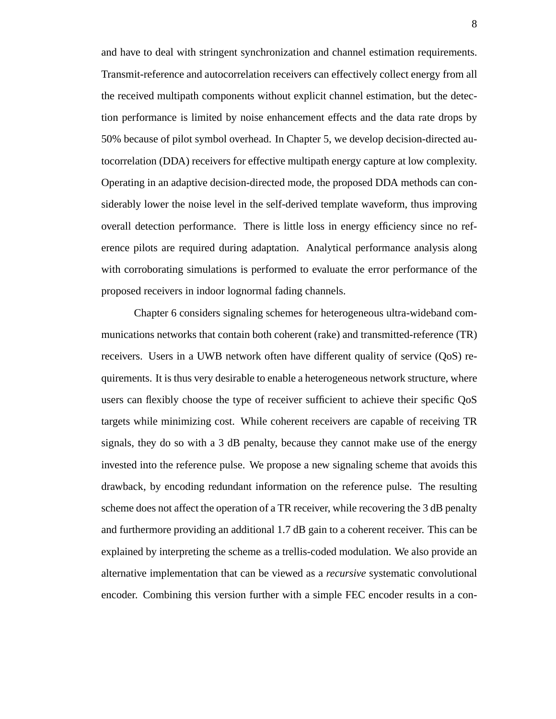and have to deal with stringent synchronization and channel estimation requirements. Transmit-reference and autocorrelation receivers can effectively collect energy from all the received multipath components without explicit channel estimation, but the detection performance is limited by noise enhancement effects and the data rate drops by 50% because of pilot symbol overhead. In Chapter 5, we develop decision-directed autocorrelation (DDA) receivers for effective multipath energy capture at low complexity. Operating in an adaptive decision-directed mode, the proposed DDA methods can considerably lower the noise level in the self-derived template waveform, thus improving overall detection performance. There is little loss in energy efficiency since no reference pilots are required during adaptation. Analytical performance analysis along with corroborating simulations is performed to evaluate the error performance of the proposed receivers in indoor lognormal fading channels.

Chapter 6 considers signaling schemes for heterogeneous ultra-wideband communications networks that contain both coherent (rake) and transmitted-reference (TR) receivers. Users in a UWB network often have different quality of service (QoS) requirements. It is thus very desirable to enable a heterogeneous network structure, where users can flexibly choose the type of receiver sufficient to achieve their specific QoS targets while minimizing cost. While coherent receivers are capable of receiving TR signals, they do so with a 3 dB penalty, because they cannot make use of the energy invested into the reference pulse. We propose a new signaling scheme that avoids this drawback, by encoding redundant information on the reference pulse. The resulting scheme does not affect the operation of a TR receiver, while recovering the 3 dB penalty and furthermore providing an additional 1.7 dB gain to a coherent receiver. This can be explained by interpreting the scheme as a trellis-coded modulation. We also provide an alternative implementation that can be viewed as a *recursive* systematic convolutional encoder. Combining this version further with a simple FEC encoder results in a con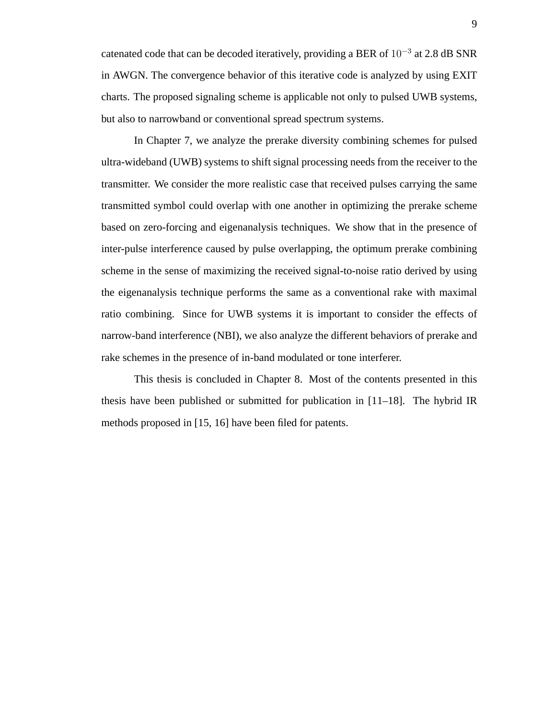catenated code that can be decoded iteratively, providing a BER of 10<sup>−</sup><sup>3</sup> at 2.8 dB SNR in AWGN. The convergence behavior of this iterative code is analyzed by using EXIT charts. The proposed signaling scheme is applicable not only to pulsed UWB systems, but also to narrowband or conventional spread spectrum systems.

In Chapter 7, we analyze the prerake diversity combining schemes for pulsed ultra-wideband (UWB) systems to shift signal processing needs from the receiver to the transmitter. We consider the more realistic case that received pulses carrying the same transmitted symbol could overlap with one another in optimizing the prerake scheme based on zero-forcing and eigenanalysis techniques. We show that in the presence of inter-pulse interference caused by pulse overlapping, the optimum prerake combining scheme in the sense of maximizing the received signal-to-noise ratio derived by using the eigenanalysis technique performs the same as a conventional rake with maximal ratio combining. Since for UWB systems it is important to consider the effects of narrow-band interference (NBI), we also analyze the different behaviors of prerake and rake schemes in the presence of in-band modulated or tone interferer.

This thesis is concluded in Chapter 8. Most of the contents presented in this thesis have been published or submitted for publication in [11–18]. The hybrid IR methods proposed in [15, 16] have been filed for patents.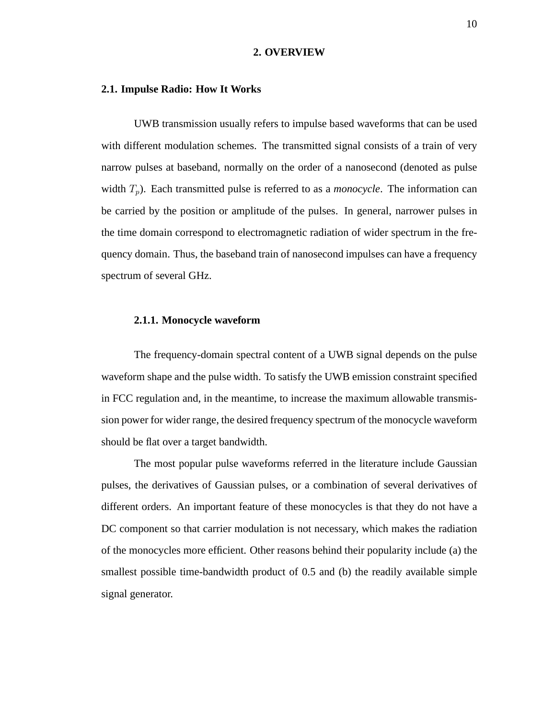### **2. OVERVIEW**

### **2.1. Impulse Radio: How It Works**

UWB transmission usually refers to impulse based waveforms that can be used with different modulation schemes. The transmitted signal consists of a train of very narrow pulses at baseband, normally on the order of a nanosecond (denoted as pulse width  $T_p$ ). Each transmitted pulse is referred to as a *monocycle*. The information can be carried by the position or amplitude of the pulses. In general, narrower pulses in the time domain correspond to electromagnetic radiation of wider spectrum in the frequency domain. Thus, the baseband train of nanosecond impulses can have a frequency spectrum of several GHz.

### **2.1.1. Monocycle waveform**

The frequency-domain spectral content of a UWB signal depends on the pulse waveform shape and the pulse width. To satisfy the UWB emission constraint specified in FCC regulation and, in the meantime, to increase the maximum allowable transmission power for wider range, the desired frequency spectrum of the monocycle waveform should be flat over a target bandwidth.

The most popular pulse waveforms referred in the literature include Gaussian pulses, the derivatives of Gaussian pulses, or a combination of several derivatives of different orders. An important feature of these monocycles is that they do not have a DC component so that carrier modulation is not necessary, which makes the radiation of the monocycles more efficient. Other reasons behind their popularity include (a) the smallest possible time-bandwidth product of 0.5 and (b) the readily available simple signal generator.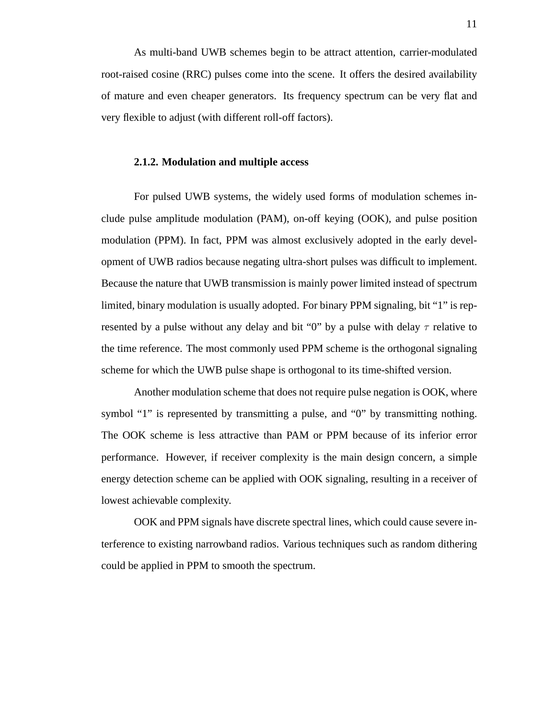As multi-band UWB schemes begin to be attract attention, carrier-modulated root-raised cosine (RRC) pulses come into the scene. It offers the desired availability of mature and even cheaper generators. Its frequency spectrum can be very flat and very flexible to adjust (with different roll-off factors).

### **2.1.2. Modulation and multiple access**

For pulsed UWB systems, the widely used forms of modulation schemes include pulse amplitude modulation (PAM), on-off keying (OOK), and pulse position modulation (PPM). In fact, PPM was almost exclusively adopted in the early development of UWB radios because negating ultra-short pulses was difficult to implement. Because the nature that UWB transmission is mainly power limited instead of spectrum limited, binary modulation is usually adopted. For binary PPM signaling, bit "1" is represented by a pulse without any delay and bit "0" by a pulse with delay  $\tau$  relative to the time reference. The most commonly used PPM scheme is the orthogonal signaling scheme for which the UWB pulse shape is orthogonal to its time-shifted version.

Another modulation scheme that does not require pulse negation is OOK, where symbol "1" is represented by transmitting a pulse, and "0" by transmitting nothing. The OOK scheme is less attractive than PAM or PPM because of its inferior error performance. However, if receiver complexity is the main design concern, a simple energy detection scheme can be applied with OOK signaling, resulting in a receiver of lowest achievable complexity.

OOK and PPM signals have discrete spectral lines, which could cause severe interference to existing narrowband radios. Various techniques such as random dithering could be applied in PPM to smooth the spectrum.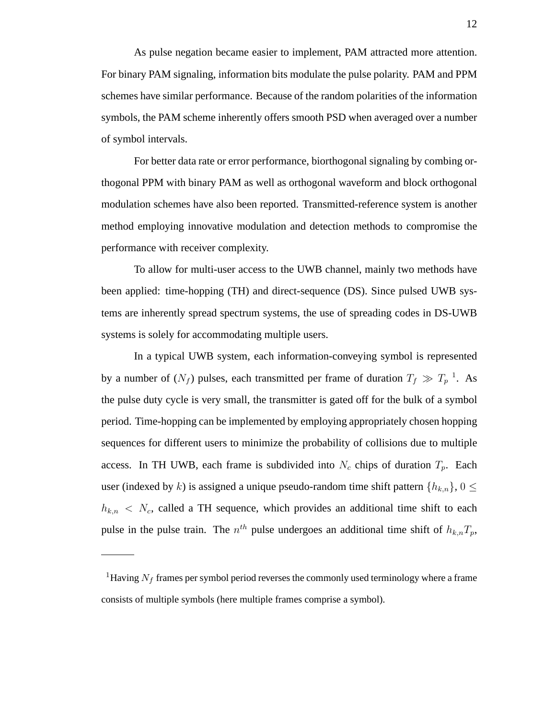As pulse negation became easier to implement, PAM attracted more attention. For binary PAM signaling, information bits modulate the pulse polarity. PAM and PPM schemes have similar performance. Because of the random polarities of the information symbols, the PAM scheme inherently offers smooth PSD when averaged over a number of symbol intervals.

For better data rate or error performance, biorthogonal signaling by combing orthogonal PPM with binary PAM as well as orthogonal waveform and block orthogonal modulation schemes have also been reported. Transmitted-reference system is another method employing innovative modulation and detection methods to compromise the performance with receiver complexity.

To allow for multi-user access to the UWB channel, mainly two methods have been applied: time-hopping (TH) and direct-sequence (DS). Since pulsed UWB systems are inherently spread spectrum systems, the use of spreading codes in DS-UWB systems is solely for accommodating multiple users.

In a typical UWB system, each information-conveying symbol is represented by a number of  $(N_f)$  pulses, each transmitted per frame of duration  $T_f \gg T_p^{-1}$ . As the pulse duty cycle is very small, the transmitter is gated off for the bulk of a symbol period. Time-hopping can be implemented by employing appropriately chosen hopping sequences for different users to minimize the probability of collisions due to multiple access. In TH UWB, each frame is subdivided into  $N_c$  chips of duration  $T_p$ . Each user (indexed by k) is assigned a unique pseudo-random time shift pattern  $\{h_{k,n}\}\, 0 \leq$  $h_{k,n} < N_c$ , called a TH sequence, which provides an additional time shift to each pulse in the pulse train. The  $n^{th}$  pulse undergoes an additional time shift of  $h_{k,n}T_p$ ,

<sup>&</sup>lt;sup>1</sup>Having  $N_f$  frames per symbol period reverses the commonly used terminology where a frame consists of multiple symbols (here multiple frames comprise a symbol).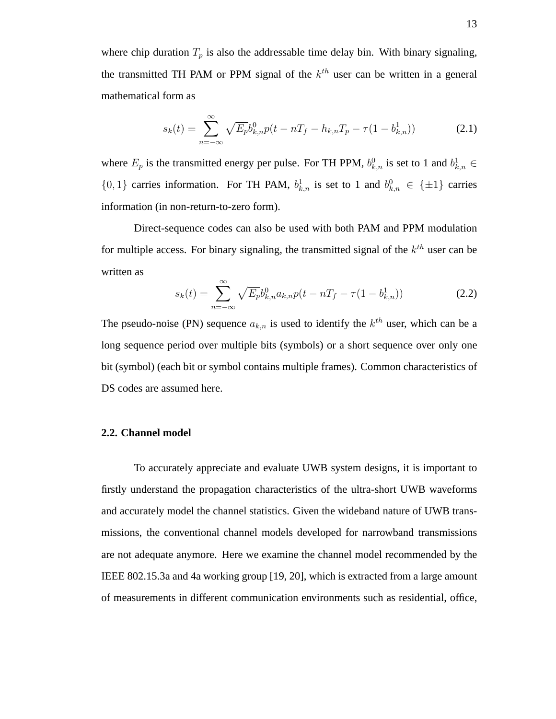where chip duration  $T_p$  is also the addressable time delay bin. With binary signaling, the transmitted TH PAM or PPM signal of the  $k<sup>th</sup>$  user can be written in a general mathematical form as

$$
s_k(t) = \sum_{n = -\infty}^{\infty} \sqrt{E_p} b_{k,n}^0 p(t - nT_f - h_{k,n}T_p - \tau(1 - b_{k,n}^1))
$$
 (2.1)

where  $E_p$  is the transmitted energy per pulse. For TH PPM,  $b_{k,n}^0$  is set to 1 and  $b_{k,n}^1 \in$  $\{0, 1\}$  carries information. For TH PAM,  $b_{k,n}^1$  is set to 1 and  $b_{k,n}^0 \in \{\pm 1\}$  carries information (in non-return-to-zero form).

Direct-sequence codes can also be used with both PAM and PPM modulation for multiple access. For binary signaling, the transmitted signal of the  $k^{th}$  user can be written as

$$
s_k(t) = \sum_{n = -\infty}^{\infty} \sqrt{E_p} b_{k,n}^0 a_{k,n} p(t - nT_f - \tau (1 - b_{k,n}^1))
$$
 (2.2)

The pseudo-noise (PN) sequence  $a_{k,n}$  is used to identify the  $k^{th}$  user, which can be a long sequence period over multiple bits (symbols) or a short sequence over only one bit (symbol) (each bit or symbol contains multiple frames). Common characteristics of DS codes are assumed here.

### **2.2. Channel model**

To accurately appreciate and evaluate UWB system designs, it is important to firstly understand the propagation characteristics of the ultra-short UWB waveforms and accurately model the channel statistics. Given the wideband nature of UWB transmissions, the conventional channel models developed for narrowband transmissions are not adequate anymore. Here we examine the channel model recommended by the IEEE 802.15.3a and 4a working group [19, 20], which is extracted from a large amount of measurements in different communication environments such as residential, office,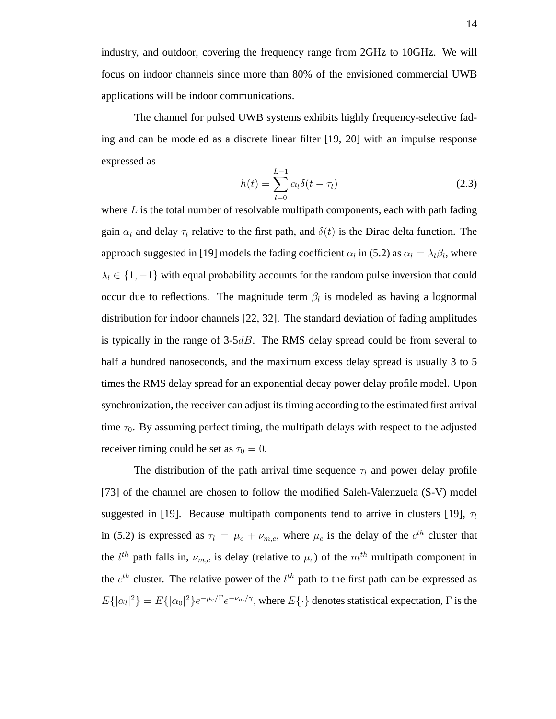industry, and outdoor, covering the frequency range from 2GHz to 10GHz. We will focus on indoor channels since more than 80% of the envisioned commercial UWB applications will be indoor communications.

The channel for pulsed UWB systems exhibits highly frequency-selective fading and can be modeled as a discrete linear filter [19, 20] with an impulse response expressed as

$$
h(t) = \sum_{l=0}^{L-1} \alpha_l \delta(t - \tau_l)
$$
\n(2.3)

where  $L$  is the total number of resolvable multipath components, each with path fading gain  $\alpha_l$  and delay  $\tau_l$  relative to the first path, and  $\delta(t)$  is the Dirac delta function. The approach suggested in [19] models the fading coefficient  $\alpha_l$  in (5.2) as  $\alpha_l = \lambda_l \beta_l$ , where  $\lambda_l \in \{1, -1\}$  with equal probability accounts for the random pulse inversion that could occur due to reflections. The magnitude term  $\beta_l$  is modeled as having a lognormal distribution for indoor channels [22, 32]. The standard deviation of fading amplitudes is typically in the range of  $3-5dB$ . The RMS delay spread could be from several to half a hundred nanoseconds, and the maximum excess delay spread is usually 3 to 5 times the RMS delay spread for an exponential decay power delay profile model. Upon synchronization, the receiver can adjust its timing according to the estimated first arrival time  $\tau_0$ . By assuming perfect timing, the multipath delays with respect to the adjusted receiver timing could be set as  $\tau_0 = 0$ .

The distribution of the path arrival time sequence  $\tau_l$  and power delay profile [73] of the channel are chosen to follow the modified Saleh-Valenzuela (S-V) model suggested in [19]. Because multipath components tend to arrive in clusters [19],  $\tau_l$ in (5.2) is expressed as  $\tau_l = \mu_c + \nu_{m,c}$ , where  $\mu_c$  is the delay of the  $c^{th}$  cluster that the  $l^{th}$  path falls in,  $\nu_{m,c}$  is delay (relative to  $\mu_c$ ) of the  $m^{th}$  multipath component in the  $c^{th}$  cluster. The relative power of the  $l^{th}$  path to the first path can be expressed as  $E\{|\alpha_l|^2\} = E\{|\alpha_0|^2\}e^{-\mu_c/\Gamma}e^{-\nu_m/\gamma}$ , where  $E\{\cdot\}$  denotes statistical expectation,  $\Gamma$  is the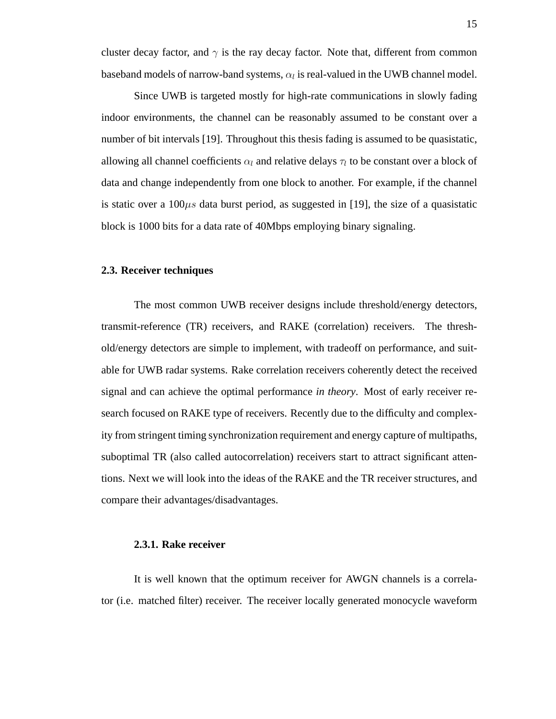cluster decay factor, and  $\gamma$  is the ray decay factor. Note that, different from common baseband models of narrow-band systems,  $\alpha_l$  is real-valued in the UWB channel model.

Since UWB is targeted mostly for high-rate communications in slowly fading indoor environments, the channel can be reasonably assumed to be constant over a number of bit intervals [19]. Throughout this thesis fading is assumed to be quasistatic, allowing all channel coefficients  $\alpha_l$  and relative delays  $\tau_l$  to be constant over a block of data and change independently from one block to another. For example, if the channel is static over a  $100\mu s$  data burst period, as suggested in [19], the size of a quasistatic block is 1000 bits for a data rate of 40Mbps employing binary signaling.

### **2.3. Receiver techniques**

The most common UWB receiver designs include threshold/energy detectors, transmit-reference (TR) receivers, and RAKE (correlation) receivers. The threshold/energy detectors are simple to implement, with tradeoff on performance, and suitable for UWB radar systems. Rake correlation receivers coherently detect the received signal and can achieve the optimal performance *in theory*. Most of early receiver research focused on RAKE type of receivers. Recently due to the difficulty and complexity from stringent timing synchronization requirement and energy capture of multipaths, suboptimal TR (also called autocorrelation) receivers start to attract significant attentions. Next we will look into the ideas of the RAKE and the TR receiver structures, and compare their advantages/disadvantages.

### **2.3.1. Rake receiver**

It is well known that the optimum receiver for AWGN channels is a correlator (i.e. matched filter) receiver. The receiver locally generated monocycle waveform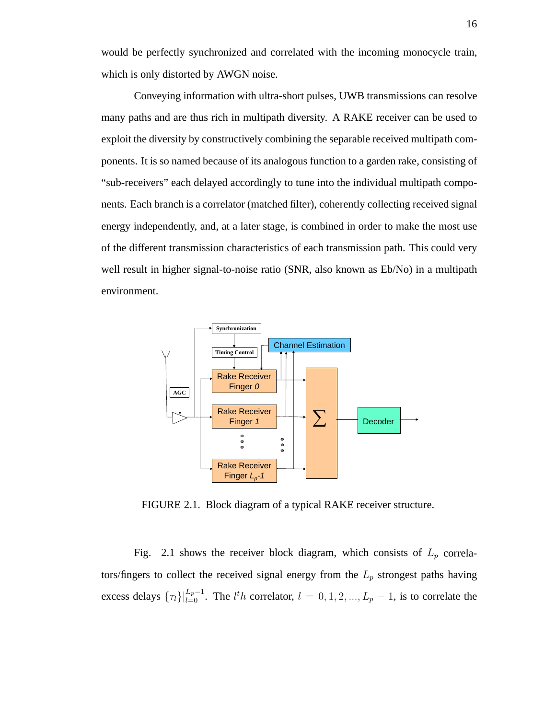would be perfectly synchronized and correlated with the incoming monocycle train, which is only distorted by AWGN noise.

Conveying information with ultra-short pulses, UWB transmissions can resolve many paths and are thus rich in multipath diversity. A RAKE receiver can be used to exploit the diversity by constructively combining the separable received multipath components. It is so named because of its analogous function to a garden rake, consisting of "sub-receivers" each delayed accordingly to tune into the individual multipath components. Each branch is a correlator (matched filter), coherently collecting received signal energy independently, and, at a later stage, is combined in order to make the most use of the different transmission characteristics of each transmission path. This could very well result in higher signal-to-noise ratio (SNR, also known as Eb/No) in a multipath environment.



FIGURE 2.1. Block diagram of a typical RAKE receiver structure.

Fig. 2.1 shows the receiver block diagram, which consists of  $L_p$  correlators/fingers to collect the received signal energy from the  $L_p$  strongest paths having excess delays  $\{\tau_l\}|_{l=0}^{L_p-1}$ . The *l<sup>t</sup>h* correlator,  $l = 0, 1, 2, ..., L_p - 1$ , is to correlate the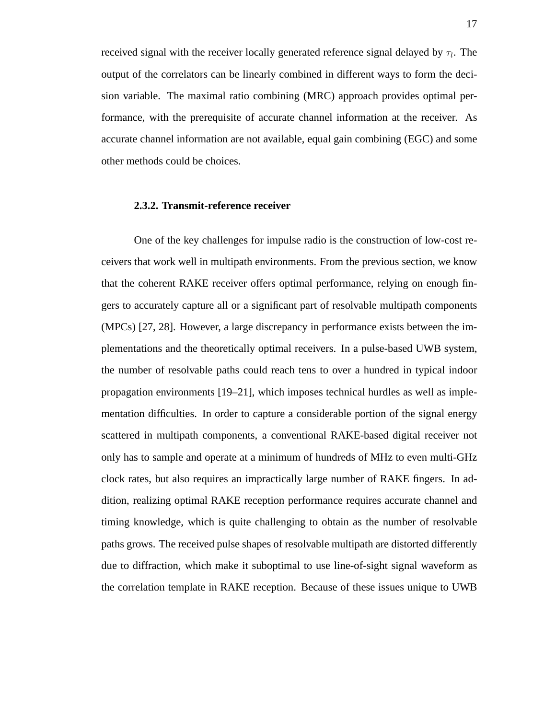received signal with the receiver locally generated reference signal delayed by  $\tau_l$ . The output of the correlators can be linearly combined in different ways to form the decision variable. The maximal ratio combining (MRC) approach provides optimal performance, with the prerequisite of accurate channel information at the receiver. As accurate channel information are not available, equal gain combining (EGC) and some other methods could be choices.

### **2.3.2. Transmit-reference receiver**

One of the key challenges for impulse radio is the construction of low-cost receivers that work well in multipath environments. From the previous section, we know that the coherent RAKE receiver offers optimal performance, relying on enough fingers to accurately capture all or a significant part of resolvable multipath components (MPCs) [27, 28]. However, a large discrepancy in performance exists between the implementations and the theoretically optimal receivers. In a pulse-based UWB system, the number of resolvable paths could reach tens to over a hundred in typical indoor propagation environments [19–21], which imposes technical hurdles as well as implementation difficulties. In order to capture a considerable portion of the signal energy scattered in multipath components, a conventional RAKE-based digital receiver not only has to sample and operate at a minimum of hundreds of MHz to even multi-GHz clock rates, but also requires an impractically large number of RAKE fingers. In addition, realizing optimal RAKE reception performance requires accurate channel and timing knowledge, which is quite challenging to obtain as the number of resolvable paths grows. The received pulse shapes of resolvable multipath are distorted differently due to diffraction, which make it suboptimal to use line-of-sight signal waveform as the correlation template in RAKE reception. Because of these issues unique to UWB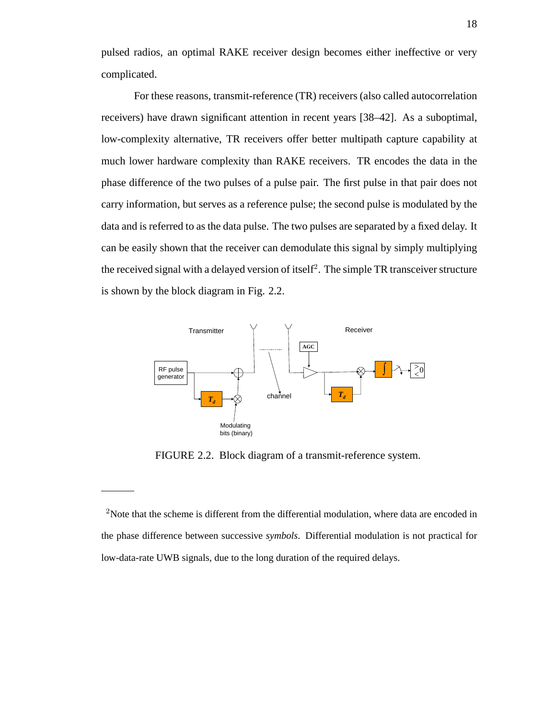pulsed radios, an optimal RAKE receiver design becomes either ineffective or very complicated.

For these reasons, transmit-reference (TR) receivers (also called autocorrelation receivers) have drawn significant attention in recent years [38–42]. As a suboptimal, low-complexity alternative, TR receivers offer better multipath capture capability at much lower hardware complexity than RAKE receivers. TR encodes the data in the phase difference of the two pulses of a pulse pair. The first pulse in that pair does not carry information, but serves as a reference pulse; the second pulse is modulated by the data and is referred to as the data pulse. The two pulses are separated by a fixed delay. It can be easily shown that the receiver can demodulate this signal by simply multiplying the received signal with a delayed version of itself<sup>2</sup>. The simple TR transceiver structure is shown by the block diagram in Fig. 2.2.



FIGURE 2.2. Block diagram of a transmit-reference system.

 $2$ Note that the scheme is different from the differential modulation, where data are encoded in the phase difference between successive *symbols*. Differential modulation is not practical for low-data-rate UWB signals, due to the long duration of the required delays.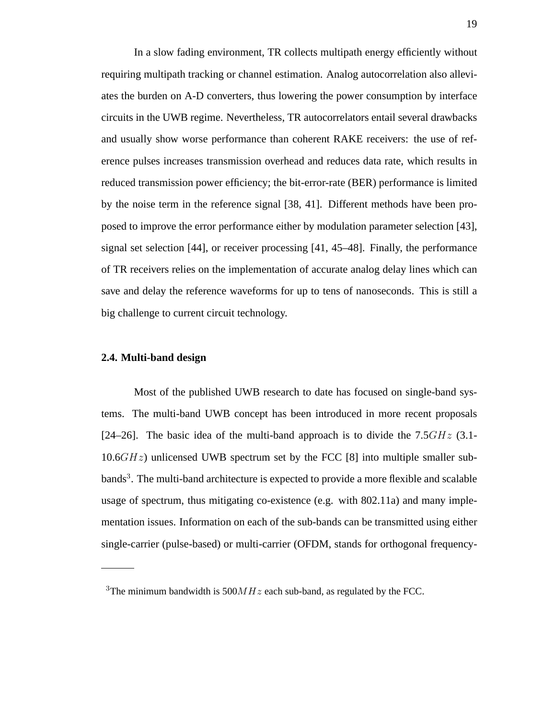In a slow fading environment, TR collects multipath energy efficiently without requiring multipath tracking or channel estimation. Analog autocorrelation also alleviates the burden on A-D converters, thus lowering the power consumption by interface circuits in the UWB regime. Nevertheless, TR autocorrelators entail several drawbacks and usually show worse performance than coherent RAKE receivers: the use of reference pulses increases transmission overhead and reduces data rate, which results in reduced transmission power efficiency; the bit-error-rate (BER) performance is limited by the noise term in the reference signal [38, 41]. Different methods have been proposed to improve the error performance either by modulation parameter selection [43], signal set selection [44], or receiver processing [41, 45–48]. Finally, the performance of TR receivers relies on the implementation of accurate analog delay lines which can save and delay the reference waveforms for up to tens of nanoseconds. This is still a big challenge to current circuit technology.

### **2.4. Multi-band design**

Most of the published UWB research to date has focused on single-band systems. The multi-band UWB concept has been introduced in more recent proposals [24–26]. The basic idea of the multi-band approach is to divide the 7.5 GHz (3.1- $10.6GHz$ ) unlicensed UWB spectrum set by the FCC [8] into multiple smaller subbands<sup>3</sup>. The multi-band architecture is expected to provide a more flexible and scalable usage of spectrum, thus mitigating co-existence (e.g. with 802.11a) and many implementation issues. Information on each of the sub-bands can be transmitted using either single-carrier (pulse-based) or multi-carrier (OFDM, stands for orthogonal frequency-

<sup>&</sup>lt;sup>3</sup>The minimum bandwidth is  $500MHz$  each sub-band, as regulated by the FCC.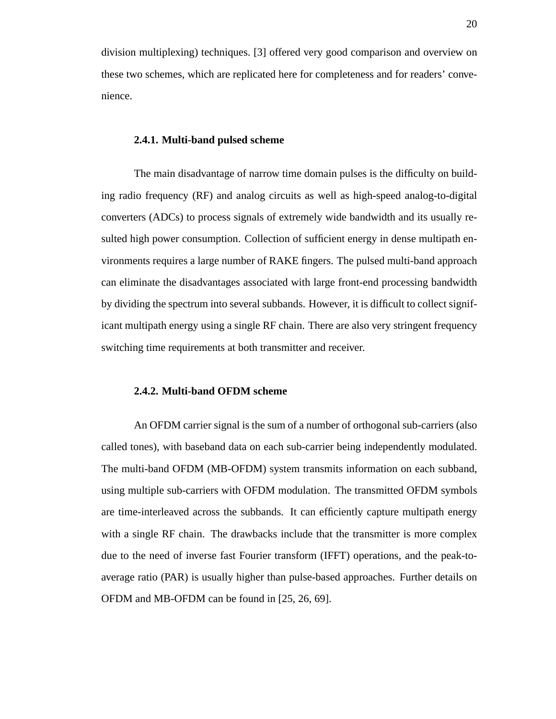division multiplexing) techniques. [3] offered very good comparison and overview on these two schemes, which are replicated here for completeness and for readers' convenience.

## **2.4.1. Multi-band pulsed scheme**

The main disadvantage of narrow time domain pulses is the difficulty on building radio frequency (RF) and analog circuits as well as high-speed analog-to-digital converters (ADCs) to process signals of extremely wide bandwidth and its usually resulted high power consumption. Collection of sufficient energy in dense multipath environments requires a large number of RAKE fingers. The pulsed multi-band approach can eliminate the disadvantages associated with large front-end processing bandwidth by dividing the spectrum into several subbands. However, it is difficult to collect significant multipath energy using a single RF chain. There are also very stringent frequency switching time requirements at both transmitter and receiver.

# **2.4.2. Multi-band OFDM scheme**

An OFDM carrier signal is the sum of a number of orthogonal sub-carriers (also called tones), with baseband data on each sub-carrier being independently modulated. The multi-band OFDM (MB-OFDM) system transmits information on each subband, using multiple sub-carriers with OFDM modulation. The transmitted OFDM symbols are time-interleaved across the subbands. It can efficiently capture multipath energy with a single RF chain. The drawbacks include that the transmitter is more complex due to the need of inverse fast Fourier transform (IFFT) operations, and the peak-toaverage ratio (PAR) is usually higher than pulse-based approaches. Further details on OFDM and MB-OFDM can be found in [25, 26, 69].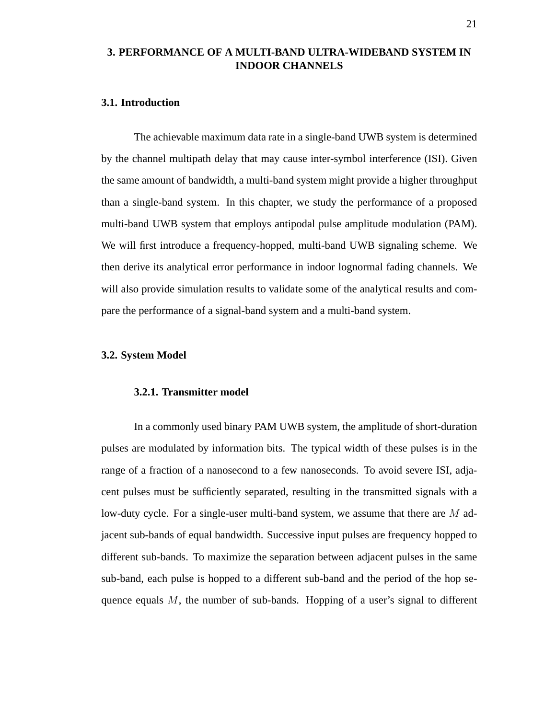# **3. PERFORMANCE OF A MULTI-BAND ULTRA-WIDEBAND SYSTEM IN INDOOR CHANNELS**

### **3.1. Introduction**

The achievable maximum data rate in a single-band UWB system is determined by the channel multipath delay that may cause inter-symbol interference (ISI). Given the same amount of bandwidth, a multi-band system might provide a higher throughput than a single-band system. In this chapter, we study the performance of a proposed multi-band UWB system that employs antipodal pulse amplitude modulation (PAM). We will first introduce a frequency-hopped, multi-band UWB signaling scheme. We then derive its analytical error performance in indoor lognormal fading channels. We will also provide simulation results to validate some of the analytical results and compare the performance of a signal-band system and a multi-band system.

## **3.2. System Model**

### **3.2.1. Transmitter model**

In a commonly used binary PAM UWB system, the amplitude of short-duration pulses are modulated by information bits. The typical width of these pulses is in the range of a fraction of a nanosecond to a few nanoseconds. To avoid severe ISI, adjacent pulses must be sufficiently separated, resulting in the transmitted signals with a low-duty cycle. For a single-user multi-band system, we assume that there are  $M$  adjacent sub-bands of equal bandwidth. Successive input pulses are frequency hopped to different sub-bands. To maximize the separation between adjacent pulses in the same sub-band, each pulse is hopped to a different sub-band and the period of the hop sequence equals  $M$ , the number of sub-bands. Hopping of a user's signal to different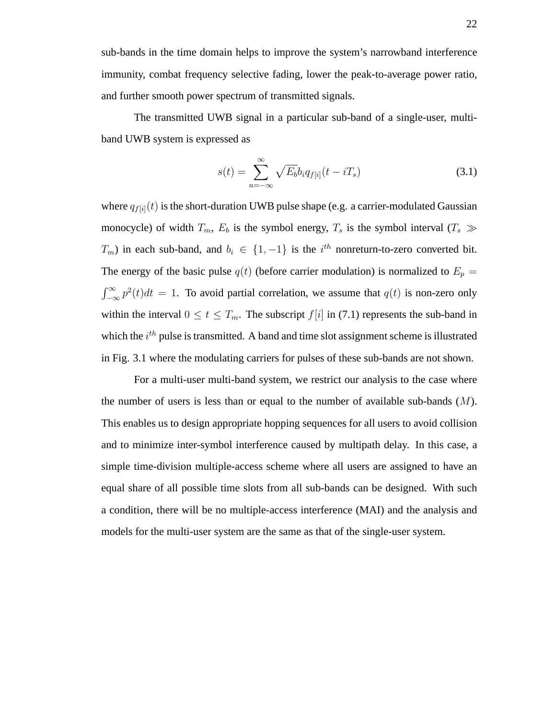sub-bands in the time domain helps to improve the system's narrowband interference immunity, combat frequency selective fading, lower the peak-to-average power ratio, and further smooth power spectrum of transmitted signals.

The transmitted UWB signal in a particular sub-band of a single-user, multiband UWB system is expressed as

$$
s(t) = \sum_{n = -\infty}^{\infty} \sqrt{E_b} b_i q_{f[i]}(t - iT_s)
$$
\n(3.1)

where  $q_{f[i]}(t)$  is the short-duration UWB pulse shape (e.g. a carrier-modulated Gaussian monocycle) of width  $T_m$ ,  $E_b$  is the symbol energy,  $T_s$  is the symbol interval  $(T_s \gg T_s)$  $T_m$ ) in each sub-band, and  $b_i \in \{1, -1\}$  is the  $i^{th}$  nonreturn-to-zero converted bit. The energy of the basic pulse  $q(t)$  (before carrier modulation) is normalized to  $E_p =$  $\int_{-\infty}^{\infty} p^2(t)dt = 1$ . To avoid partial correlation, we assume that  $q(t)$  is non-zero only within the interval  $0 \le t \le T_m$ . The subscript  $f[i]$  in (7.1) represents the sub-band in which the  $i^{th}$  pulse is transmitted. A band and time slot assignment scheme is illustrated in Fig. 3.1 where the modulating carriers for pulses of these sub-bands are not shown.

For a multi-user multi-band system, we restrict our analysis to the case where the number of users is less than or equal to the number of available sub-bands  $(M)$ . This enables us to design appropriate hopping sequences for all users to avoid collision and to minimize inter-symbol interference caused by multipath delay. In this case, a simple time-division multiple-access scheme where all users are assigned to have an equal share of all possible time slots from all sub-bands can be designed. With such a condition, there will be no multiple-access interference (MAI) and the analysis and models for the multi-user system are the same as that of the single-user system.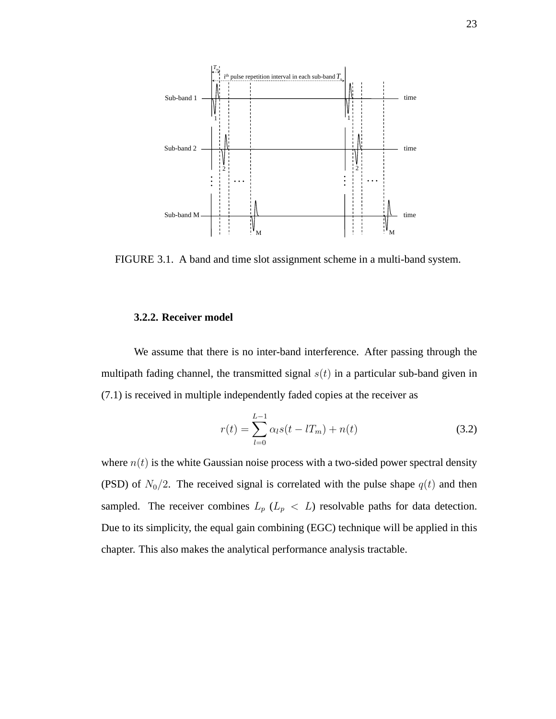

FIGURE 3.1. A band and time slot assignment scheme in a multi-band system.

# **3.2.2. Receiver model**

We assume that there is no inter-band interference. After passing through the multipath fading channel, the transmitted signal  $s(t)$  in a particular sub-band given in (7.1) is received in multiple independently faded copies at the receiver as

$$
r(t) = \sum_{l=0}^{L-1} \alpha_l s(t - lT_m) + n(t)
$$
\n(3.2)

where  $n(t)$  is the white Gaussian noise process with a two-sided power spectral density (PSD) of  $N_0/2$ . The received signal is correlated with the pulse shape  $q(t)$  and then sampled. The receiver combines  $L_p$  ( $L_p < L$ ) resolvable paths for data detection. Due to its simplicity, the equal gain combining (EGC) technique will be applied in this chapter. This also makes the analytical performance analysis tractable.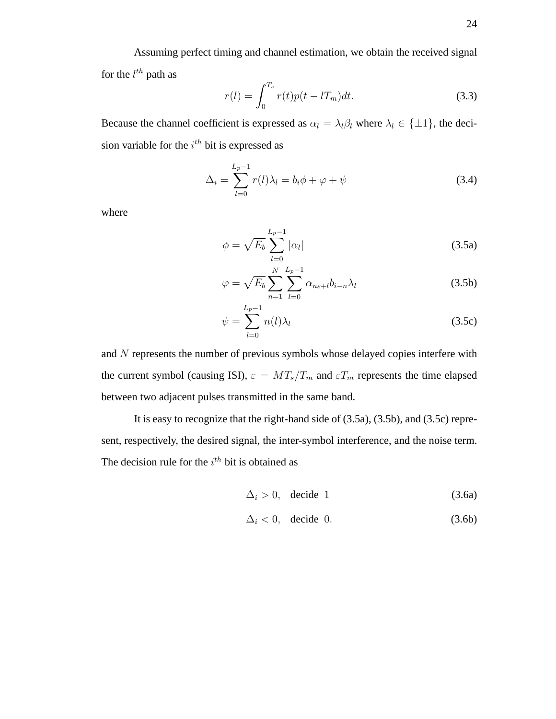$$
r(l) = \int_0^{T_s} r(t)p(t - lT_m)dt.
$$
 (3.3)

Because the channel coefficient is expressed as  $\alpha_l = \lambda_l \beta_l$  where  $\lambda_l \in \{\pm 1\}$ , the decision variable for the  $i^{th}$  bit is expressed as

$$
\Delta_i = \sum_{l=0}^{L_p - 1} r(l)\lambda_l = b_i \phi + \varphi + \psi \qquad (3.4)
$$

where

$$
\phi = \sqrt{E_b} \sum_{l=0}^{L_p - 1} |\alpha_l| \tag{3.5a}
$$

$$
\varphi = \sqrt{E_b} \sum_{n=1}^{N} \sum_{l=0}^{L_p - 1} \alpha_{n\epsilon + l} b_{i-n} \lambda_l
$$
 (3.5b)

$$
\psi = \sum_{l=0}^{L_p - 1} n(l)\lambda_l \tag{3.5c}
$$

and N represents the number of previous symbols whose delayed copies interfere with the current symbol (causing ISI),  $\varepsilon = MT_s/T_m$  and  $\varepsilon T_m$  represents the time elapsed between two adjacent pulses transmitted in the same band.

It is easy to recognize that the right-hand side of (3.5a), (3.5b), and (3.5c) represent, respectively, the desired signal, the inter-symbol interference, and the noise term. The decision rule for the  $i^{th}$  bit is obtained as

$$
\Delta_i > 0, \quad \text{decide} \quad 1 \tag{3.6a}
$$

$$
\Delta_i < 0, \quad \text{decide} \quad 0. \tag{3.6b}
$$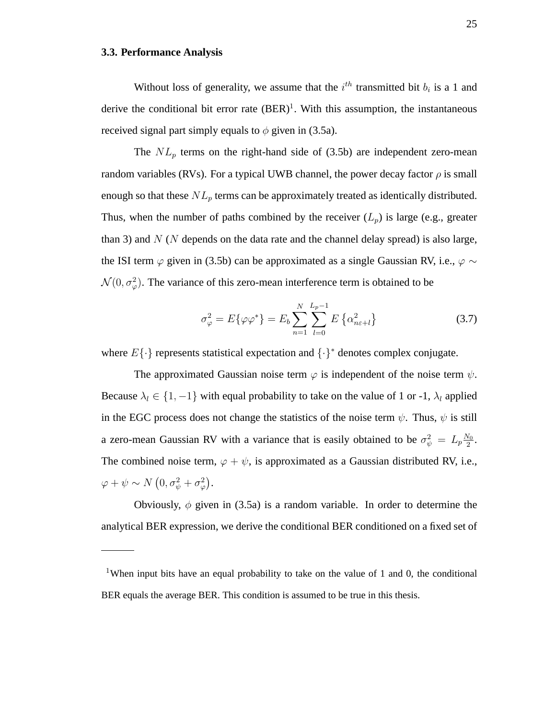#### **3.3. Performance Analysis**

Without loss of generality, we assume that the  $i<sup>th</sup>$  transmitted bit  $b<sub>i</sub>$  is a 1 and derive the conditional bit error rate  $(BER)^1$ . With this assumption, the instantaneous received signal part simply equals to  $\phi$  given in (3.5a).

The  $NL_p$  terms on the right-hand side of (3.5b) are independent zero-mean random variables (RVs). For a typical UWB channel, the power decay factor  $\rho$  is small enough so that these  $NL_p$  terms can be approximately treated as identically distributed. Thus, when the number of paths combined by the receiver  $(L_p)$  is large (e.g., greater than 3) and  $N(N)$  depends on the data rate and the channel delay spread) is also large, the ISI term  $\varphi$  given in (3.5b) can be approximated as a single Gaussian RV, i.e.,  $\varphi \sim$  $\mathcal{N}(0, \sigma_{\varphi}^2)$ . The variance of this zero-mean interference term is obtained to be

$$
\sigma_{\varphi}^{2} = E\{\varphi\varphi^{*}\} = E_{b} \sum_{n=1}^{N} \sum_{l=0}^{L_{p}-1} E\left\{\alpha_{n\epsilon+l}^{2}\right\}
$$
 (3.7)

where  $E\{\cdot\}$  represents statistical expectation and  $\{\cdot\}^*$  denotes complex conjugate.

The approximated Gaussian noise term  $\varphi$  is independent of the noise term  $\psi$ . Because  $\lambda_l \in \{1, -1\}$  with equal probability to take on the value of 1 or -1,  $\lambda_l$  applied in the EGC process does not change the statistics of the noise term  $\psi$ . Thus,  $\psi$  is still a zero-mean Gaussian RV with a variance that is easily obtained to be  $\sigma_{\psi}^2 = L_p \frac{N_0}{2}$ . The combined noise term,  $\varphi + \psi$ , is approximated as a Gaussian distributed RV, i.e.,  $\varphi + \psi \thicksim N\left(0, \sigma^2_\psi + \sigma^2_\varphi\right).$ 

Obviously,  $\phi$  given in (3.5a) is a random variable. In order to determine the analytical BER expression, we derive the conditional BER conditioned on a fixed set of

<sup>&</sup>lt;sup>1</sup>When input bits have an equal probability to take on the value of 1 and 0, the conditional BER equals the average BER. This condition is assumed to be true in this thesis.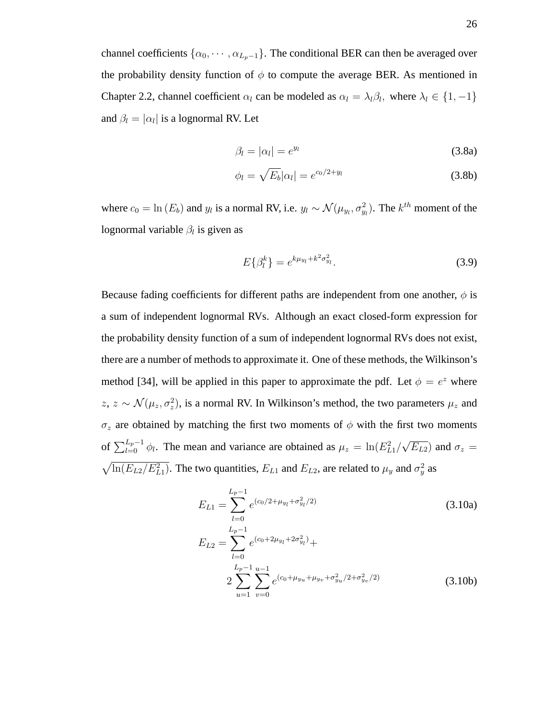channel coefficients  $\{\alpha_0, \dots, \alpha_{L_p-1}\}$ . The conditional BER can then be averaged over the probability density function of  $\phi$  to compute the average BER. As mentioned in Chapter 2.2, channel coefficient  $\alpha_l$  can be modeled as  $\alpha_l = \lambda_l \beta_l$ , where  $\lambda_l \in \{1, -1\}$ and  $\beta_l = |\alpha_l|$  is a lognormal RV. Let

$$
\beta_l = |\alpha_l| = e^{y_l} \tag{3.8a}
$$

$$
\phi_l = \sqrt{E_b} |\alpha_l| = e^{c_0/2 + y_l} \tag{3.8b}
$$

where  $c_0 = \ln(E_b)$  and  $y_l$  is a normal RV, i.e.  $y_l \sim \mathcal{N}(\mu_{y_l}, \sigma_{y_l}^2)$ . The  $k^{th}$  moment of the lognormal variable  $\beta_l$  is given as

$$
E\{\beta_l^k\} = e^{k\mu_{y_l} + k^2 \sigma_{y_l}^2}.
$$
\n(3.9)

Because fading coefficients for different paths are independent from one another,  $\phi$  is a sum of independent lognormal RVs. Although an exact closed-form expression for the probability density function of a sum of independent lognormal RVs does not exist, there are a number of methods to approximate it. One of these methods, the Wilkinson's method [34], will be applied in this paper to approximate the pdf. Let  $\phi = e^z$  where  $z, z \sim \mathcal{N}(\mu_z, \sigma_z^2)$ , is a normal RV. In Wilkinson's method, the two parameters  $\mu_z$  and  $\sigma_z$  are obtained by matching the first two moments of  $\phi$  with the first two moments of  $\sum_{l=0}^{L_p-1} \phi_l$ . The mean and variance are obtained as  $\mu_z = \ln(E_{L1}^2/\sqrt{E_{L2}})$  and  $\sigma_z =$  $\sqrt{\ln(E_{L2}/E_{L1}^2)}$ . The two quantities,  $E_{L1}$  and  $E_{L2}$ , are related to  $\mu_y$  and  $\sigma_y^2$  as

$$
E_{L1} = \sum_{l=0}^{L_p - 1} e^{(c_0/2 + \mu_{y_l} + \sigma_{y_l}^2/2)}
$$
(3.10a)  

$$
E_{L2} = \sum_{l=0}^{L_p - 1} e^{(c_0 + 2\mu_{y_l} + 2\sigma_{y_l}^2)} +
$$

$$
l=0
$$
  
\n
$$
2\sum_{u=1}^{L_p-1} \sum_{v=0}^{u-1} e^{(c_0+\mu_{yu}+\mu_{yu}+\sigma_{yu}^2/2+\sigma_{yu}^2/2)}
$$
\n(3.10b)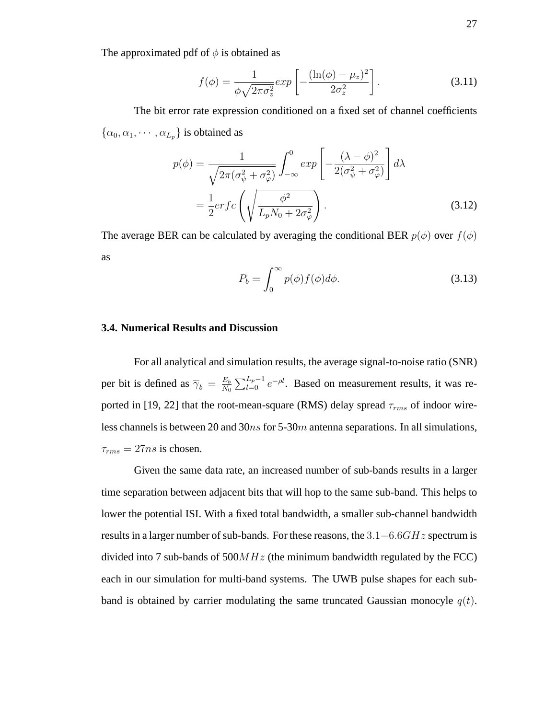The approximated pdf of  $\phi$  is obtained as

$$
f(\phi) = \frac{1}{\phi\sqrt{2\pi\sigma_z^2}} exp\left[-\frac{(\ln(\phi) - \mu_z)^2}{2\sigma_z^2}\right].
$$
\n(3.11)

The bit error rate expression conditioned on a fixed set of channel coefficients  $\{\alpha_0, \alpha_1, \cdots, \alpha_{L_p}\}$  is obtained as

$$
p(\phi) = \frac{1}{\sqrt{2\pi(\sigma_{\psi}^2 + \sigma_{\varphi}^2)}} \int_{-\infty}^{0} exp\left[-\frac{(\lambda - \phi)^2}{2(\sigma_{\psi}^2 + \sigma_{\varphi}^2)}\right] d\lambda
$$
  
= 
$$
\frac{1}{2} erfc\left(\sqrt{\frac{\phi^2}{L_p N_0 + 2\sigma_{\varphi}^2}}\right).
$$
 (3.12)

The average BER can be calculated by averaging the conditional BER  $p(\phi)$  over  $f(\phi)$ as

$$
P_b = \int_0^\infty p(\phi) f(\phi) d\phi.
$$
 (3.13)

### **3.4. Numerical Results and Discussion**

For all analytical and simulation results, the average signal-to-noise ratio (SNR) per bit is defined as  $\overline{\gamma}_b = \frac{E_b}{N_0} \sum_{l=0}^{L_p-1} e^{-\rho l}$ . Based on measurement results, it was reported in [19, 22] that the root-mean-square (RMS) delay spread  $\tau_{rms}$  of indoor wireless channels is between 20 and 30 $ns$  for 5-30 $m$  antenna separations. In all simulations,  $\tau_{rms} = 27ns$  is chosen.

Given the same data rate, an increased number of sub-bands results in a larger time separation between adjacent bits that will hop to the same sub-band. This helps to lower the potential ISI. With a fixed total bandwidth, a smaller sub-channel bandwidth results in a larger number of sub-bands. For these reasons, the 3.1−6.6GHz spectrum is divided into 7 sub-bands of  $500MHz$  (the minimum bandwidth regulated by the FCC) each in our simulation for multi-band systems. The UWB pulse shapes for each subband is obtained by carrier modulating the same truncated Gaussian monocyle  $q(t)$ .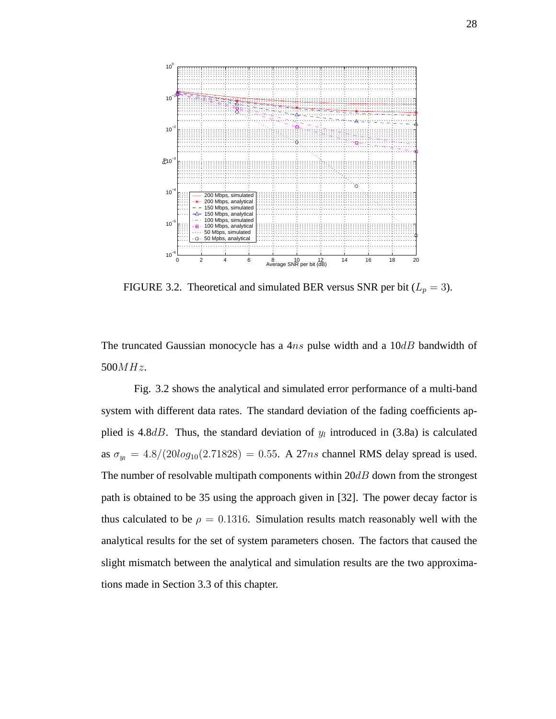

FIGURE 3.2. Theoretical and simulated BER versus SNR per bit  $(L_p = 3)$ .

The truncated Gaussian monocycle has a  $4ns$  pulse width and a  $10dB$  bandwidth of 500MHz.

Fig. 3.2 shows the analytical and simulated error performance of a multi-band system with different data rates. The standard deviation of the fading coefficients applied is 4.8dB. Thus, the standard deviation of  $y_l$  introduced in (3.8a) is calculated as  $\sigma_{y_l} = 4.8/(20 \log_{10}(2.71828) = 0.55$ . A 27ns channel RMS delay spread is used. The number of resolvable multipath components within  $20dB$  down from the strongest path is obtained to be 35 using the approach given in [32]. The power decay factor is thus calculated to be  $\rho = 0.1316$ . Simulation results match reasonably well with the analytical results for the set of system parameters chosen. The factors that caused the slight mismatch between the analytical and simulation results are the two approximations made in Section 3.3 of this chapter.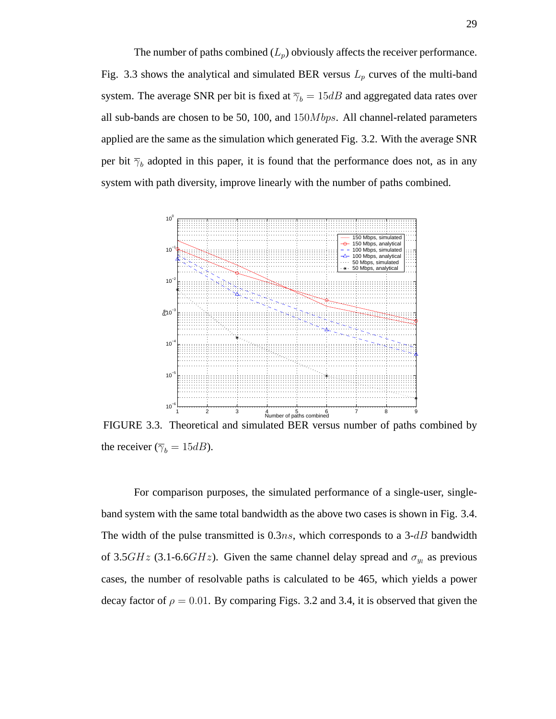The number of paths combined  $(L_p)$  obviously affects the receiver performance. Fig. 3.3 shows the analytical and simulated BER versus  $L_p$  curves of the multi-band system. The average SNR per bit is fixed at  $\overline{\gamma}_b = 15dB$  and aggregated data rates over all sub-bands are chosen to be 50, 100, and  $150Mbps$ . All channel-related parameters applied are the same as the simulation which generated Fig. 3.2. With the average SNR per bit  $\overline{\gamma}_b$  adopted in this paper, it is found that the performance does not, as in any system with path diversity, improve linearly with the number of paths combined.



FIGURE 3.3. Theoretical and simulated BER versus number of paths combined by the receiver ( $\overline{\gamma}_b = 15dB$ ).

For comparison purposes, the simulated performance of a single-user, singleband system with the same total bandwidth as the above two cases is shown in Fig. 3.4. The width of the pulse transmitted is  $0.3ns$ , which corresponds to a  $3-dB$  bandwidth of 3.5GHz (3.1-6.6GHz). Given the same channel delay spread and  $\sigma_{y_l}$  as previous cases, the number of resolvable paths is calculated to be 465, which yields a power decay factor of  $\rho = 0.01$ . By comparing Figs. 3.2 and 3.4, it is observed that given the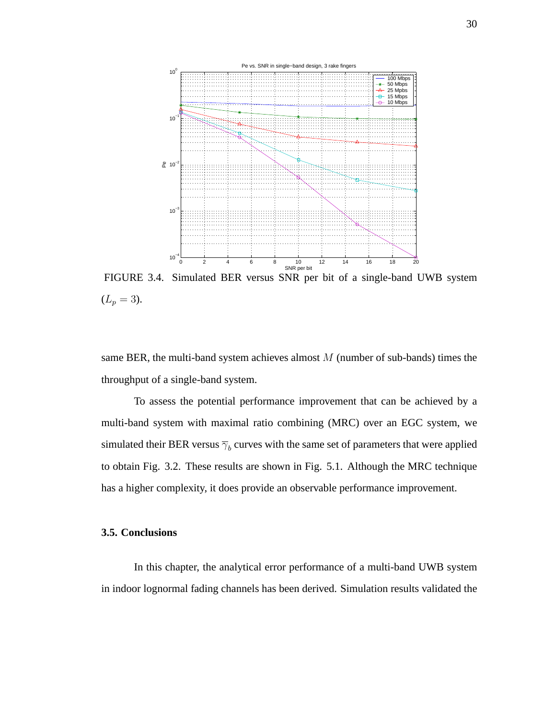

FIGURE 3.4. Simulated BER versus SNR per bit of a single-band UWB system  $(L_p = 3)$ .

same BER, the multi-band system achieves almost M (number of sub-bands) times the throughput of a single-band system.

To assess the potential performance improvement that can be achieved by a multi-band system with maximal ratio combining (MRC) over an EGC system, we simulated their BER versus  $\overline{\gamma}_b$  curves with the same set of parameters that were applied to obtain Fig. 3.2. These results are shown in Fig. 5.1. Although the MRC technique has a higher complexity, it does provide an observable performance improvement.

# **3.5. Conclusions**

In this chapter, the analytical error performance of a multi-band UWB system in indoor lognormal fading channels has been derived. Simulation results validated the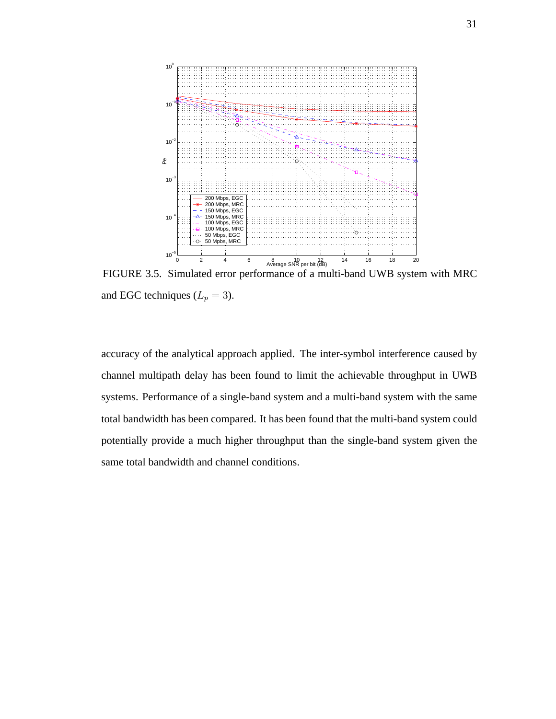

FIGURE 3.5. Simulated error performance of a multi-band UWB system with MRC and EGC techniques  $(L_p = 3)$ .

accuracy of the analytical approach applied. The inter-symbol interference caused by channel multipath delay has been found to limit the achievable throughput in UWB systems. Performance of a single-band system and a multi-band system with the same total bandwidth has been compared. It has been found that the multi-band system could potentially provide a much higher throughput than the single-band system given the same total bandwidth and channel conditions.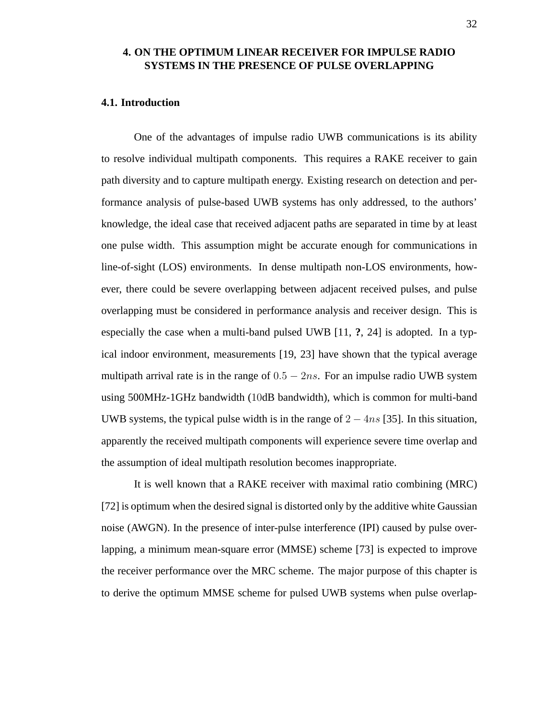# **4. ON THE OPTIMUM LINEAR RECEIVER FOR IMPULSE RADIO SYSTEMS IN THE PRESENCE OF PULSE OVERLAPPING**

### **4.1. Introduction**

One of the advantages of impulse radio UWB communications is its ability to resolve individual multipath components. This requires a RAKE receiver to gain path diversity and to capture multipath energy. Existing research on detection and performance analysis of pulse-based UWB systems has only addressed, to the authors' knowledge, the ideal case that received adjacent paths are separated in time by at least one pulse width. This assumption might be accurate enough for communications in line-of-sight (LOS) environments. In dense multipath non-LOS environments, however, there could be severe overlapping between adjacent received pulses, and pulse overlapping must be considered in performance analysis and receiver design. This is especially the case when a multi-band pulsed UWB [11, **?**, 24] is adopted. In a typical indoor environment, measurements [19, 23] have shown that the typical average multipath arrival rate is in the range of  $0.5 - 2ns$ . For an impulse radio UWB system using 500MHz-1GHz bandwidth (10dB bandwidth), which is common for multi-band UWB systems, the typical pulse width is in the range of  $2 - 4ns$  [35]. In this situation, apparently the received multipath components will experience severe time overlap and the assumption of ideal multipath resolution becomes inappropriate.

It is well known that a RAKE receiver with maximal ratio combining (MRC) [72] is optimum when the desired signal is distorted only by the additive white Gaussian noise (AWGN). In the presence of inter-pulse interference (IPI) caused by pulse overlapping, a minimum mean-square error (MMSE) scheme [73] is expected to improve the receiver performance over the MRC scheme. The major purpose of this chapter is to derive the optimum MMSE scheme for pulsed UWB systems when pulse overlap-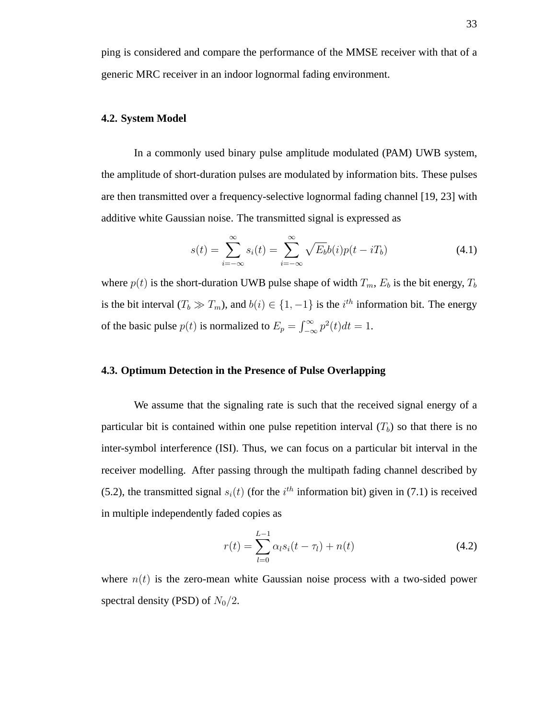ping is considered and compare the performance of the MMSE receiver with that of a generic MRC receiver in an indoor lognormal fading environment.

### **4.2. System Model**

In a commonly used binary pulse amplitude modulated (PAM) UWB system, the amplitude of short-duration pulses are modulated by information bits. These pulses are then transmitted over a frequency-selective lognormal fading channel [19, 23] with additive white Gaussian noise. The transmitted signal is expressed as

$$
s(t) = \sum_{i = -\infty}^{\infty} s_i(t) = \sum_{i = -\infty}^{\infty} \sqrt{E_b} b(i) p(t - iT_b)
$$
\n(4.1)

where  $p(t)$  is the short-duration UWB pulse shape of width  $T_m$ ,  $E_b$  is the bit energy,  $T_b$ is the bit interval  $(T_b \gg T_m)$ , and  $b(i) \in \{1, -1\}$  is the  $i^{th}$  information bit. The energy of the basic pulse  $p(t)$  is normalized to  $E_p = \int_{-\infty}^{\infty} p^2(t)dt = 1$ .

### **4.3. Optimum Detection in the Presence of Pulse Overlapping**

We assume that the signaling rate is such that the received signal energy of a particular bit is contained within one pulse repetition interval  $(T_b)$  so that there is no inter-symbol interference (ISI). Thus, we can focus on a particular bit interval in the receiver modelling. After passing through the multipath fading channel described by (5.2), the transmitted signal  $s_i(t)$  (for the  $i^{th}$  information bit) given in (7.1) is received in multiple independently faded copies as

$$
r(t) = \sum_{l=0}^{L-1} \alpha_l s_i(t - \tau_l) + n(t)
$$
\n(4.2)

where  $n(t)$  is the zero-mean white Gaussian noise process with a two-sided power spectral density (PSD) of  $N_0/2$ .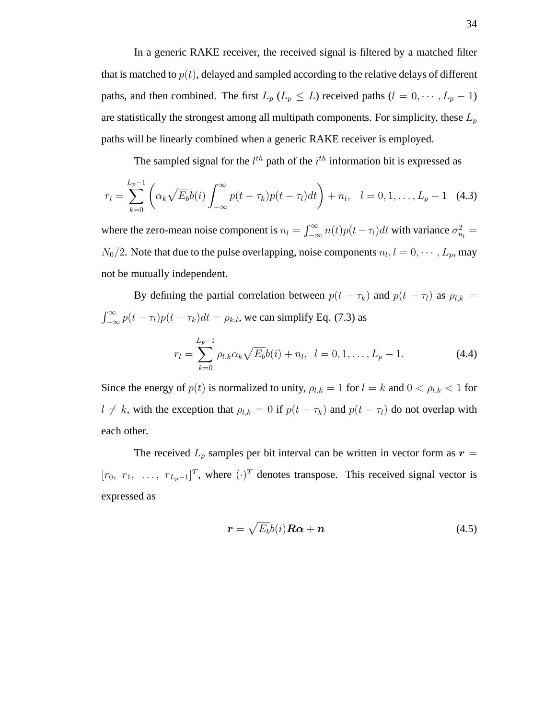In a generic RAKE receiver, the received signal is filtered by a matched filter that is matched to  $p(t)$ , delayed and sampled according to the relative delays of different paths, and then combined. The first  $L_p$  ( $L_p \leq L$ ) received paths ( $l = 0, \dots, L_p - 1$ ) are statistically the strongest among all multipath components. For simplicity, these  $L_p$ paths will be linearly combined when a generic RAKE receiver is employed.

The sampled signal for the  $l^{th}$  path of the  $i^{th}$  information bit is expressed as

$$
r_l = \sum_{k=0}^{L_p-1} \left( \alpha_k \sqrt{E_b} b(i) \int_{-\infty}^{\infty} p(t-\tau_k) p(t-\tau_l) dt \right) + n_l, \quad l = 0, 1, \dots, L_p - 1 \quad (4.3)
$$

where the zero-mean noise component is  $n_l = \int_{-\infty}^{\infty} n(t)p(t-\tau_l)dt$  with variance  $\sigma_{n_l}^2 =$  $N_0/2$ . Note that due to the pulse overlapping, noise components  $n_l$ ,  $l = 0, \dots, L_p$ , may not be mutually independent.

By defining the partial correlation between  $p(t - \tau_k)$  and  $p(t - \tau_l)$  as  $\rho_{l,k}$  =  $\int_{-\infty}^{\infty} p(t - \tau) p(t - \tau_k) dt = \rho_{k,l}$ , we can simplify Eq. (7.3) as

$$
r_l = \sum_{k=0}^{L_p - 1} \rho_{l,k} \alpha_k \sqrt{E_b} b(i) + n_l, \quad l = 0, 1, \dots, L_p - 1.
$$
 (4.4)

Since the energy of  $p(t)$  is normalized to unity,  $\rho_{l,k} = 1$  for  $l = k$  and  $0 < \rho_{l,k} < 1$  for  $l \neq k$ , with the exception that  $\rho_{l,k} = 0$  if  $p(t - \tau_k)$  and  $p(t - \tau_l)$  do not overlap with each other.

The received  $L_p$  samples per bit interval can be written in vector form as  $r =$  $[r_0, r_1, \ldots, r_{L_p-1}]^T$ , where  $(\cdot)^T$  denotes transpose. This received signal vector is expressed as

$$
r = \sqrt{E_b}b(i)\mathbf{R}\alpha + \mathbf{n} \tag{4.5}
$$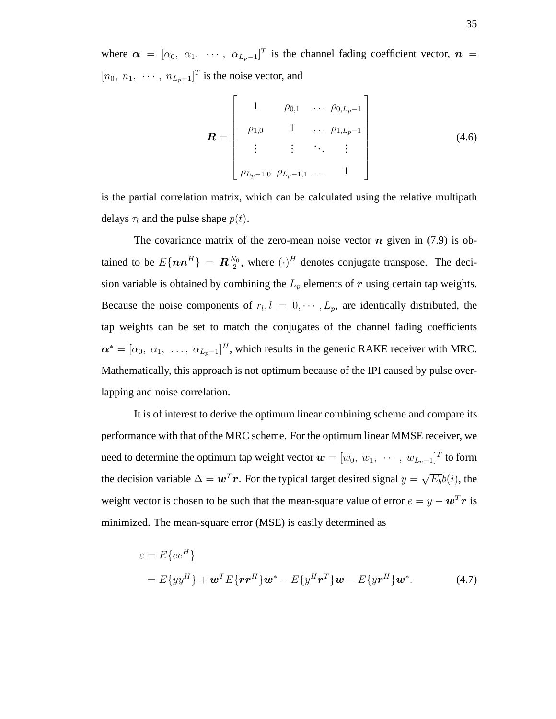where  $\alpha = [\alpha_0, \alpha_1, \cdots, \alpha_{L_p-1}]^T$  is the channel fading coefficient vector,  $n =$  $[n_0, n_1, \cdots, n_{L_p-1}]^T$  is the noise vector, and

$$
\boldsymbol{R} = \begin{bmatrix} 1 & \rho_{0,1} & \dots & \rho_{0,L_p-1} \\ \rho_{1,0} & 1 & \dots & \rho_{1,L_p-1} \\ \vdots & \vdots & \ddots & \vdots \\ \rho_{L_p-1,0} & \rho_{L_p-1,1} & \dots & 1 \end{bmatrix}
$$
(4.6)

is the partial correlation matrix, which can be calculated using the relative multipath delays  $\tau_l$  and the pulse shape  $p(t)$ .

The covariance matrix of the zero-mean noise vector  $n$  given in (7.9) is obtained to be  $E\{nn^H\} = \mathbf{R}\frac{N_0}{2}$ , where  $(\cdot)^H$  denotes conjugate transpose. The decision variable is obtained by combining the  $L_p$  elements of  $r$  using certain tap weights. Because the noise components of  $r_l, l = 0, \dots, L_p$ , are identically distributed, the tap weights can be set to match the conjugates of the channel fading coefficients  $\boldsymbol{\alpha}^* = [\alpha_0, \alpha_1, \ldots, \alpha_{L_p-1}]^H$ , which results in the generic RAKE receiver with MRC. Mathematically, this approach is not optimum because of the IPI caused by pulse overlapping and noise correlation.

It is of interest to derive the optimum linear combining scheme and compare its performance with that of the MRC scheme. For the optimum linear MMSE receiver, we need to determine the optimum tap weight vector  $\bm{w} = [w_0, \ w_1, \ \cdots, \ w_{L_p-1}]^T$  to form the decision variable  $\Delta = \mathbf{w}^T \mathbf{r}$ . For the typical target desired signal  $y = \sqrt{E_b} b(i)$ , the weight vector is chosen to be such that the mean-square value of error  $e = y - \mathbf{w}^T \mathbf{r}$  is minimized. The mean-square error (MSE) is easily determined as

$$
\varepsilon = E\{ee^{H}\}\
$$
  
=  $E\{yy^{H}\} + \boldsymbol{w}^{T}E\{\boldsymbol{r}\boldsymbol{r}^{H}\}\boldsymbol{w}^{*} - E\{y^{H}\boldsymbol{r}^{T}\}\boldsymbol{w} - E\{y\boldsymbol{r}^{H}\}\boldsymbol{w}^{*}.$  (4.7)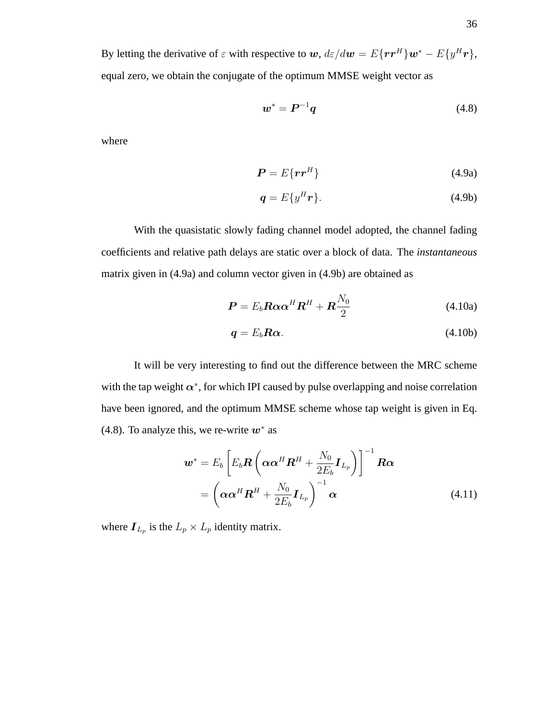By letting the derivative of  $\varepsilon$  with respective to *w*,  $d\varepsilon/dw = E\{rr^H\}w^* - E\{y^Hr\}$ , equal zero, we obtain the conjugate of the optimum MMSE weight vector as

$$
\boldsymbol{w}^* = \boldsymbol{P}^{-1}\boldsymbol{q} \tag{4.8}
$$

where

$$
P = E\{rr^H\} \tag{4.9a}
$$

$$
\boldsymbol{q} = E\{y^H \boldsymbol{r}\}.
$$
\n(4.9b)

With the quasistatic slowly fading channel model adopted, the channel fading coefficients and relative path delays are static over a block of data. The *instantaneous* matrix given in (4.9a) and column vector given in (4.9b) are obtained as

$$
\boldsymbol{P} = E_b \boldsymbol{R} \boldsymbol{\alpha} \boldsymbol{\alpha}^H \boldsymbol{R}^H + \boldsymbol{R} \frac{N_0}{2}
$$
 (4.10a)

$$
\boldsymbol{q} = E_b \boldsymbol{R} \boldsymbol{\alpha}.\tag{4.10b}
$$

It will be very interesting to find out the difference between the MRC scheme with the tap weight  $\alpha^*$ , for which IPI caused by pulse overlapping and noise correlation have been ignored, and the optimum MMSE scheme whose tap weight is given in Eq. (4.8). To analyze this, we re-write  $w^*$  as

$$
\boldsymbol{w}^* = E_b \left[ E_b \boldsymbol{R} \left( \boldsymbol{\alpha} \boldsymbol{\alpha}^H \boldsymbol{R}^H + \frac{N_0}{2E_b} \boldsymbol{I}_{L_p} \right) \right]^{-1} \boldsymbol{R} \boldsymbol{\alpha} = \left( \boldsymbol{\alpha} \boldsymbol{\alpha}^H \boldsymbol{R}^H + \frac{N_0}{2E_b} \boldsymbol{I}_{L_p} \right)^{-1} \boldsymbol{\alpha}
$$
(4.11)

where  $I_{L_p}$  is the  $L_p \times L_p$  identity matrix.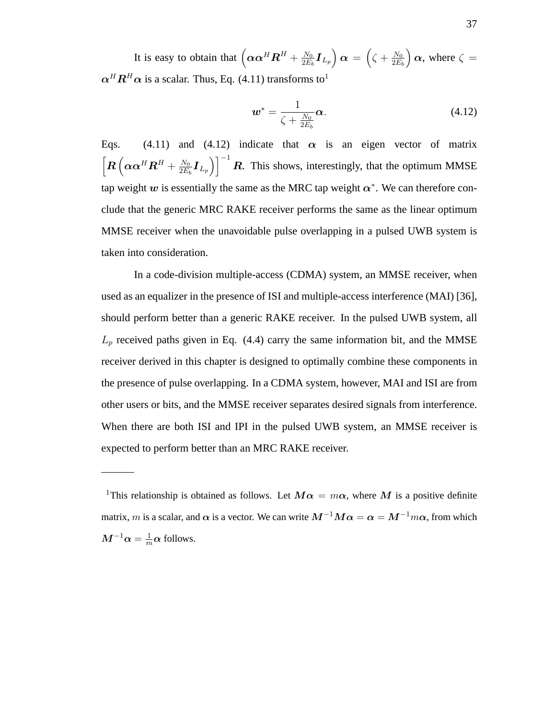It is easy to obtain that  $\left(\alpha \alpha^H \bm{R}^H + \frac{N_0}{2E_b} \bm{I}_{L_p}\right) \alpha = \left(\zeta + \frac{N_0}{2E_b}\right)$  $\alpha$ , where  $\zeta =$  $\alpha^H \mathbf{R}^H \alpha$  is a scalar. Thus, Eq. (4.11) transforms to<sup>1</sup>

$$
\boldsymbol{w}^* = \frac{1}{\zeta + \frac{N_0}{2E_b}} \boldsymbol{\alpha}.
$$
\n(4.12)

Eqs. (4.11) and (4.12) indicate that  $\alpha$  is an eigen vector of matrix  $\left[ R\left( \alpha \alpha^H R^H + \frac{N_0}{2E_b} I_{L_p} \right) \right]^{-1} R$ . This shows, interestingly, that the optimum MMSE tap weight  $w$  is essentially the same as the MRC tap weight  $\alpha^*$ . We can therefore conclude that the generic MRC RAKE receiver performs the same as the linear optimum MMSE receiver when the unavoidable pulse overlapping in a pulsed UWB system is taken into consideration.

In a code-division multiple-access (CDMA) system, an MMSE receiver, when used as an equalizer in the presence of ISI and multiple-access interference (MAI) [36], should perform better than a generic RAKE receiver. In the pulsed UWB system, all  $L_p$  received paths given in Eq. (4.4) carry the same information bit, and the MMSE receiver derived in this chapter is designed to optimally combine these components in the presence of pulse overlapping. In a CDMA system, however, MAI and ISI are from other users or bits, and the MMSE receiver separates desired signals from interference. When there are both ISI and IPI in the pulsed UWB system, an MMSE receiver is expected to perform better than an MRC RAKE receiver.

<sup>1</sup>This relationship is obtained as follows. Let  $M\alpha = m\alpha$ , where M is a positive definite matrix, m is a scalar, and  $\alpha$  is a vector. We can write  $M^{-1}M\alpha = \alpha = M^{-1}m\alpha$ , from which  $\boldsymbol{M}^{-1}\boldsymbol{\alpha} = \frac{1}{m}\boldsymbol{\alpha}$  follows.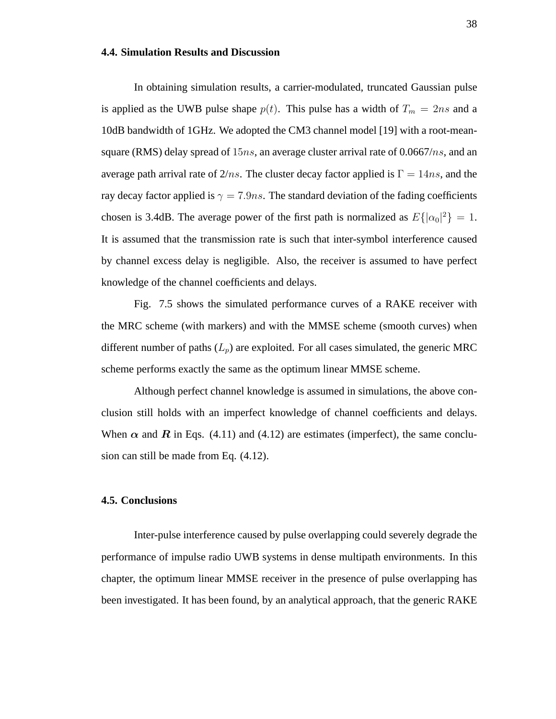### **4.4. Simulation Results and Discussion**

In obtaining simulation results, a carrier-modulated, truncated Gaussian pulse is applied as the UWB pulse shape  $p(t)$ . This pulse has a width of  $T_m = 2ns$  and a 10dB bandwidth of 1GHz. We adopted the CM3 channel model [19] with a root-meansquare (RMS) delay spread of  $15ns$ , an average cluster arrival rate of 0.0667/ns, and an average path arrival rate of  $2/ns$ . The cluster decay factor applied is  $\Gamma = 14ns$ , and the ray decay factor applied is  $\gamma = 7.9$ ns. The standard deviation of the fading coefficients chosen is 3.4dB. The average power of the first path is normalized as  $E\{|\alpha_0|^2\} = 1$ . It is assumed that the transmission rate is such that inter-symbol interference caused by channel excess delay is negligible. Also, the receiver is assumed to have perfect knowledge of the channel coefficients and delays.

Fig. 7.5 shows the simulated performance curves of a RAKE receiver with the MRC scheme (with markers) and with the MMSE scheme (smooth curves) when different number of paths  $(L_p)$  are exploited. For all cases simulated, the generic MRC scheme performs exactly the same as the optimum linear MMSE scheme.

Although perfect channel knowledge is assumed in simulations, the above conclusion still holds with an imperfect knowledge of channel coefficients and delays. When  $\alpha$  and  $\hat{R}$  in Eqs. (4.11) and (4.12) are estimates (imperfect), the same conclusion can still be made from Eq. (4.12).

# **4.5. Conclusions**

Inter-pulse interference caused by pulse overlapping could severely degrade the performance of impulse radio UWB systems in dense multipath environments. In this chapter, the optimum linear MMSE receiver in the presence of pulse overlapping has been investigated. It has been found, by an analytical approach, that the generic RAKE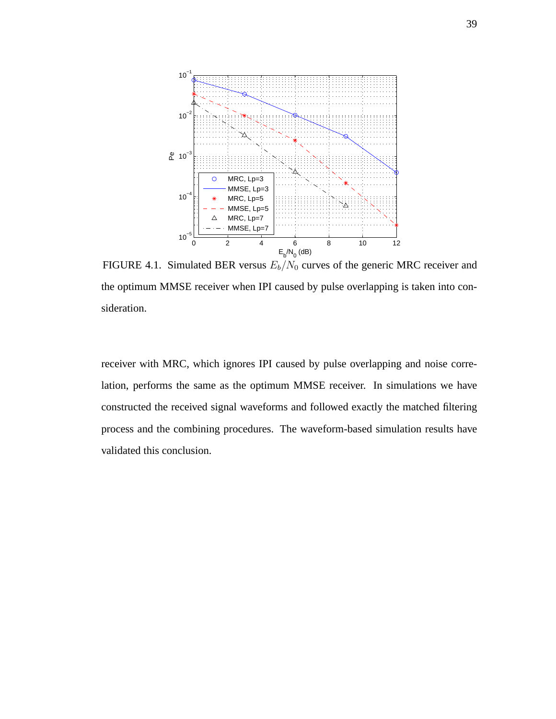

FIGURE 4.1. Simulated BER versus  $E_b/N_0$  curves of the generic MRC receiver and the optimum MMSE receiver when IPI caused by pulse overlapping is taken into consideration.

receiver with MRC, which ignores IPI caused by pulse overlapping and noise correlation, performs the same as the optimum MMSE receiver. In simulations we have constructed the received signal waveforms and followed exactly the matched filtering process and the combining procedures. The waveform-based simulation results have validated this conclusion.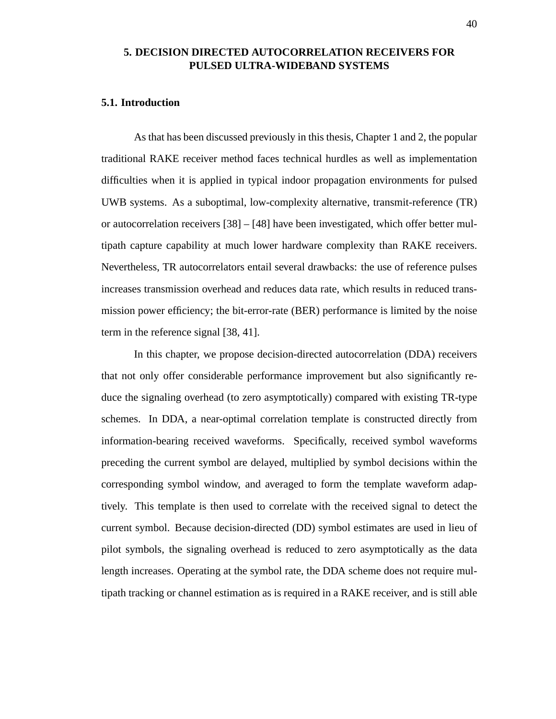# **5. DECISION DIRECTED AUTOCORRELATION RECEIVERS FOR PULSED ULTRA-WIDEBAND SYSTEMS**

### **5.1. Introduction**

As that has been discussed previously in this thesis, Chapter 1 and 2, the popular traditional RAKE receiver method faces technical hurdles as well as implementation difficulties when it is applied in typical indoor propagation environments for pulsed UWB systems. As a suboptimal, low-complexity alternative, transmit-reference (TR) or autocorrelation receivers [38] – [48] have been investigated, which offer better multipath capture capability at much lower hardware complexity than RAKE receivers. Nevertheless, TR autocorrelators entail several drawbacks: the use of reference pulses increases transmission overhead and reduces data rate, which results in reduced transmission power efficiency; the bit-error-rate (BER) performance is limited by the noise term in the reference signal [38, 41].

In this chapter, we propose decision-directed autocorrelation (DDA) receivers that not only offer considerable performance improvement but also significantly reduce the signaling overhead (to zero asymptotically) compared with existing TR-type schemes. In DDA, a near-optimal correlation template is constructed directly from information-bearing received waveforms. Specifically, received symbol waveforms preceding the current symbol are delayed, multiplied by symbol decisions within the corresponding symbol window, and averaged to form the template waveform adaptively. This template is then used to correlate with the received signal to detect the current symbol. Because decision-directed (DD) symbol estimates are used in lieu of pilot symbols, the signaling overhead is reduced to zero asymptotically as the data length increases. Operating at the symbol rate, the DDA scheme does not require multipath tracking or channel estimation as is required in a RAKE receiver, and is still able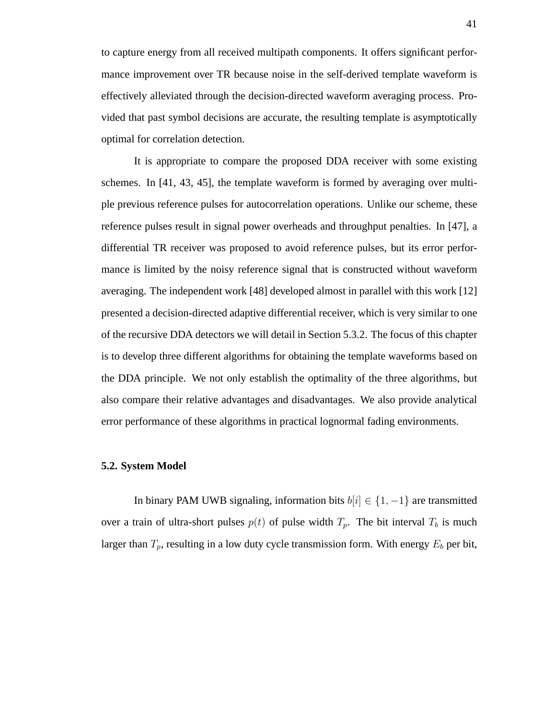to capture energy from all received multipath components. It offers significant performance improvement over TR because noise in the self-derived template waveform is effectively alleviated through the decision-directed waveform averaging process. Provided that past symbol decisions are accurate, the resulting template is asymptotically optimal for correlation detection.

It is appropriate to compare the proposed DDA receiver with some existing schemes. In [41, 43, 45], the template waveform is formed by averaging over multiple previous reference pulses for autocorrelation operations. Unlike our scheme, these reference pulses result in signal power overheads and throughput penalties. In [47], a differential TR receiver was proposed to avoid reference pulses, but its error performance is limited by the noisy reference signal that is constructed without waveform averaging. The independent work [48] developed almost in parallel with this work [12] presented a decision-directed adaptive differential receiver, which is very similar to one of the recursive DDA detectors we will detail in Section 5.3.2. The focus of this chapter is to develop three different algorithms for obtaining the template waveforms based on the DDA principle. We not only establish the optimality of the three algorithms, but also compare their relative advantages and disadvantages. We also provide analytical error performance of these algorithms in practical lognormal fading environments.

## **5.2. System Model**

In binary PAM UWB signaling, information bits  $b[i] \in \{1, -1\}$  are transmitted over a train of ultra-short pulses  $p(t)$  of pulse width  $T_p$ . The bit interval  $T_b$  is much larger than  $T_p$ , resulting in a low duty cycle transmission form. With energy  $E_b$  per bit,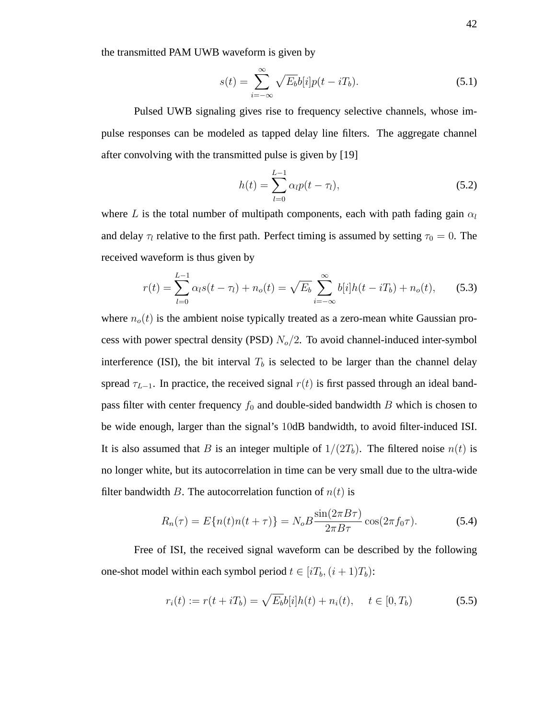the transmitted PAM UWB waveform is given by

$$
s(t) = \sum_{i = -\infty}^{\infty} \sqrt{E_b} b[i] p(t - iT_b).
$$
 (5.1)

Pulsed UWB signaling gives rise to frequency selective channels, whose impulse responses can be modeled as tapped delay line filters. The aggregate channel after convolving with the transmitted pulse is given by [19]

$$
h(t) = \sum_{l=0}^{L-1} \alpha_l p(t - \tau_l),
$$
\n(5.2)

where L is the total number of multipath components, each with path fading gain  $\alpha_l$ and delay  $\tau_l$  relative to the first path. Perfect timing is assumed by setting  $\tau_0 = 0$ . The received waveform is thus given by

$$
r(t) = \sum_{l=0}^{L-1} \alpha_l s(t - \tau_l) + n_o(t) = \sqrt{E_b} \sum_{i=-\infty}^{\infty} b[i] h(t - iT_b) + n_o(t), \quad (5.3)
$$

where  $n_o(t)$  is the ambient noise typically treated as a zero-mean white Gaussian process with power spectral density (PSD)  $N_o/2$ . To avoid channel-induced inter-symbol interference (ISI), the bit interval  $T<sub>b</sub>$  is selected to be larger than the channel delay spread  $\tau_{L-1}$ . In practice, the received signal  $r(t)$  is first passed through an ideal bandpass filter with center frequency  $f_0$  and double-sided bandwidth  $B$  which is chosen to be wide enough, larger than the signal's 10dB bandwidth, to avoid filter-induced ISI. It is also assumed that B is an integer multiple of  $1/(2T_b)$ . The filtered noise  $n(t)$  is no longer white, but its autocorrelation in time can be very small due to the ultra-wide filter bandwidth B. The autocorrelation function of  $n(t)$  is

$$
R_n(\tau) = E\{n(t)n(t+\tau)\} = N_o B \frac{\sin(2\pi B\tau)}{2\pi B\tau} \cos(2\pi f_0 \tau).
$$
 (5.4)

Free of ISI, the received signal waveform can be described by the following one-shot model within each symbol period  $t \in [iT_b, (i+1)T_b)$ :

$$
r_i(t) := r(t + iT_b) = \sqrt{E_b}b[i]h(t) + n_i(t), \quad t \in [0, T_b)
$$
\n(5.5)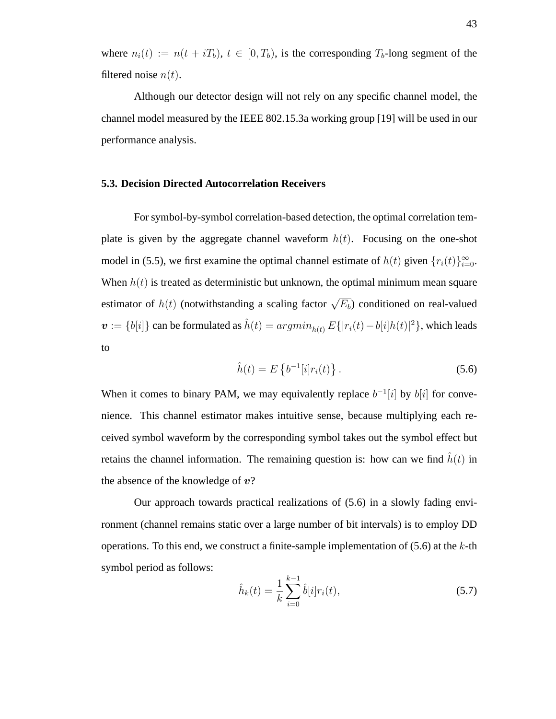where  $n_i(t) := n(t + iT_b)$ ,  $t \in [0, T_b)$ , is the corresponding  $T_b$ -long segment of the filtered noise  $n(t)$ .

Although our detector design will not rely on any specific channel model, the channel model measured by the IEEE 802.15.3a working group [19] will be used in our performance analysis.

#### **5.3. Decision Directed Autocorrelation Receivers**

For symbol-by-symbol correlation-based detection, the optimal correlation template is given by the aggregate channel waveform  $h(t)$ . Focusing on the one-shot model in (5.5), we first examine the optimal channel estimate of  $h(t)$  given  $\{r_i(t)\}_{i=0}^{\infty}$ . When  $h(t)$  is treated as deterministic but unknown, the optimal minimum mean square estimator of  $h(t)$  (notwithstanding a scaling factor  $\sqrt{E_b}$ ) conditioned on real-valued  $\boldsymbol{v} := \{b[i]\}$  can be formulated as  $\hat{h}(t) = argmin_{h(t)} E\{|r_i(t) - b[i]h(t)|^2\}$ , which leads to

$$
\hat{h}(t) = E\left\{b^{-1}[i]r_i(t)\right\}.
$$
\n(5.6)

When it comes to binary PAM, we may equivalently replace  $b^{-1}[i]$  by  $b[i]$  for convenience. This channel estimator makes intuitive sense, because multiplying each received symbol waveform by the corresponding symbol takes out the symbol effect but retains the channel information. The remaining question is: how can we find  $\hat{h}(t)$  in the absence of the knowledge of *v*?

Our approach towards practical realizations of (5.6) in a slowly fading environment (channel remains static over a large number of bit intervals) is to employ DD operations. To this end, we construct a finite-sample implementation of  $(5.6)$  at the k-th symbol period as follows:

$$
\hat{h}_k(t) = \frac{1}{k} \sum_{i=0}^{k-1} \hat{b}[i] r_i(t),
$$
\n(5.7)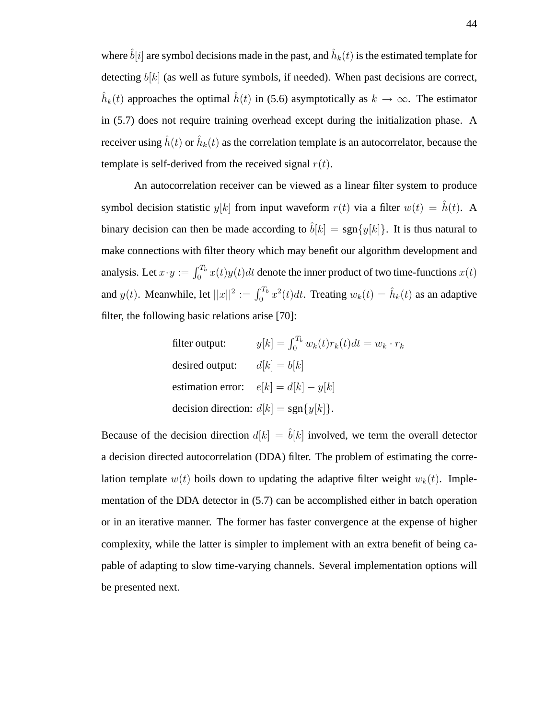where  $\hat{b}[i]$  are symbol decisions made in the past, and  $\hat{h}_k(t)$  is the estimated template for detecting  $b[k]$  (as well as future symbols, if needed). When past decisions are correct,  $\hat{h}_k(t)$  approaches the optimal  $\hat{h}(t)$  in (5.6) asymptotically as  $k \to \infty$ . The estimator in (5.7) does not require training overhead except during the initialization phase. A receiver using  $\hat{h}(t)$  or  $\hat{h}_k(t)$  as the correlation template is an autocorrelator, because the template is self-derived from the received signal  $r(t)$ .

An autocorrelation receiver can be viewed as a linear filter system to produce symbol decision statistic y[k] from input waveform  $r(t)$  via a filter  $w(t) = \hat{h}(t)$ . A binary decision can then be made according to  $\hat{b}[k] = \text{sgn}\{y[k]\}\$ . It is thus natural to make connections with filter theory which may benefit our algorithm development and analysis. Let  $x \cdot y := \int_0^{T_b} x(t)y(t)dt$  denote the inner product of two time-functions  $x(t)$ and  $y(t)$ . Meanwhile, let  $||x||^2 := \int_0^{T_b} x^2(t)dt$ . Treating  $w_k(t) = \hat{h}_k(t)$  as an adaptive filter, the following basic relations arise [70]:

| filter output:                                   | $y[k] = \int_0^{T_b} w_k(t) r_k(t) dt = w_k \cdot r_k$ |
|--------------------------------------------------|--------------------------------------------------------|
| desired output: $d[k] = b[k]$                    |                                                        |
| estimation error: $e[k] = d[k] - y[k]$           |                                                        |
| decision direction: $d[k] = \text{sgn}\{y[k]\}.$ |                                                        |

Because of the decision direction  $d[k] = \hat{b}[k]$  involved, we term the overall detector a decision directed autocorrelation (DDA) filter. The problem of estimating the correlation template  $w(t)$  boils down to updating the adaptive filter weight  $w_k(t)$ . Implementation of the DDA detector in (5.7) can be accomplished either in batch operation or in an iterative manner. The former has faster convergence at the expense of higher complexity, while the latter is simpler to implement with an extra benefit of being capable of adapting to slow time-varying channels. Several implementation options will be presented next.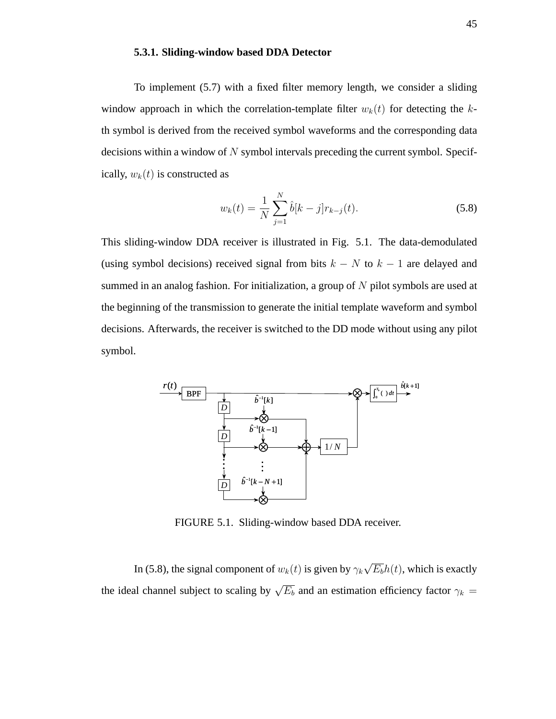#### **5.3.1. Sliding-window based DDA Detector**

To implement (5.7) with a fixed filter memory length, we consider a sliding window approach in which the correlation-template filter  $w_k(t)$  for detecting the kth symbol is derived from the received symbol waveforms and the corresponding data decisions within a window of  $N$  symbol intervals preceding the current symbol. Specifically,  $w_k(t)$  is constructed as

$$
w_k(t) = \frac{1}{N} \sum_{j=1}^{N} \hat{b}[k-j] r_{k-j}(t).
$$
 (5.8)

This sliding-window DDA receiver is illustrated in Fig. 5.1. The data-demodulated (using symbol decisions) received signal from bits  $k - N$  to  $k - 1$  are delayed and summed in an analog fashion. For initialization, a group of  $N$  pilot symbols are used at the beginning of the transmission to generate the initial template waveform and symbol decisions. Afterwards, the receiver is switched to the DD mode without using any pilot symbol.



FIGURE 5.1. Sliding-window based DDA receiver.

In (5.8), the signal component of  $w_k(t)$  is given by  $\gamma_k \sqrt{E_b} h(t)$ , which is exactly the ideal channel subject to scaling by  $\sqrt{E_b}$  and an estimation efficiency factor  $\gamma_k =$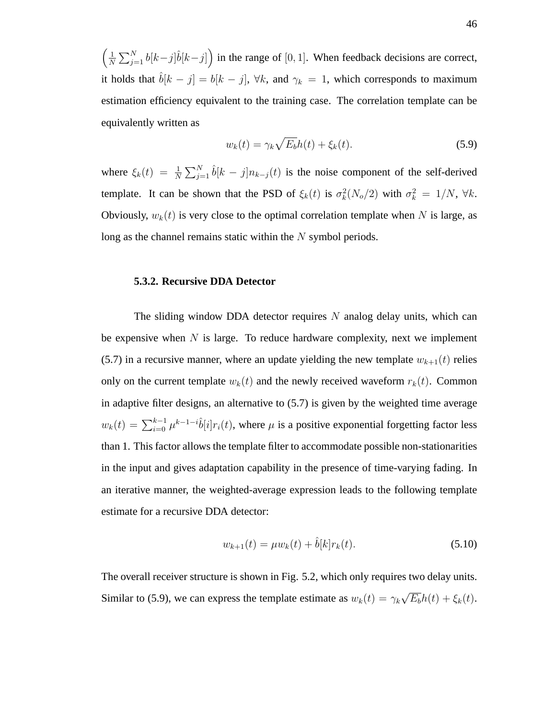$\left(\frac{1}{N}\sum_{j=1}^{N}b[k-j]\hat{b}[k-j]\right)$  in the range of [0, 1]. When feedback decisions are correct, it holds that  $\hat{b}[k-j] = b[k-j], \forall k$ , and  $\gamma_k = 1$ , which corresponds to maximum estimation efficiency equivalent to the training case. The correlation template can be equivalently written as

$$
w_k(t) = \gamma_k \sqrt{E_b} h(t) + \xi_k(t). \tag{5.9}
$$

where  $\xi_k(t) = \frac{1}{N} \sum_{j=1}^N \hat{b}[k-j] n_{k-j}(t)$  is the noise component of the self-derived template. It can be shown that the PSD of  $\xi_k(t)$  is  $\sigma_k^2(N_o/2)$  with  $\sigma_k^2 = 1/N$ ,  $\forall k$ . Obviously,  $w_k(t)$  is very close to the optimal correlation template when N is large, as long as the channel remains static within the  $N$  symbol periods.

### **5.3.2. Recursive DDA Detector**

The sliding window DDA detector requires  $N$  analog delay units, which can be expensive when  $N$  is large. To reduce hardware complexity, next we implement (5.7) in a recursive manner, where an update yielding the new template  $w_{k+1}(t)$  relies only on the current template  $w_k(t)$  and the newly received waveform  $r_k(t)$ . Common in adaptive filter designs, an alternative to (5.7) is given by the weighted time average  $w_k(t) = \sum_{i=0}^{k-1} \mu^{k-1-i} \hat{b}[i] r_i(t)$ , where  $\mu$  is a positive exponential forgetting factor less than 1. This factor allows the template filter to accommodate possible non-stationarities in the input and gives adaptation capability in the presence of time-varying fading. In an iterative manner, the weighted-average expression leads to the following template estimate for a recursive DDA detector:

$$
w_{k+1}(t) = \mu w_k(t) + \hat{b}[k]r_k(t).
$$
\n(5.10)

The overall receiver structure is shown in Fig. 5.2, which only requires two delay units. Similar to (5.9), we can express the template estimate as  $w_k(t) = \gamma_k \sqrt{E_b} h(t) + \xi_k(t)$ .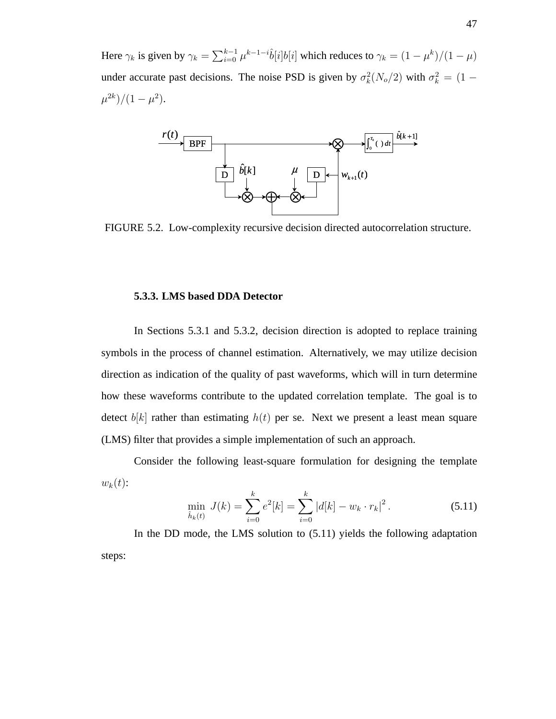Here  $\gamma_k$  is given by  $\gamma_k = \sum_{i=0}^{k-1} \mu^{k-1-i} \hat{b}[i] b[i]$  which reduces to  $\gamma_k = (1 - \mu^k)/(1 - \mu)$ under accurate past decisions. The noise PSD is given by  $\sigma_k^2(N_o/2)$  with  $\sigma_k^2 = (1 (\mu^{2k})/(1-\mu^2).$ 



FIGURE 5.2. Low-complexity recursive decision directed autocorrelation structure.

### **5.3.3. LMS based DDA Detector**

In Sections 5.3.1 and 5.3.2, decision direction is adopted to replace training symbols in the process of channel estimation. Alternatively, we may utilize decision direction as indication of the quality of past waveforms, which will in turn determine how these waveforms contribute to the updated correlation template. The goal is to detect  $b[k]$  rather than estimating  $h(t)$  per se. Next we present a least mean square (LMS) filter that provides a simple implementation of such an approach.

Consider the following least-square formulation for designing the template  $w_k(t)$ :

$$
\min_{\hat{h}_k(t)} J(k) = \sum_{i=0}^k e^2[k] = \sum_{i=0}^k |d[k] - w_k \cdot r_k|^2.
$$
\n(5.11)

In the DD mode, the LMS solution to (5.11) yields the following adaptation steps: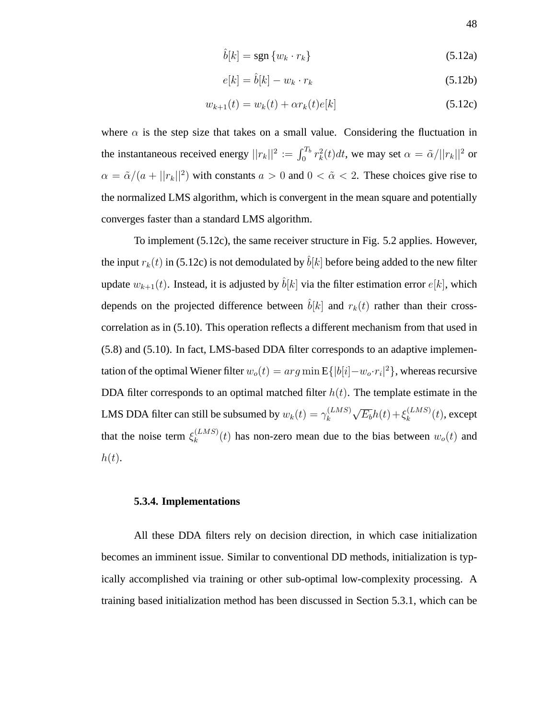$$
\hat{b}[k] = \text{sgn}\left\{w_k \cdot r_k\right\} \tag{5.12a}
$$

$$
e[k] = \hat{b}[k] - w_k \cdot r_k \tag{5.12b}
$$

$$
w_{k+1}(t) = w_k(t) + \alpha r_k(t)e[k]
$$
\n(5.12c)

where  $\alpha$  is the step size that takes on a small value. Considering the fluctuation in the instantaneous received energy  $||r_k||^2 := \int_0^{T_b} r_k^2(t)dt$ , we may set  $\alpha = \tilde{\alpha}/||r_k||^2$  or  $\alpha = \tilde{\alpha}/(a + ||r_k||^2)$  with constants  $a > 0$  and  $0 < \tilde{\alpha} < 2$ . These choices give rise to the normalized LMS algorithm, which is convergent in the mean square and potentially converges faster than a standard LMS algorithm.

To implement (5.12c), the same receiver structure in Fig. 5.2 applies. However, the input  $r_k(t)$  in (5.12c) is not demodulated by  $\hat{b}[k]$  before being added to the new filter update  $w_{k+1}(t)$ . Instead, it is adjusted by  $\hat{b}[k]$  via the filter estimation error  $e[k]$ , which depends on the projected difference between  $\hat{b}[k]$  and  $r_k(t)$  rather than their crosscorrelation as in (5.10). This operation reflects a different mechanism from that used in (5.8) and (5.10). In fact, LMS-based DDA filter corresponds to an adaptive implementation of the optimal Wiener filter  $w_o(t) = arg \min E\{|b[i] - w_o \cdot r_i|^2\}$ , whereas recursive DDA filter corresponds to an optimal matched filter  $h(t)$ . The template estimate in the LMS DDA filter can still be subsumed by  $w_k(t) = \gamma_k^{(LMS)} \sqrt{E_b} h(t) + \xi_k^{(LMS)}(t)$ , except that the noise term  $\xi_k^{(LMS)}(t)$  has non-zero mean due to the bias between  $w_o(t)$  and  $h(t)$ .

#### **5.3.4. Implementations**

All these DDA filters rely on decision direction, in which case initialization becomes an imminent issue. Similar to conventional DD methods, initialization is typically accomplished via training or other sub-optimal low-complexity processing. A training based initialization method has been discussed in Section 5.3.1, which can be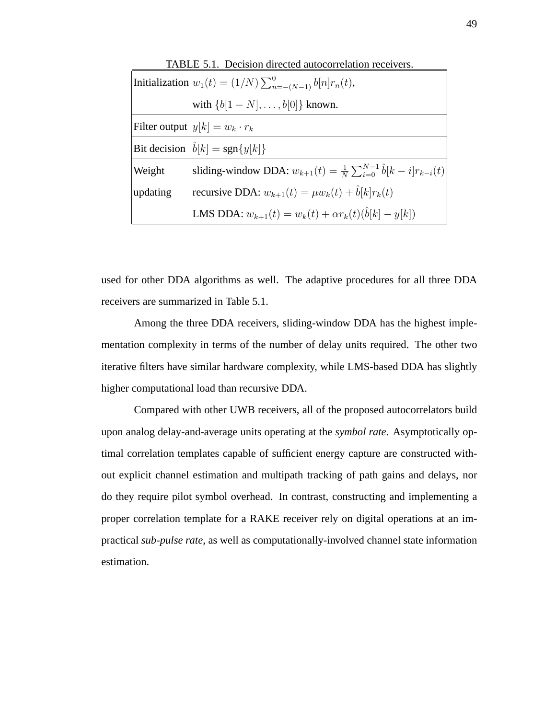|          | Initialization $w_1(t) = (1/N) \sum_{n=-N-1}^{0} b[n] r_n(t)$ ,                         |
|----------|-----------------------------------------------------------------------------------------|
|          | with $\{b[1 - N], \ldots, b[0]\}$ known.                                                |
|          | Filter output $ y[k]  = w_k \cdot r_k$                                                  |
|          | Bit decision $ \hat{b}[k] = \text{sgn}\{y[k]\} $                                        |
| Weight   | sliding-window DDA: $w_{k+1}(t) = \frac{1}{N} \sum_{i=0}^{N-1} \hat{b}[k-i] r_{k-i}(t)$ |
| updating | recursive DDA: $w_{k+1}(t) = \mu w_k(t) + \hat{b}[k]r_k(t)$                             |
|          | LMS DDA: $w_{k+1}(t) = w_k(t) + \alpha r_k(t) (\hat{b}[k] - y[k])$                      |

TABLE 5.1. Decision directed autocorrelation receivers.

used for other DDA algorithms as well. The adaptive procedures for all three DDA receivers are summarized in Table 5.1.

Among the three DDA receivers, sliding-window DDA has the highest implementation complexity in terms of the number of delay units required. The other two iterative filters have similar hardware complexity, while LMS-based DDA has slightly higher computational load than recursive DDA.

Compared with other UWB receivers, all of the proposed autocorrelators build upon analog delay-and-average units operating at the *symbol rate*. Asymptotically optimal correlation templates capable of sufficient energy capture are constructed without explicit channel estimation and multipath tracking of path gains and delays, nor do they require pilot symbol overhead. In contrast, constructing and implementing a proper correlation template for a RAKE receiver rely on digital operations at an impractical *sub-pulse rate*, as well as computationally-involved channel state information estimation.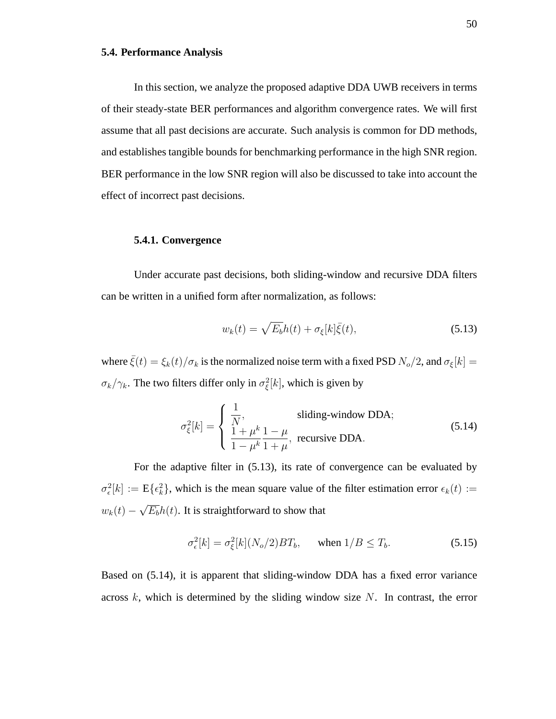### **5.4. Performance Analysis**

In this section, we analyze the proposed adaptive DDA UWB receivers in terms of their steady-state BER performances and algorithm convergence rates. We will first assume that all past decisions are accurate. Such analysis is common for DD methods, and establishes tangible bounds for benchmarking performance in the high SNR region. BER performance in the low SNR region will also be discussed to take into account the effect of incorrect past decisions.

## **5.4.1. Convergence**

Under accurate past decisions, both sliding-window and recursive DDA filters can be written in a unified form after normalization, as follows:

$$
w_k(t) = \sqrt{E_b}h(t) + \sigma_{\xi}[k]\bar{\xi}(t),
$$
\n(5.13)

where  $\bar{\xi}(t) = \xi_k(t)/\sigma_k$  is the normalized noise term with a fixed PSD  $N_o/2$ , and  $\sigma_{\xi}[k] =$  $\sigma_k/\gamma_k$ . The two filters differ only in  $\sigma_{\xi}^2[k]$ , which is given by

$$
\sigma_{\xi}^{2}[k] = \begin{cases} \frac{1}{N}, & \text{sliding-window DDA;}\\ \frac{1+\mu^{k}}{1-\mu^{k}} \frac{1-\mu}{1+\mu}, & \text{recursive DDA.} \end{cases}
$$
(5.14)

For the adaptive filter in (5.13), its rate of convergence can be evaluated by  $\sigma_{\epsilon}^2[k] := \mathbb{E}\{\epsilon_k^2\}$ , which is the mean square value of the filter estimation error  $\epsilon_k(t) :=$  $w_k(t) - \sqrt{E_b}h(t)$ . It is straightforward to show that

$$
\sigma_{\epsilon}^2[k] = \sigma_{\xi}^2[k](N_o/2)BT_b, \quad \text{when } 1/B \le T_b.
$$
\n(5.15)

Based on (5.14), it is apparent that sliding-window DDA has a fixed error variance across  $k$ , which is determined by the sliding window size  $N$ . In contrast, the error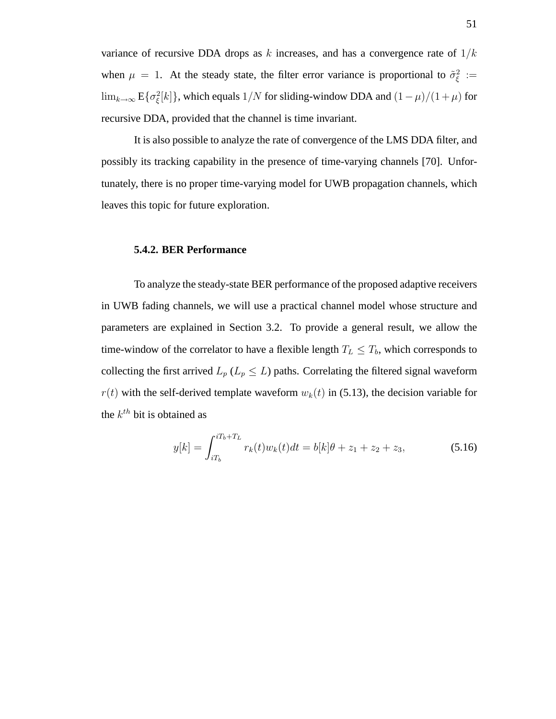variance of recursive DDA drops as k increases, and has a convergence rate of  $1/k$ when  $\mu = 1$ . At the steady state, the filter error variance is proportional to  $\tilde{\sigma}_{\xi}^2 :=$  $\lim_{k\to\infty}$  E{ $\sigma_{\xi}^2[k]$ }, which equals  $1/N$  for sliding-window DDA and  $(1-\mu)/(1+\mu)$  for recursive DDA, provided that the channel is time invariant.

It is also possible to analyze the rate of convergence of the LMS DDA filter, and possibly its tracking capability in the presence of time-varying channels [70]. Unfortunately, there is no proper time-varying model for UWB propagation channels, which leaves this topic for future exploration.

### **5.4.2. BER Performance**

To analyze the steady-state BER performance of the proposed adaptive receivers in UWB fading channels, we will use a practical channel model whose structure and parameters are explained in Section 3.2. To provide a general result, we allow the time-window of the correlator to have a flexible length  $T_L \leq T_b$ , which corresponds to collecting the first arrived  $L_p$  ( $L_p \leq L$ ) paths. Correlating the filtered signal waveform  $r(t)$  with the self-derived template waveform  $w_k(t)$  in (5.13), the decision variable for the  $k^{th}$  bit is obtained as

$$
y[k] = \int_{iT_b}^{iT_b + T_L} r_k(t)w_k(t)dt = b[k]\theta + z_1 + z_2 + z_3,
$$
\n(5.16)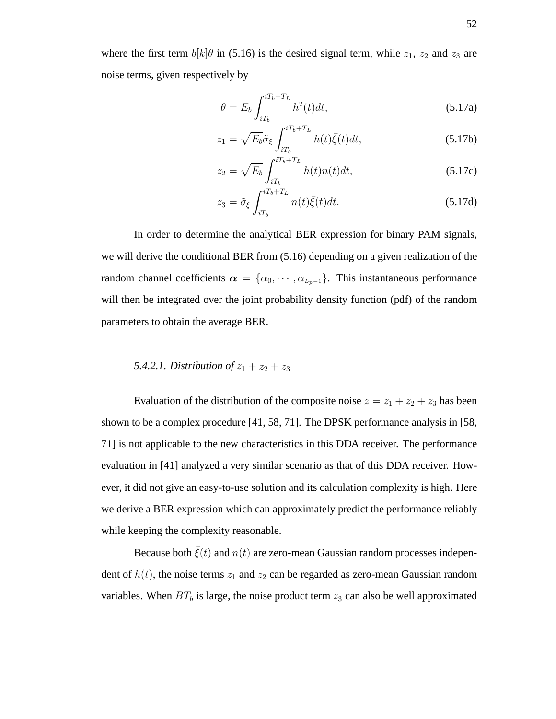where the first term  $b[k]\theta$  in (5.16) is the desired signal term, while  $z_1$ ,  $z_2$  and  $z_3$  are noise terms, given respectively by

$$
\theta = E_b \int_{iT_b}^{iT_b + T_L} h^2(t) dt,
$$
\n(5.17a)

$$
z_1 = \sqrt{E_b} \tilde{\sigma}_{\xi} \int_{iT_b}^{iT_b+T_L} h(t) \bar{\xi}(t) dt, \qquad (5.17b)
$$

$$
z_2 = \sqrt{E_b} \int_{iT_b}^{iT_b+T_L} h(t)n(t)dt,
$$
\n(5.17c)

$$
z_3 = \tilde{\sigma}_{\xi} \int_{iT_b}^{iT_b+T_L} n(t)\bar{\xi}(t)dt.
$$
 (5.17d)

In order to determine the analytical BER expression for binary PAM signals, we will derive the conditional BER from (5.16) depending on a given realization of the random channel coefficients  $\alpha = {\alpha_0, \cdots, \alpha_{L_p-1}}$ . This instantaneous performance will then be integrated over the joint probability density function (pdf) of the random parameters to obtain the average BER.

# *5.4.2.1. Distribution of*  $z_1 + z_2 + z_3$

Evaluation of the distribution of the composite noise  $z = z_1 + z_2 + z_3$  has been shown to be a complex procedure [41, 58, 71]. The DPSK performance analysis in [58, 71] is not applicable to the new characteristics in this DDA receiver. The performance evaluation in [41] analyzed a very similar scenario as that of this DDA receiver. However, it did not give an easy-to-use solution and its calculation complexity is high. Here we derive a BER expression which can approximately predict the performance reliably while keeping the complexity reasonable.

Because both  $\bar{\xi}(t)$  and  $n(t)$  are zero-mean Gaussian random processes independent of  $h(t)$ , the noise terms  $z_1$  and  $z_2$  can be regarded as zero-mean Gaussian random variables. When  $BT_b$  is large, the noise product term  $z_3$  can also be well approximated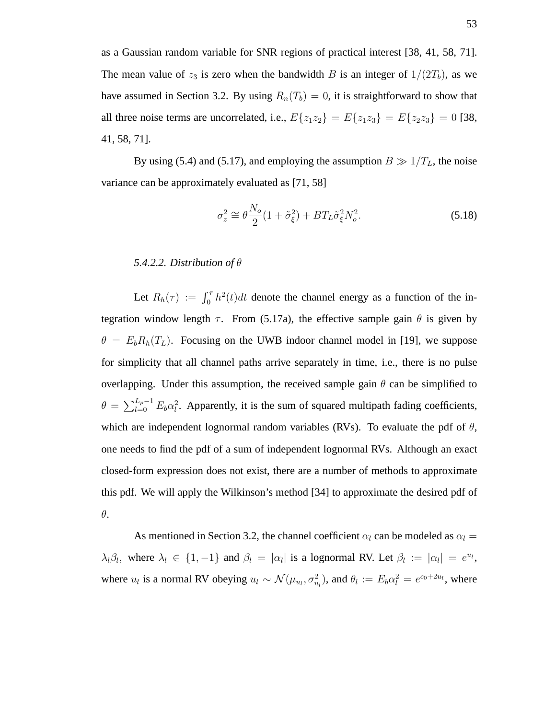as a Gaussian random variable for SNR regions of practical interest [38, 41, 58, 71]. The mean value of  $z_3$  is zero when the bandwidth B is an integer of  $1/(2T_b)$ , as we have assumed in Section 3.2. By using  $R_n(T_b)=0$ , it is straightforward to show that all three noise terms are uncorrelated, i.e.,  $E\{z_1z_2\} = E\{z_1z_3\} = E\{z_2z_3\} = 0$  [38, 41, 58, 71].

By using (5.4) and (5.17), and employing the assumption  $B \gg 1/T_L$ , the noise variance can be approximately evaluated as [71, 58]

$$
\sigma_z^2 \cong \theta \frac{N_o}{2} (1 + \tilde{\sigma}_{\xi}^2) + BT_L \tilde{\sigma}_{\xi}^2 N_o^2. \tag{5.18}
$$

### *5.4.2.2. Distribution of* θ

Let  $R_h(\tau) := \int_0^{\tau} h^2(t) dt$  denote the channel energy as a function of the integration window length  $\tau$ . From (5.17a), the effective sample gain  $\theta$  is given by  $\theta = E_b R_h(T_L)$ . Focusing on the UWB indoor channel model in [19], we suppose for simplicity that all channel paths arrive separately in time, i.e., there is no pulse overlapping. Under this assumption, the received sample gain  $\theta$  can be simplified to  $\theta = \sum_{l=0}^{L_p-1} E_b \alpha_l^2$ . Apparently, it is the sum of squared multipath fading coefficients, which are independent lognormal random variables (RVs). To evaluate the pdf of  $\theta$ , one needs to find the pdf of a sum of independent lognormal RVs. Although an exact closed-form expression does not exist, there are a number of methods to approximate this pdf. We will apply the Wilkinson's method [34] to approximate the desired pdf of θ.

As mentioned in Section 3.2, the channel coefficient  $\alpha_l$  can be modeled as  $\alpha_l =$  $\lambda_l \beta_l$ , where  $\lambda_l \in \{1, -1\}$  and  $\beta_l = |\alpha_l|$  is a lognormal RV. Let  $\beta_l := |\alpha_l| = e^{u_l}$ , where  $u_l$  is a normal RV obeying  $u_l \sim \mathcal{N}(\mu_{u_l}, \sigma_{u_l}^2)$ , and  $\theta_l := E_b \alpha_l^2 = e^{c_0 + 2u_l}$ , where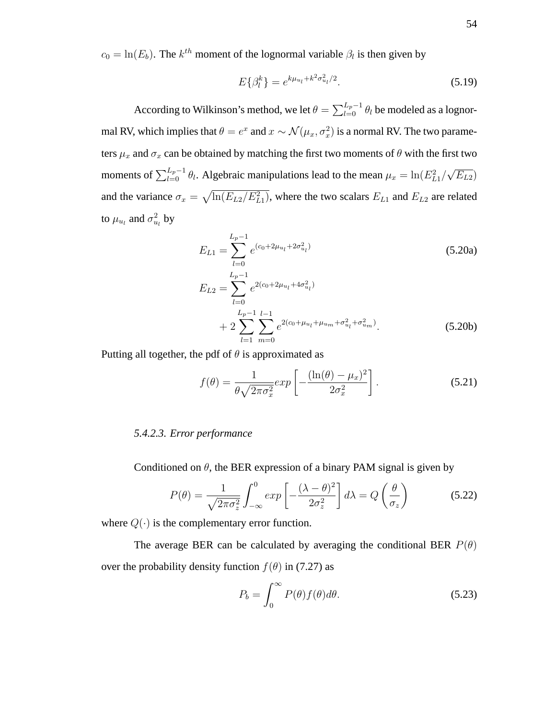$c_0 = \ln(E_b)$ . The  $k^{th}$  moment of the lognormal variable  $\beta_l$  is then given by

$$
E\{\beta_l^k\} = e^{k\mu_{u_l} + k^2 \sigma_{u_l}^2/2}.
$$
\n(5.19)

According to Wilkinson's method, we let  $\theta = \sum_{l=0}^{L_p-1} \theta_l$  be modeled as a lognormal RV, which implies that  $\theta = e^x$  and  $x \sim \mathcal{N}(\mu_x, \sigma_x^2)$  is a normal RV. The two parameters  $\mu_x$  and  $\sigma_x$  can be obtained by matching the first two moments of  $\theta$  with the first two moments of  $\sum_{l=0}^{L_p-1} \theta_l$ . Algebraic manipulations lead to the mean  $\mu_x = \ln(E_{L1}^2/\sqrt{E_{L2}})$ and the variance  $\sigma_x = \sqrt{\ln(E_{L2}/E_{L1}^2)}$ , where the two scalars  $E_{L1}$  and  $E_{L2}$  are related to  $\mu_{u_l}$  and  $\sigma_{u_l}^2$  by

$$
E_{L1} = \sum_{l=0}^{L_p - 1} e^{(c_0 + 2\mu_{u_l} + 2\sigma_{u_l}^2)}
$$
(5.20a)  
\n
$$
E_{L2} = \sum_{l=0}^{L_p - 1} e^{2(c_0 + 2\mu_{u_l} + 4\sigma_{u_l}^2)}
$$
  
\n
$$
+ 2 \sum_{l=1}^{L_p - 1} \sum_{m=0}^{l-1} e^{2(c_0 + \mu_{u_l} + \mu_{u_m} + \sigma_{u_l}^2 + \sigma_{u_m}^2)}.
$$
(5.20b)

Putting all together, the pdf of  $\theta$  is approximated as

$$
f(\theta) = \frac{1}{\theta \sqrt{2\pi \sigma_x^2}} exp\left[-\frac{(\ln(\theta) - \mu_x)^2}{2\sigma_x^2}\right].
$$
 (5.21)

## *5.4.2.3. Error performance*

Conditioned on  $\theta$ , the BER expression of a binary PAM signal is given by

$$
P(\theta) = \frac{1}{\sqrt{2\pi\sigma_z^2}} \int_{-\infty}^0 exp\left[-\frac{(\lambda - \theta)^2}{2\sigma_z^2}\right] d\lambda = Q\left(\frac{\theta}{\sigma_z}\right)
$$
(5.22)

where  $Q(\cdot)$  is the complementary error function.

The average BER can be calculated by averaging the conditional BER  $P(\theta)$ over the probability density function  $f(\theta)$  in (7.27) as

$$
P_b = \int_0^\infty P(\theta) f(\theta) d\theta.
$$
 (5.23)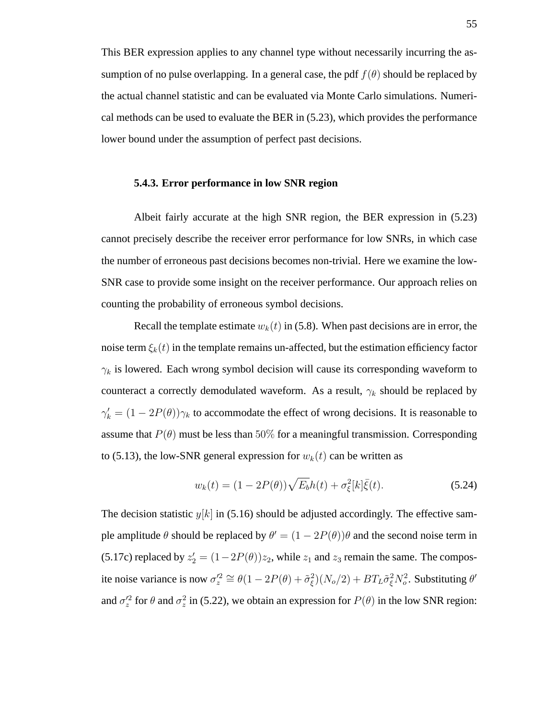This BER expression applies to any channel type without necessarily incurring the assumption of no pulse overlapping. In a general case, the pdf  $f(\theta)$  should be replaced by the actual channel statistic and can be evaluated via Monte Carlo simulations. Numerical methods can be used to evaluate the BER in (5.23), which provides the performance lower bound under the assumption of perfect past decisions.

#### **5.4.3. Error performance in low SNR region**

Albeit fairly accurate at the high SNR region, the BER expression in (5.23) cannot precisely describe the receiver error performance for low SNRs, in which case the number of erroneous past decisions becomes non-trivial. Here we examine the low-SNR case to provide some insight on the receiver performance. Our approach relies on counting the probability of erroneous symbol decisions.

Recall the template estimate  $w_k(t)$  in (5.8). When past decisions are in error, the noise term  $\xi_k(t)$  in the template remains un-affected, but the estimation efficiency factor  $\gamma_k$  is lowered. Each wrong symbol decision will cause its corresponding waveform to counteract a correctly demodulated waveform. As a result,  $\gamma_k$  should be replaced by  $\gamma'_k = (1 - 2P(\theta))\gamma_k$  to accommodate the effect of wrong decisions. It is reasonable to assume that  $P(\theta)$  must be less than 50% for a meaningful transmission. Corresponding to (5.13), the low-SNR general expression for  $w_k(t)$  can be written as

$$
w_k(t) = (1 - 2P(\theta))\sqrt{E_b}h(t) + \sigma_{\xi}^2[k]\bar{\xi}(t).
$$
 (5.24)

The decision statistic  $y[k]$  in (5.16) should be adjusted accordingly. The effective sample amplitude  $\theta$  should be replaced by  $\theta' = (1 - 2P(\theta))\theta$  and the second noise term in (5.17c) replaced by  $z_2' = (1 - 2P(\theta))z_2$ , while  $z_1$  and  $z_3$  remain the same. The composite noise variance is now  $\sigma_z'^2 \cong \theta(1 - 2P(\theta) + \tilde{\sigma}_{\xi}^2)(N_o/2) + BT_L \tilde{\sigma}_{\xi}^2 N_o^2$ . Substituting  $\theta'$ and  $\sigma_z^2$  for  $\theta$  and  $\sigma_z^2$  in (5.22), we obtain an expression for  $P(\theta)$  in the low SNR region: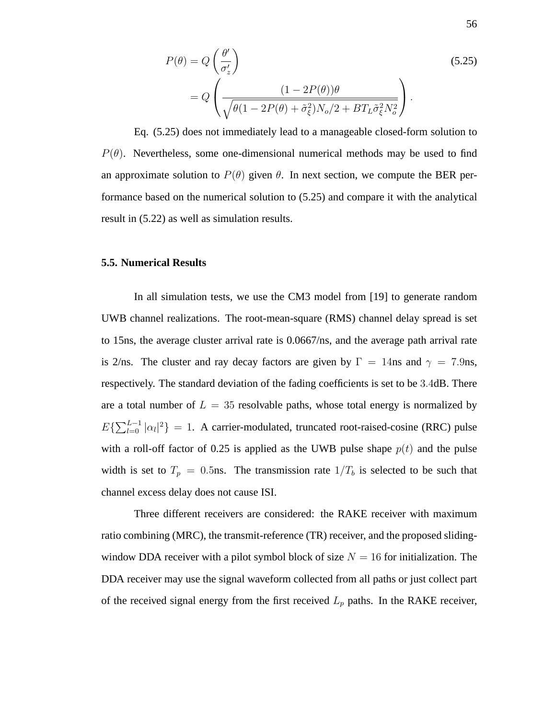$$
P(\theta) = Q\left(\frac{\theta'}{\sigma'_z}\right)
$$
\n
$$
= Q\left(\frac{(1 - 2P(\theta))\theta}{\sqrt{\theta(1 - 2P(\theta) + \tilde{\sigma}_\xi^2)N_o/2 + BT_L \tilde{\sigma}_\xi^2 N_o^2}}\right).
$$
\n(5.25)

Eq. (5.25) does not immediately lead to a manageable closed-form solution to  $P(\theta)$ . Nevertheless, some one-dimensional numerical methods may be used to find an approximate solution to  $P(\theta)$  given  $\theta$ . In next section, we compute the BER performance based on the numerical solution to (5.25) and compare it with the analytical result in (5.22) as well as simulation results.

#### **5.5. Numerical Results**

In all simulation tests, we use the CM3 model from [19] to generate random UWB channel realizations. The root-mean-square (RMS) channel delay spread is set to 15ns, the average cluster arrival rate is 0.0667/ns, and the average path arrival rate is 2/ns. The cluster and ray decay factors are given by  $\Gamma = 14$ ns and  $\gamma = 7.9$ ns, respectively. The standard deviation of the fading coefficients is set to be 3.4dB. There are a total number of  $L = 35$  resolvable paths, whose total energy is normalized by  $E\{\sum_{l=0}^{L-1}|\alpha_l|^2\} = 1$ . A carrier-modulated, truncated root-raised-cosine (RRC) pulse with a roll-off factor of 0.25 is applied as the UWB pulse shape  $p(t)$  and the pulse width is set to  $T_p = 0.5$ ns. The transmission rate  $1/T_b$  is selected to be such that channel excess delay does not cause ISI.

Three different receivers are considered: the RAKE receiver with maximum ratio combining (MRC), the transmit-reference (TR) receiver, and the proposed slidingwindow DDA receiver with a pilot symbol block of size  $N = 16$  for initialization. The DDA receiver may use the signal waveform collected from all paths or just collect part of the received signal energy from the first received  $L_p$  paths. In the RAKE receiver,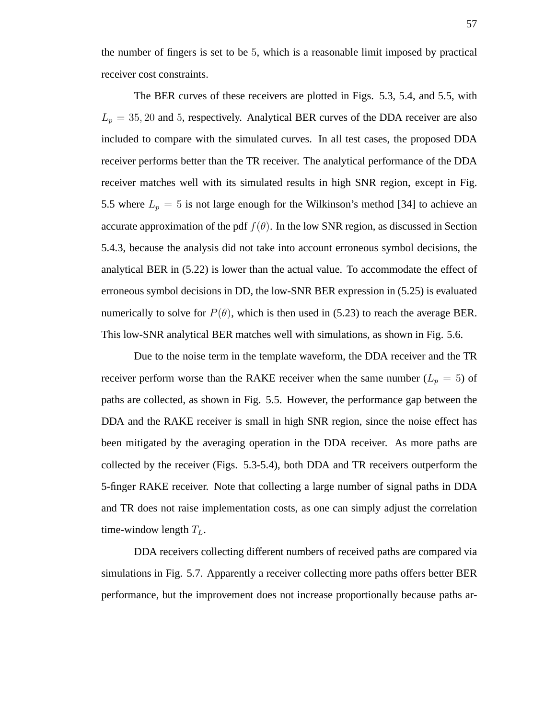the number of fingers is set to be 5, which is a reasonable limit imposed by practical receiver cost constraints.

The BER curves of these receivers are plotted in Figs. 5.3, 5.4, and 5.5, with  $L_p = 35, 20$  and 5, respectively. Analytical BER curves of the DDA receiver are also included to compare with the simulated curves. In all test cases, the proposed DDA receiver performs better than the TR receiver. The analytical performance of the DDA receiver matches well with its simulated results in high SNR region, except in Fig. 5.5 where  $L_p = 5$  is not large enough for the Wilkinson's method [34] to achieve an accurate approximation of the pdf  $f(\theta)$ . In the low SNR region, as discussed in Section 5.4.3, because the analysis did not take into account erroneous symbol decisions, the analytical BER in (5.22) is lower than the actual value. To accommodate the effect of erroneous symbol decisions in DD, the low-SNR BER expression in (5.25) is evaluated numerically to solve for  $P(\theta)$ , which is then used in (5.23) to reach the average BER. This low-SNR analytical BER matches well with simulations, as shown in Fig. 5.6.

Due to the noise term in the template waveform, the DDA receiver and the TR receiver perform worse than the RAKE receiver when the same number ( $L_p = 5$ ) of paths are collected, as shown in Fig. 5.5. However, the performance gap between the DDA and the RAKE receiver is small in high SNR region, since the noise effect has been mitigated by the averaging operation in the DDA receiver. As more paths are collected by the receiver (Figs. 5.3-5.4), both DDA and TR receivers outperform the 5-finger RAKE receiver. Note that collecting a large number of signal paths in DDA and TR does not raise implementation costs, as one can simply adjust the correlation time-window length  $T_L$ .

DDA receivers collecting different numbers of received paths are compared via simulations in Fig. 5.7. Apparently a receiver collecting more paths offers better BER performance, but the improvement does not increase proportionally because paths ar-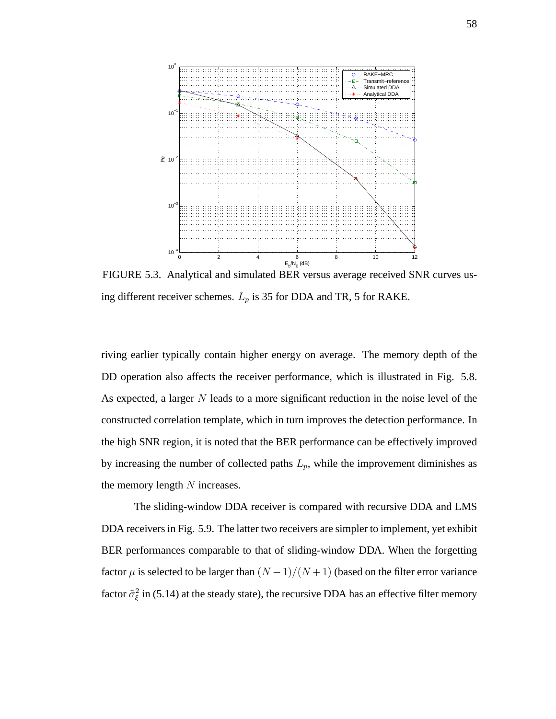

FIGURE 5.3. Analytical and simulated BER versus average received SNR curves using different receiver schemes.  $L_p$  is 35 for DDA and TR, 5 for RAKE.

riving earlier typically contain higher energy on average. The memory depth of the DD operation also affects the receiver performance, which is illustrated in Fig. 5.8. As expected, a larger N leads to a more significant reduction in the noise level of the constructed correlation template, which in turn improves the detection performance. In the high SNR region, it is noted that the BER performance can be effectively improved by increasing the number of collected paths  $L_p$ , while the improvement diminishes as the memory length  $N$  increases.

The sliding-window DDA receiver is compared with recursive DDA and LMS DDA receivers in Fig. 5.9. The latter two receivers are simpler to implement, yet exhibit BER performances comparable to that of sliding-window DDA. When the forgetting factor  $\mu$  is selected to be larger than  $(N-1)/(N+1)$  (based on the filter error variance factor  $\tilde{\sigma}_{\xi}^2$  in (5.14) at the steady state), the recursive DDA has an effective filter memory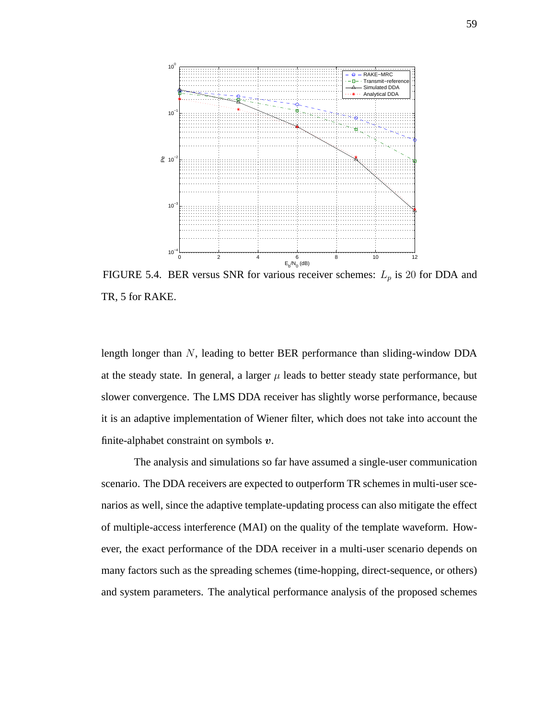

FIGURE 5.4. BER versus SNR for various receiver schemes:  $L_p$  is 20 for DDA and TR, 5 for RAKE.

length longer than  $N$ , leading to better BER performance than sliding-window DDA at the steady state. In general, a larger  $\mu$  leads to better steady state performance, but slower convergence. The LMS DDA receiver has slightly worse performance, because it is an adaptive implementation of Wiener filter, which does not take into account the finite-alphabet constraint on symbols *v*.

The analysis and simulations so far have assumed a single-user communication scenario. The DDA receivers are expected to outperform TR schemes in multi-user scenarios as well, since the adaptive template-updating process can also mitigate the effect of multiple-access interference (MAI) on the quality of the template waveform. However, the exact performance of the DDA receiver in a multi-user scenario depends on many factors such as the spreading schemes (time-hopping, direct-sequence, or others) and system parameters. The analytical performance analysis of the proposed schemes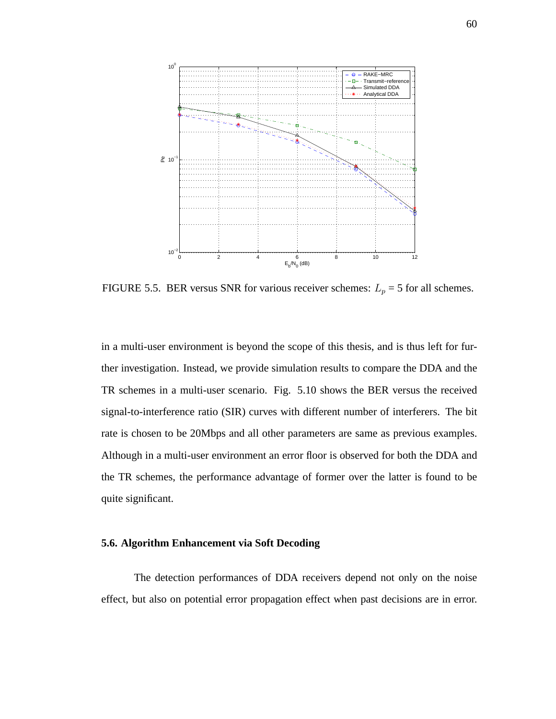

FIGURE 5.5. BER versus SNR for various receiver schemes:  $L_p = 5$  for all schemes.

in a multi-user environment is beyond the scope of this thesis, and is thus left for further investigation. Instead, we provide simulation results to compare the DDA and the TR schemes in a multi-user scenario. Fig. 5.10 shows the BER versus the received signal-to-interference ratio (SIR) curves with different number of interferers. The bit rate is chosen to be 20Mbps and all other parameters are same as previous examples. Although in a multi-user environment an error floor is observed for both the DDA and the TR schemes, the performance advantage of former over the latter is found to be quite significant.

## **5.6. Algorithm Enhancement via Soft Decoding**

The detection performances of DDA receivers depend not only on the noise effect, but also on potential error propagation effect when past decisions are in error.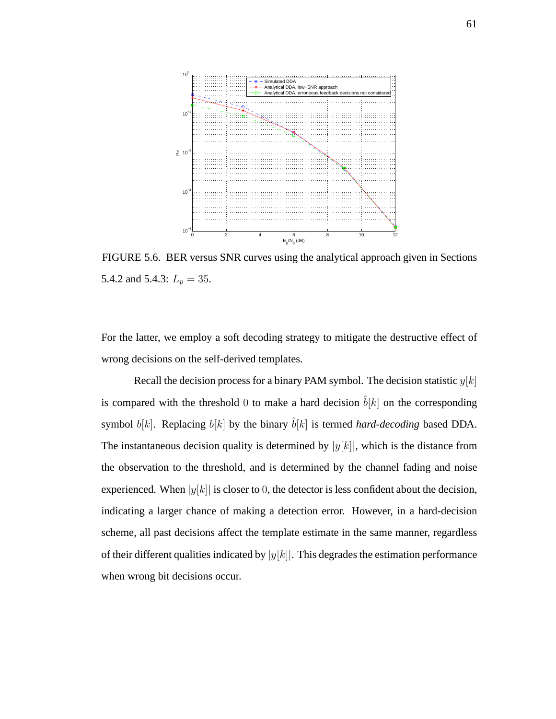

FIGURE 5.6. BER versus SNR curves using the analytical approach given in Sections 5.4.2 and 5.4.3:  $L_p = 35$ .

For the latter, we employ a soft decoding strategy to mitigate the destructive effect of wrong decisions on the self-derived templates.

Recall the decision process for a binary PAM symbol. The decision statistic  $y[k]$ is compared with the threshold 0 to make a hard decision  $\hat{b}[k]$  on the corresponding symbol  $b[k]$ . Replacing  $b[k]$  by the binary  $\hat{b}[k]$  is termed *hard-decoding* based DDA. The instantaneous decision quality is determined by  $|y[k]|$ , which is the distance from the observation to the threshold, and is determined by the channel fading and noise experienced. When  $|y[k]|$  is closer to 0, the detector is less confident about the decision, indicating a larger chance of making a detection error. However, in a hard-decision scheme, all past decisions affect the template estimate in the same manner, regardless of their different qualities indicated by  $|y[k]|$ . This degrades the estimation performance when wrong bit decisions occur.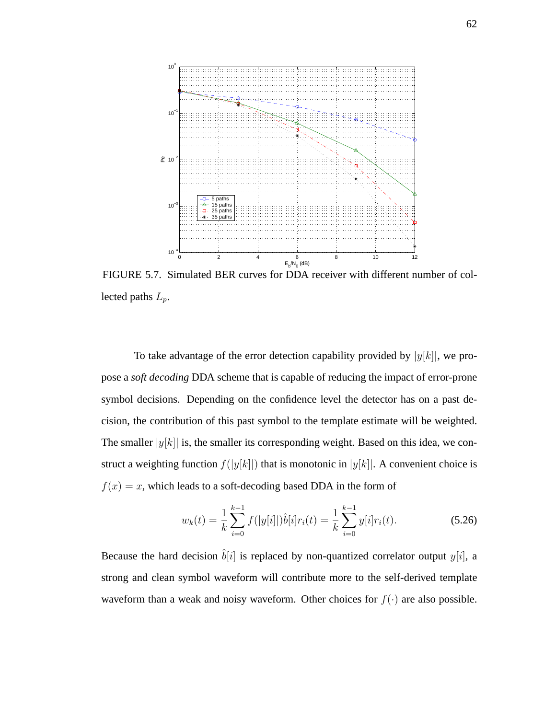

FIGURE 5.7. Simulated BER curves for DDA receiver with different number of collected paths  $L_p$ .

To take advantage of the error detection capability provided by  $|y[k]|$ , we propose a *soft decoding* DDA scheme that is capable of reducing the impact of error-prone symbol decisions. Depending on the confidence level the detector has on a past decision, the contribution of this past symbol to the template estimate will be weighted. The smaller  $|y[k]|$  is, the smaller its corresponding weight. Based on this idea, we construct a weighting function  $f(|y[k]|)$  that is monotonic in  $|y[k]|$ . A convenient choice is  $f(x) = x$ , which leads to a soft-decoding based DDA in the form of

$$
w_k(t) = \frac{1}{k} \sum_{i=0}^{k-1} f(|y[i]|) \hat{b}[i] r_i(t) = \frac{1}{k} \sum_{i=0}^{k-1} y[i] r_i(t).
$$
 (5.26)

Because the hard decision  $\hat{b}[i]$  is replaced by non-quantized correlator output  $y[i]$ , a strong and clean symbol waveform will contribute more to the self-derived template waveform than a weak and noisy waveform. Other choices for  $f(\cdot)$  are also possible.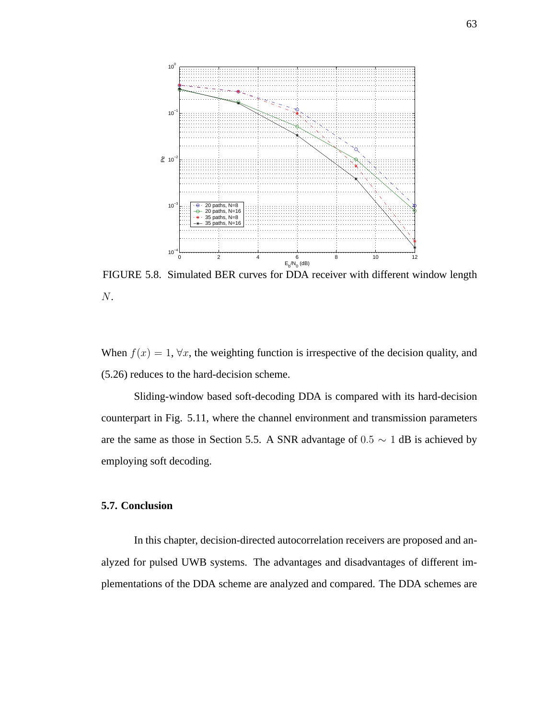

FIGURE 5.8. Simulated BER curves for DDA receiver with different window length N.

When  $f(x)=1$ ,  $\forall x$ , the weighting function is irrespective of the decision quality, and (5.26) reduces to the hard-decision scheme.

Sliding-window based soft-decoding DDA is compared with its hard-decision counterpart in Fig. 5.11, where the channel environment and transmission parameters are the same as those in Section 5.5. A SNR advantage of  $0.5 \sim 1$  dB is achieved by employing soft decoding.

## **5.7. Conclusion**

In this chapter, decision-directed autocorrelation receivers are proposed and analyzed for pulsed UWB systems. The advantages and disadvantages of different implementations of the DDA scheme are analyzed and compared. The DDA schemes are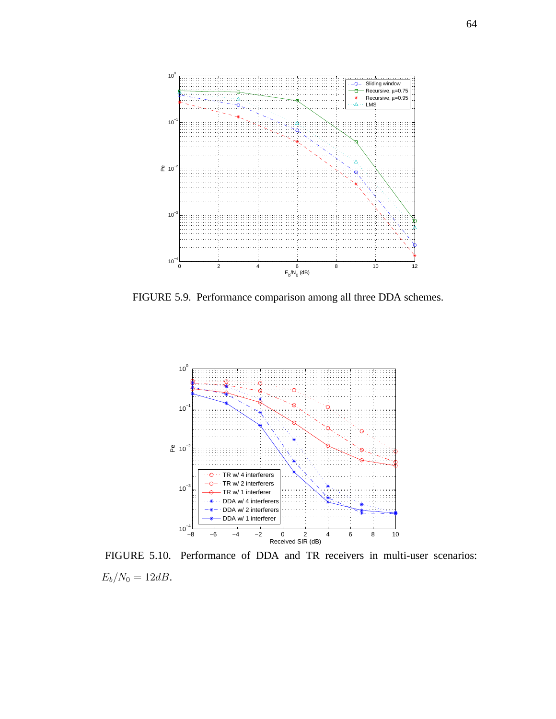

FIGURE 5.9. Performance comparison among all three DDA schemes.



FIGURE 5.10. Performance of DDA and TR receivers in multi-user scenarios:  $E_b/N_0 = 12dB$ .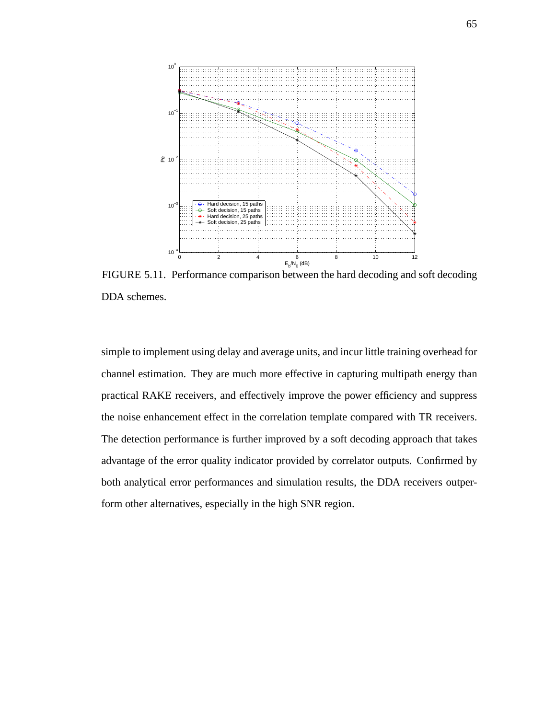

FIGURE 5.11. Performance comparison between the hard decoding and soft decoding DDA schemes.

simple to implement using delay and average units, and incur little training overhead for channel estimation. They are much more effective in capturing multipath energy than practical RAKE receivers, and effectively improve the power efficiency and suppress the noise enhancement effect in the correlation template compared with TR receivers. The detection performance is further improved by a soft decoding approach that takes advantage of the error quality indicator provided by correlator outputs. Confirmed by both analytical error performances and simulation results, the DDA receivers outperform other alternatives, especially in the high SNR region.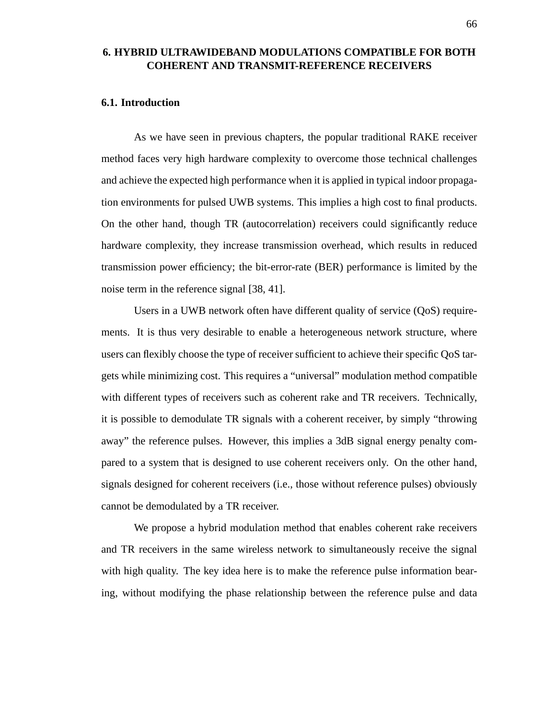# **6. HYBRID ULTRAWIDEBAND MODULATIONS COMPATIBLE FOR BOTH COHERENT AND TRANSMIT-REFERENCE RECEIVERS**

## **6.1. Introduction**

As we have seen in previous chapters, the popular traditional RAKE receiver method faces very high hardware complexity to overcome those technical challenges and achieve the expected high performance when it is applied in typical indoor propagation environments for pulsed UWB systems. This implies a high cost to final products. On the other hand, though TR (autocorrelation) receivers could significantly reduce hardware complexity, they increase transmission overhead, which results in reduced transmission power efficiency; the bit-error-rate (BER) performance is limited by the noise term in the reference signal [38, 41].

Users in a UWB network often have different quality of service (QoS) requirements. It is thus very desirable to enable a heterogeneous network structure, where users can flexibly choose the type of receiver sufficient to achieve their specific QoS targets while minimizing cost. This requires a "universal" modulation method compatible with different types of receivers such as coherent rake and TR receivers. Technically, it is possible to demodulate TR signals with a coherent receiver, by simply "throwing away" the reference pulses. However, this implies a 3dB signal energy penalty compared to a system that is designed to use coherent receivers only. On the other hand, signals designed for coherent receivers (i.e., those without reference pulses) obviously cannot be demodulated by a TR receiver.

We propose a hybrid modulation method that enables coherent rake receivers and TR receivers in the same wireless network to simultaneously receive the signal with high quality. The key idea here is to make the reference pulse information bearing, without modifying the phase relationship between the reference pulse and data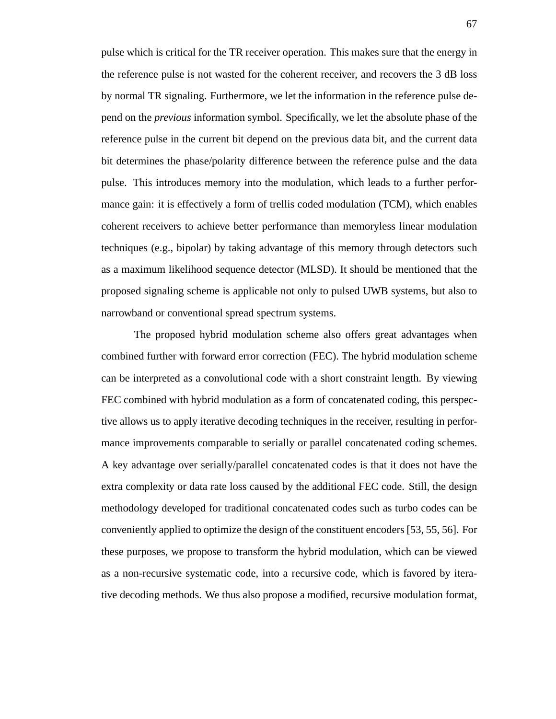pulse which is critical for the TR receiver operation. This makes sure that the energy in the reference pulse is not wasted for the coherent receiver, and recovers the 3 dB loss by normal TR signaling. Furthermore, we let the information in the reference pulse depend on the *previous* information symbol. Specifically, we let the absolute phase of the reference pulse in the current bit depend on the previous data bit, and the current data bit determines the phase/polarity difference between the reference pulse and the data pulse. This introduces memory into the modulation, which leads to a further performance gain: it is effectively a form of trellis coded modulation (TCM), which enables coherent receivers to achieve better performance than memoryless linear modulation techniques (e.g., bipolar) by taking advantage of this memory through detectors such as a maximum likelihood sequence detector (MLSD). It should be mentioned that the proposed signaling scheme is applicable not only to pulsed UWB systems, but also to narrowband or conventional spread spectrum systems.

The proposed hybrid modulation scheme also offers great advantages when combined further with forward error correction (FEC). The hybrid modulation scheme can be interpreted as a convolutional code with a short constraint length. By viewing FEC combined with hybrid modulation as a form of concatenated coding, this perspective allows us to apply iterative decoding techniques in the receiver, resulting in performance improvements comparable to serially or parallel concatenated coding schemes. A key advantage over serially/parallel concatenated codes is that it does not have the extra complexity or data rate loss caused by the additional FEC code. Still, the design methodology developed for traditional concatenated codes such as turbo codes can be conveniently applied to optimize the design of the constituent encoders [53, 55, 56]. For these purposes, we propose to transform the hybrid modulation, which can be viewed as a non-recursive systematic code, into a recursive code, which is favored by iterative decoding methods. We thus also propose a modified, recursive modulation format,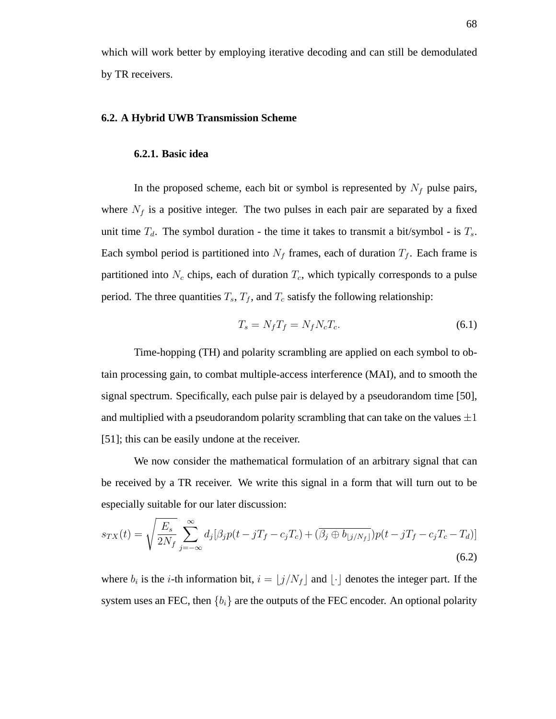which will work better by employing iterative decoding and can still be demodulated by TR receivers.

## **6.2. A Hybrid UWB Transmission Scheme**

## **6.2.1. Basic idea**

In the proposed scheme, each bit or symbol is represented by  $N_f$  pulse pairs, where  $N_f$  is a positive integer. The two pulses in each pair are separated by a fixed unit time  $T_d$ . The symbol duration - the time it takes to transmit a bit/symbol - is  $T_s$ . Each symbol period is partitioned into  $N_f$  frames, each of duration  $T_f$ . Each frame is partitioned into  $N_c$  chips, each of duration  $T_c$ , which typically corresponds to a pulse period. The three quantities  $T_s$ ,  $T_f$ , and  $T_c$  satisfy the following relationship:

$$
T_s = N_f T_f = N_f N_c T_c. \tag{6.1}
$$

Time-hopping (TH) and polarity scrambling are applied on each symbol to obtain processing gain, to combat multiple-access interference (MAI), and to smooth the signal spectrum. Specifically, each pulse pair is delayed by a pseudorandom time [50], and multiplied with a pseudorandom polarity scrambling that can take on the values  $\pm 1$ [51]; this can be easily undone at the receiver.

We now consider the mathematical formulation of an arbitrary signal that can be received by a TR receiver. We write this signal in a form that will turn out to be especially suitable for our later discussion:

$$
s_{TX}(t) = \sqrt{\frac{E_s}{2N_f}} \sum_{j=-\infty}^{\infty} d_j[\beta_j p(t - jT_f - c_jT_c) + (\overline{\beta_j \oplus b_{\lfloor j/N_f \rfloor}})p(t - jT_f - c_jT_c - T_d)]
$$
(6.2)

where  $b_i$  is the *i*-th information bit,  $i = \lfloor j/N_f \rfloor$  and  $\lfloor \cdot \rfloor$  denotes the integer part. If the system uses an FEC, then  ${b_i}$  are the outputs of the FEC encoder. An optional polarity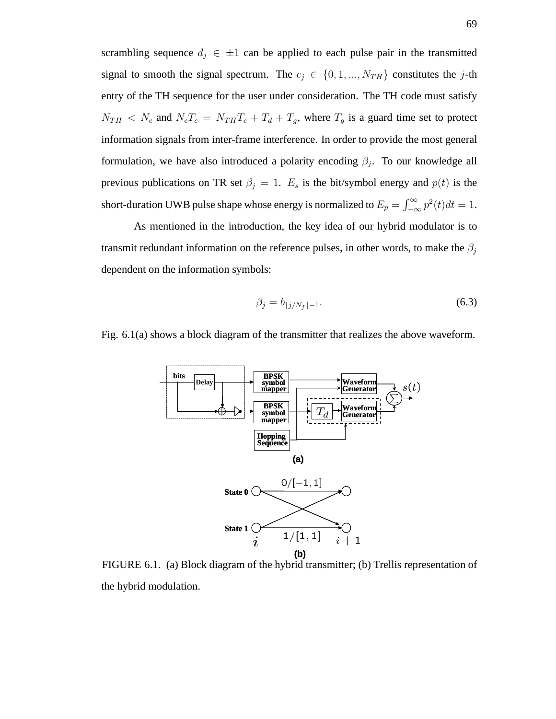scrambling sequence  $d_j \in \pm 1$  can be applied to each pulse pair in the transmitted signal to smooth the signal spectrum. The  $c_j \in \{0, 1, ..., N_{TH}\}$  constitutes the j-th entry of the TH sequence for the user under consideration. The TH code must satisfy  $N_{TH}$  <  $N_c$  and  $N_cT_c = N_{TH}T_c + T_d + T_g$ , where  $T_g$  is a guard time set to protect information signals from inter-frame interference. In order to provide the most general formulation, we have also introduced a polarity encoding  $\beta_i$ . To our knowledge all previous publications on TR set  $\beta_j = 1$ .  $E_s$  is the bit/symbol energy and  $p(t)$  is the short-duration UWB pulse shape whose energy is normalized to  $E_p = \int_{-\infty}^{\infty} p^2(t) dt = 1$ .

As mentioned in the introduction, the key idea of our hybrid modulator is to transmit redundant information on the reference pulses, in other words, to make the  $\beta_j$ dependent on the information symbols:

$$
\beta_j = b_{\lfloor j/N_f \rfloor - 1}.\tag{6.3}
$$



Fig. 6.1(a) shows a block diagram of the transmitter that realizes the above waveform.

FIGURE 6.1. (a) Block diagram of the hybrid transmitter; (b) Trellis representation of the hybrid modulation.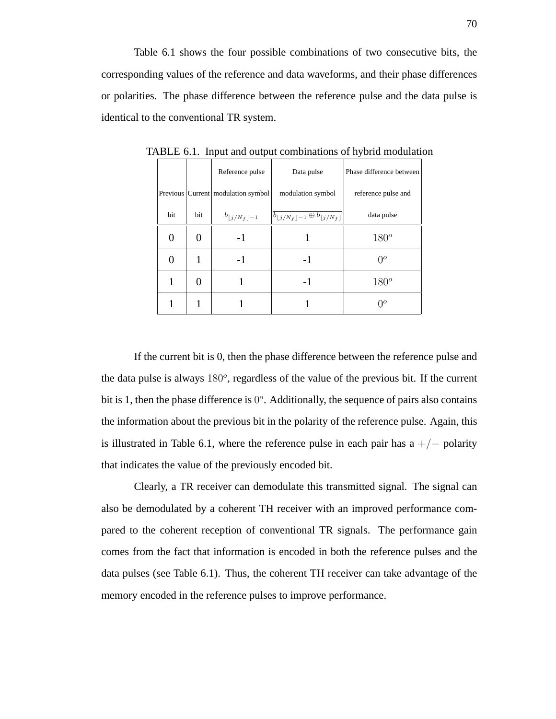Table 6.1 shows the four possible combinations of two consecutive bits, the corresponding values of the reference and data waveforms, and their phase differences or polarities. The phase difference between the reference pulse and the data pulse is identical to the conventional TR system.

|     |     | Reference pulse                    | Data pulse                                                  | Phase difference between |
|-----|-----|------------------------------------|-------------------------------------------------------------|--------------------------|
|     |     | Previous Current modulation symbol | modulation symbol                                           | reference pulse and      |
| bit | bit | $b_{\lfloor j/N_f\rfloor-1}$       | $b_{\lfloor j/N_f\rfloor-1}\oplus b_{\lfloor j/N_f\rfloor}$ | data pulse               |
| 0   |     | -1                                 |                                                             | $180^o$                  |
| 0   |     | - 1                                | - 1                                                         | $0^o$                    |
|     |     |                                    | -1                                                          | $180^o$                  |
|     |     |                                    |                                                             | $\Omega^o$               |

TABLE 6.1. Input and output combinations of hybrid modulation

If the current bit is 0, then the phase difference between the reference pulse and the data pulse is always  $180^\circ$ , regardless of the value of the previous bit. If the current bit is 1, then the phase difference is  $0^\circ$ . Additionally, the sequence of pairs also contains the information about the previous bit in the polarity of the reference pulse. Again, this is illustrated in Table 6.1, where the reference pulse in each pair has a  $+/-$  polarity that indicates the value of the previously encoded bit.

Clearly, a TR receiver can demodulate this transmitted signal. The signal can also be demodulated by a coherent TH receiver with an improved performance compared to the coherent reception of conventional TR signals. The performance gain comes from the fact that information is encoded in both the reference pulses and the data pulses (see Table 6.1). Thus, the coherent TH receiver can take advantage of the memory encoded in the reference pulses to improve performance.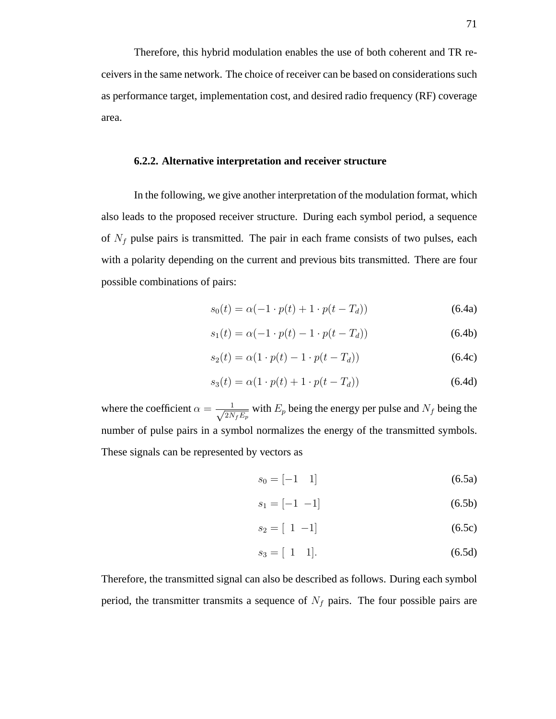Therefore, this hybrid modulation enables the use of both coherent and TR receivers in the same network. The choice of receiver can be based on considerations such as performance target, implementation cost, and desired radio frequency (RF) coverage area.

## **6.2.2. Alternative interpretation and receiver structure**

In the following, we give another interpretation of the modulation format, which also leads to the proposed receiver structure. During each symbol period, a sequence of  $N_f$  pulse pairs is transmitted. The pair in each frame consists of two pulses, each with a polarity depending on the current and previous bits transmitted. There are four possible combinations of pairs:

$$
s_0(t) = \alpha(-1 \cdot p(t) + 1 \cdot p(t - T_d))
$$
\n(6.4a)

$$
s_1(t) = \alpha(-1 \cdot p(t) - 1 \cdot p(t - T_d))
$$
\n(6.4b)

$$
s_2(t) = \alpha(1 \cdot p(t) - 1 \cdot p(t - T_d))
$$
\n(6.4c)

$$
s_3(t) = \alpha(1 \cdot p(t) + 1 \cdot p(t - T_d))
$$
\n(6.4d)

where the coefficient  $\alpha = \frac{1}{\sqrt{2M}}$  $\frac{1}{2N_fE_p}$  with  $E_p$  being the energy per pulse and  $N_f$  being the number of pulse pairs in a symbol normalizes the energy of the transmitted symbols. These signals can be represented by vectors as

$$
s_0 = \begin{bmatrix} -1 & 1 \end{bmatrix} \tag{6.5a}
$$

$$
s_1 = [-1 \ -1] \tag{6.5b}
$$

$$
s_2 = \begin{bmatrix} 1 & -1 \end{bmatrix} \tag{6.5c}
$$

$$
s_3 = [1 \ 1]. \tag{6.5d}
$$

Therefore, the transmitted signal can also be described as follows. During each symbol period, the transmitter transmits a sequence of  $N_f$  pairs. The four possible pairs are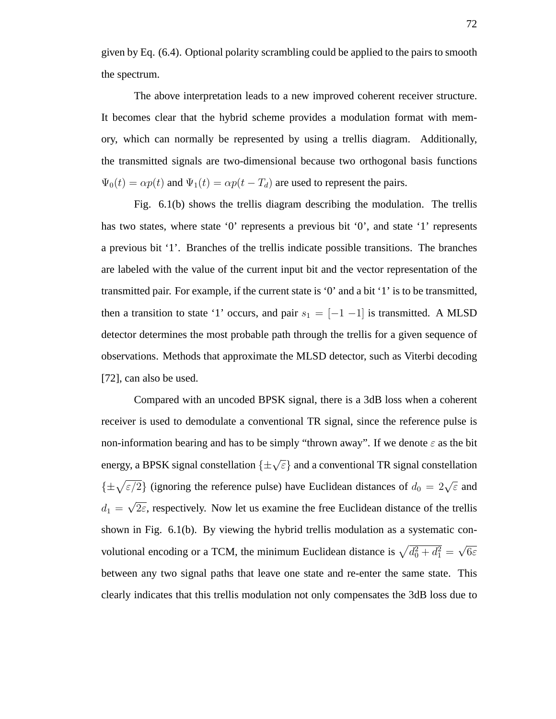given by Eq. (6.4). Optional polarity scrambling could be applied to the pairs to smooth the spectrum.

The above interpretation leads to a new improved coherent receiver structure. It becomes clear that the hybrid scheme provides a modulation format with memory, which can normally be represented by using a trellis diagram. Additionally, the transmitted signals are two-dimensional because two orthogonal basis functions  $\Psi_0(t) = \alpha p(t)$  and  $\Psi_1(t) = \alpha p(t - T_d)$  are used to represent the pairs.

Fig. 6.1(b) shows the trellis diagram describing the modulation. The trellis has two states, where state '0' represents a previous bit '0', and state '1' represents a previous bit '1'. Branches of the trellis indicate possible transitions. The branches are labeled with the value of the current input bit and the vector representation of the transmitted pair. For example, if the current state is '0' and a bit '1' is to be transmitted, then a transition to state '1' occurs, and pair  $s_1 = \begin{bmatrix} -1 & -1 \end{bmatrix}$  is transmitted. A MLSD detector determines the most probable path through the trellis for a given sequence of observations. Methods that approximate the MLSD detector, such as Viterbi decoding [72], can also be used.

Compared with an uncoded BPSK signal, there is a 3dB loss when a coherent receiver is used to demodulate a conventional TR signal, since the reference pulse is non-information bearing and has to be simply "thrown away". If we denote  $\varepsilon$  as the bit energy, a BPSK signal constellation  $\{\pm\sqrt{\varepsilon}\}\$ and a conventional TR signal constellation  ${\pm\sqrt{\varepsilon/2}}$  (ignoring the reference pulse) have Euclidean distances of  $d_0 = 2\sqrt{\varepsilon}$  and  $d_1 = \sqrt{2\varepsilon}$ , respectively. Now let us examine the free Euclidean distance of the trellis shown in Fig. 6.1(b). By viewing the hybrid trellis modulation as a systematic convolutional encoding or a TCM, the minimum Euclidean distance is  $\sqrt{d_0^2 + d_1^2} = \sqrt{6\varepsilon}$ between any two signal paths that leave one state and re-enter the same state. This clearly indicates that this trellis modulation not only compensates the 3dB loss due to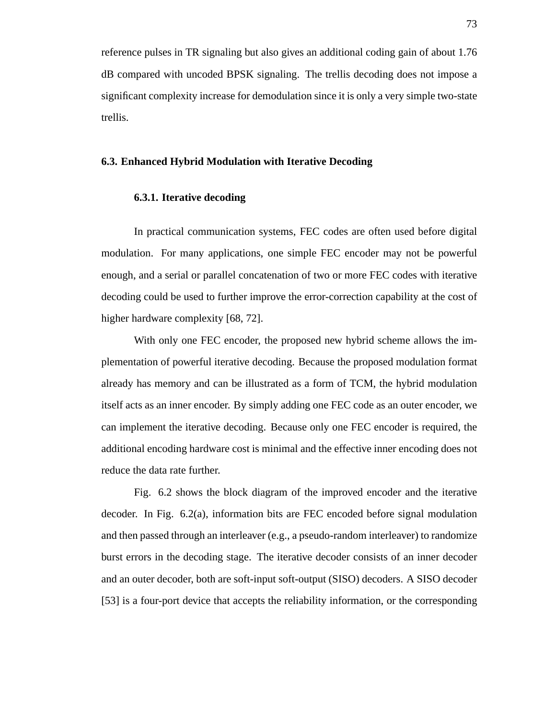reference pulses in TR signaling but also gives an additional coding gain of about 1.76 dB compared with uncoded BPSK signaling. The trellis decoding does not impose a significant complexity increase for demodulation since it is only a very simple two-state trellis.

#### **6.3. Enhanced Hybrid Modulation with Iterative Decoding**

## **6.3.1. Iterative decoding**

In practical communication systems, FEC codes are often used before digital modulation. For many applications, one simple FEC encoder may not be powerful enough, and a serial or parallel concatenation of two or more FEC codes with iterative decoding could be used to further improve the error-correction capability at the cost of higher hardware complexity [68, 72].

With only one FEC encoder, the proposed new hybrid scheme allows the implementation of powerful iterative decoding. Because the proposed modulation format already has memory and can be illustrated as a form of TCM, the hybrid modulation itself acts as an inner encoder. By simply adding one FEC code as an outer encoder, we can implement the iterative decoding. Because only one FEC encoder is required, the additional encoding hardware cost is minimal and the effective inner encoding does not reduce the data rate further.

Fig. 6.2 shows the block diagram of the improved encoder and the iterative decoder. In Fig. 6.2(a), information bits are FEC encoded before signal modulation and then passed through an interleaver (e.g., a pseudo-random interleaver) to randomize burst errors in the decoding stage. The iterative decoder consists of an inner decoder and an outer decoder, both are soft-input soft-output (SISO) decoders. A SISO decoder [53] is a four-port device that accepts the reliability information, or the corresponding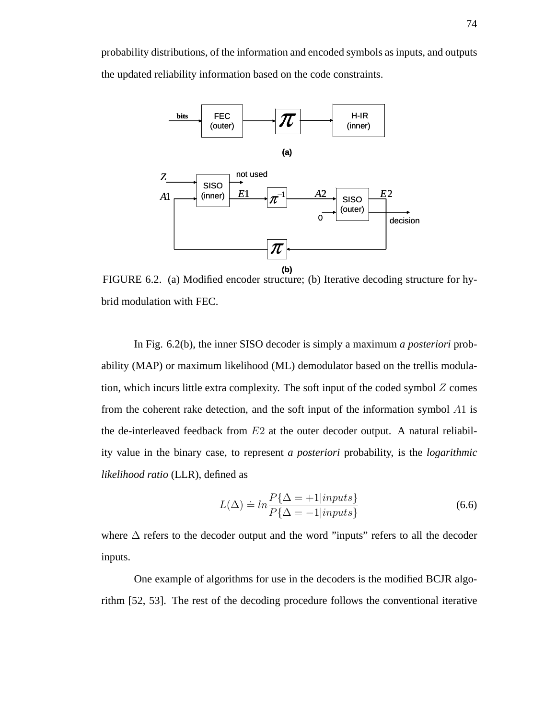probability distributions, of the information and encoded symbols as inputs, and outputs the updated reliability information based on the code constraints.



brid modulation with FEC.

In Fig. 6.2(b), the inner SISO decoder is simply a maximum *a posteriori* probability (MAP) or maximum likelihood (ML) demodulator based on the trellis modulation, which incurs little extra complexity. The soft input of the coded symbol  $Z$  comes from the coherent rake detection, and the soft input of the information symbol A1 is the de-interleaved feedback from  $E2$  at the outer decoder output. A natural reliability value in the binary case, to represent *a posteriori* probability, is the *logarithmic likelihood ratio* (LLR), defined as

$$
L(\Delta) \doteq ln \frac{P\{\Delta = +1|inputs\}}{P\{\Delta = -1|inputs\}}
$$
\n(6.6)

where  $\Delta$  refers to the decoder output and the word "inputs" refers to all the decoder inputs.

One example of algorithms for use in the decoders is the modified BCJR algorithm [52, 53]. The rest of the decoding procedure follows the conventional iterative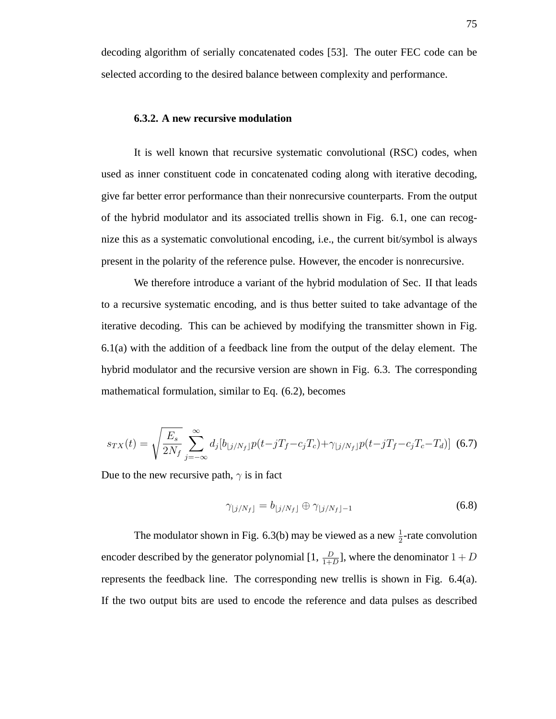decoding algorithm of serially concatenated codes [53]. The outer FEC code can be selected according to the desired balance between complexity and performance.

#### **6.3.2. A new recursive modulation**

It is well known that recursive systematic convolutional (RSC) codes, when used as inner constituent code in concatenated coding along with iterative decoding, give far better error performance than their nonrecursive counterparts. From the output of the hybrid modulator and its associated trellis shown in Fig. 6.1, one can recognize this as a systematic convolutional encoding, i.e., the current bit/symbol is always present in the polarity of the reference pulse. However, the encoder is nonrecursive.

We therefore introduce a variant of the hybrid modulation of Sec. II that leads to a recursive systematic encoding, and is thus better suited to take advantage of the iterative decoding. This can be achieved by modifying the transmitter shown in Fig. 6.1(a) with the addition of a feedback line from the output of the delay element. The hybrid modulator and the recursive version are shown in Fig. 6.3. The corresponding mathematical formulation, similar to Eq. (6.2), becomes

$$
s_{TX}(t) = \sqrt{\frac{E_s}{2N_f}} \sum_{j=-\infty}^{\infty} d_j [b_{\lfloor j/N_f \rfloor} p(t - jT_f - c_j T_c) + \gamma_{\lfloor j/N_f \rfloor} p(t - jT_f - c_j T_c - T_d)] \tag{6.7}
$$

Due to the new recursive path,  $\gamma$  is in fact

$$
\gamma_{\lfloor j/N_f \rfloor} = b_{\lfloor j/N_f \rfloor} \oplus \gamma_{\lfloor j/N_f \rfloor - 1} \tag{6.8}
$$

The modulator shown in Fig. 6.3(b) may be viewed as a new  $\frac{1}{2}$ -rate convolution encoder described by the generator polynomial  $[1, \frac{D}{1+D}]$ , where the denominator  $1+D$ represents the feedback line. The corresponding new trellis is shown in Fig. 6.4(a). If the two output bits are used to encode the reference and data pulses as described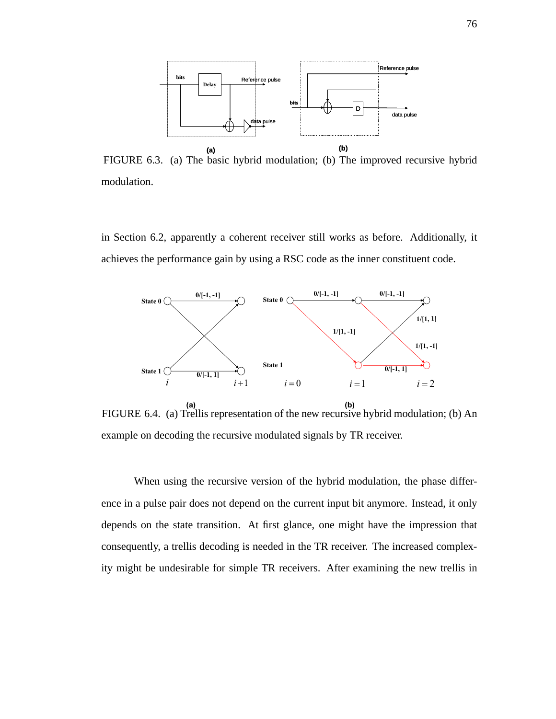

FIGURE 6.3. (a) The basic hybrid modulation; (b) The improved recursive hybrid modulation.

in Section 6.2, apparently a coherent receiver still works as before. Additionally, it achieves the performance gain by using a RSC code as the inner constituent code.



**(a) (b)** FIGURE 6.4. (a) Trellis representation of the new recursive hybrid modulation; (b) An example on decoding the recursive modulated signals by TR receiver.

When using the recursive version of the hybrid modulation, the phase difference in a pulse pair does not depend on the current input bit anymore. Instead, it only depends on the state transition. At first glance, one might have the impression that consequently, a trellis decoding is needed in the TR receiver. The increased complexity might be undesirable for simple TR receivers. After examining the new trellis in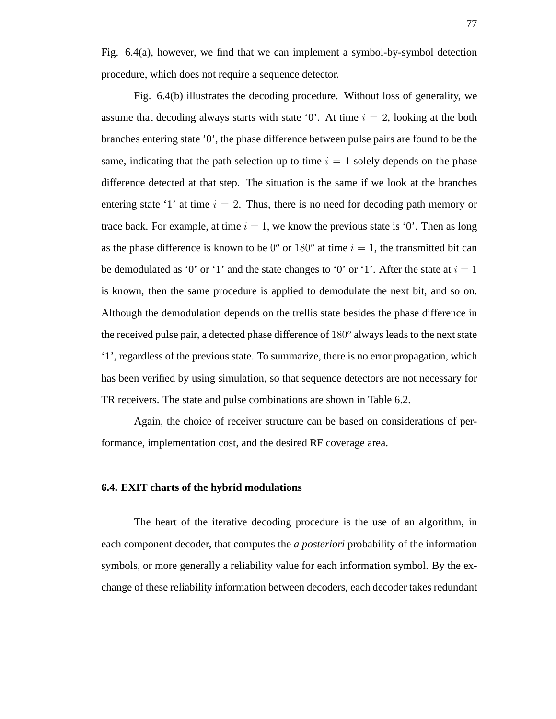Fig. 6.4(a), however, we find that we can implement a symbol-by-symbol detection procedure, which does not require a sequence detector.

Fig. 6.4(b) illustrates the decoding procedure. Without loss of generality, we assume that decoding always starts with state '0'. At time  $i = 2$ , looking at the both branches entering state '0', the phase difference between pulse pairs are found to be the same, indicating that the path selection up to time  $i = 1$  solely depends on the phase difference detected at that step. The situation is the same if we look at the branches entering state '1' at time  $i = 2$ . Thus, there is no need for decoding path memory or trace back. For example, at time  $i = 1$ , we know the previous state is '0'. Then as long as the phase difference is known to be  $0^{\circ}$  or  $180^{\circ}$  at time  $i = 1$ , the transmitted bit can be demodulated as '0' or '1' and the state changes to '0' or '1'. After the state at  $i = 1$ is known, then the same procedure is applied to demodulate the next bit, and so on. Although the demodulation depends on the trellis state besides the phase difference in the received pulse pair, a detected phase difference of  $180^\circ$  always leads to the next state '1', regardless of the previous state. To summarize, there is no error propagation, which has been verified by using simulation, so that sequence detectors are not necessary for TR receivers. The state and pulse combinations are shown in Table 6.2.

Again, the choice of receiver structure can be based on considerations of performance, implementation cost, and the desired RF coverage area.

## **6.4. EXIT charts of the hybrid modulations**

The heart of the iterative decoding procedure is the use of an algorithm, in each component decoder, that computes the *a posteriori* probability of the information symbols, or more generally a reliability value for each information symbol. By the exchange of these reliability information between decoders, each decoder takes redundant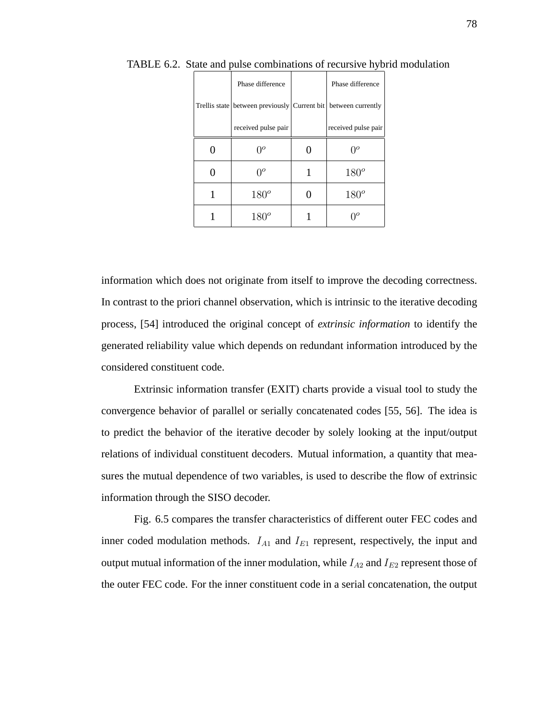|  |  | Phase difference                                               | Phase difference    |
|--|--|----------------------------------------------------------------|---------------------|
|  |  | Trellis state between previously Current bit between currently |                     |
|  |  | received pulse pair                                            | received pulse pair |
|  |  | $\mathbf{P}$                                                   | $\mathbf{Q}^o$      |
|  |  | $\cdot$ <sup>o</sup>                                           | $180^o$             |
|  |  | $180^o$                                                        | $180^o$             |
|  |  | $180^{o}$                                                      | ١O                  |

TABLE 6.2. State and pulse combinations of recursive hybrid modulation

information which does not originate from itself to improve the decoding correctness. In contrast to the priori channel observation, which is intrinsic to the iterative decoding process, [54] introduced the original concept of *extrinsic information* to identify the generated reliability value which depends on redundant information introduced by the considered constituent code.

Extrinsic information transfer (EXIT) charts provide a visual tool to study the convergence behavior of parallel or serially concatenated codes [55, 56]. The idea is to predict the behavior of the iterative decoder by solely looking at the input/output relations of individual constituent decoders. Mutual information, a quantity that measures the mutual dependence of two variables, is used to describe the flow of extrinsic information through the SISO decoder.

Fig. 6.5 compares the transfer characteristics of different outer FEC codes and inner coded modulation methods.  $I_{A1}$  and  $I_{E1}$  represent, respectively, the input and output mutual information of the inner modulation, while  $I_{A2}$  and  $I_{E2}$  represent those of the outer FEC code. For the inner constituent code in a serial concatenation, the output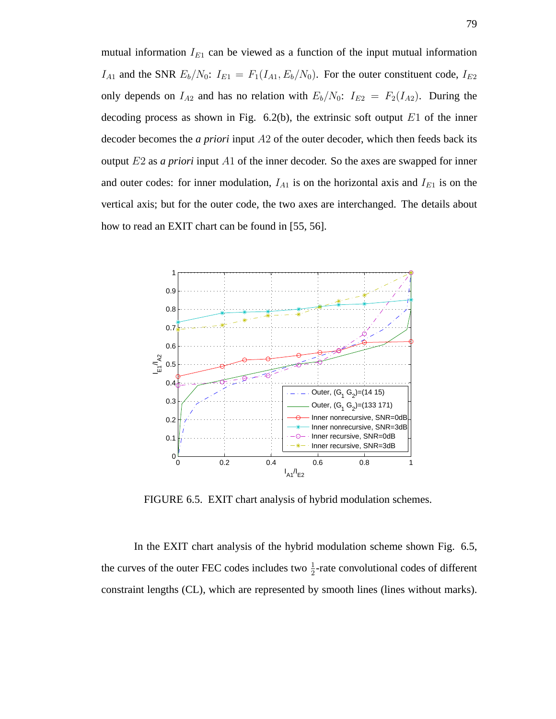mutual information  $I_{E1}$  can be viewed as a function of the input mutual information  $I_{A1}$  and the SNR  $E_b/N_0$ :  $I_{E1} = F_1(I_{A1}, E_b/N_0)$ . For the outer constituent code,  $I_{E2}$ only depends on  $I_{A2}$  and has no relation with  $E_b/N_0$ :  $I_{E2} = F_2(I_{A2})$ . During the decoding process as shown in Fig.  $6.2(b)$ , the extrinsic soft output  $E1$  of the inner decoder becomes the *a priori* input A2 of the outer decoder, which then feeds back its output E2 as *a priori* input A1 of the inner decoder. So the axes are swapped for inner and outer codes: for inner modulation,  $I_{A1}$  is on the horizontal axis and  $I_{E1}$  is on the vertical axis; but for the outer code, the two axes are interchanged. The details about how to read an EXIT chart can be found in [55, 56].



FIGURE 6.5. EXIT chart analysis of hybrid modulation schemes.

In the EXIT chart analysis of the hybrid modulation scheme shown Fig. 6.5, the curves of the outer FEC codes includes two  $\frac{1}{2}$ -rate convolutional codes of different constraint lengths (CL), which are represented by smooth lines (lines without marks).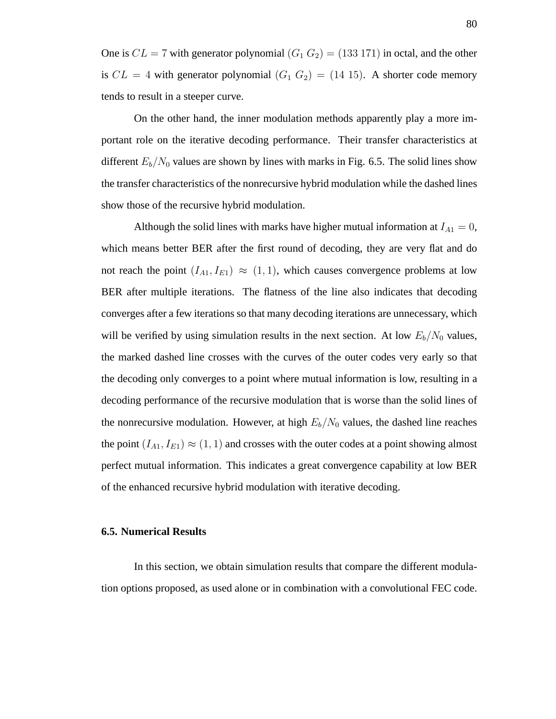One is  $CL = 7$  with generator polynomial  $(G_1 G_2) = (133 \ 171)$  in octal, and the other is  $CL = 4$  with generator polynomial  $(G_1 \ G_2) = (14 \ 15)$ . A shorter code memory tends to result in a steeper curve.

On the other hand, the inner modulation methods apparently play a more important role on the iterative decoding performance. Their transfer characteristics at different  $E_b/N_0$  values are shown by lines with marks in Fig. 6.5. The solid lines show the transfer characteristics of the nonrecursive hybrid modulation while the dashed lines show those of the recursive hybrid modulation.

Although the solid lines with marks have higher mutual information at  $I_{A1} = 0$ , which means better BER after the first round of decoding, they are very flat and do not reach the point  $(I_{A1}, I_{E1}) \approx (1, 1)$ , which causes convergence problems at low BER after multiple iterations. The flatness of the line also indicates that decoding converges after a few iterations so that many decoding iterations are unnecessary, which will be verified by using simulation results in the next section. At low  $E_b/N_0$  values, the marked dashed line crosses with the curves of the outer codes very early so that the decoding only converges to a point where mutual information is low, resulting in a decoding performance of the recursive modulation that is worse than the solid lines of the nonrecursive modulation. However, at high  $E_b/N_0$  values, the dashed line reaches the point  $(I_{A1}, I_{E1}) \approx (1, 1)$  and crosses with the outer codes at a point showing almost perfect mutual information. This indicates a great convergence capability at low BER of the enhanced recursive hybrid modulation with iterative decoding.

## **6.5. Numerical Results**

In this section, we obtain simulation results that compare the different modulation options proposed, as used alone or in combination with a convolutional FEC code.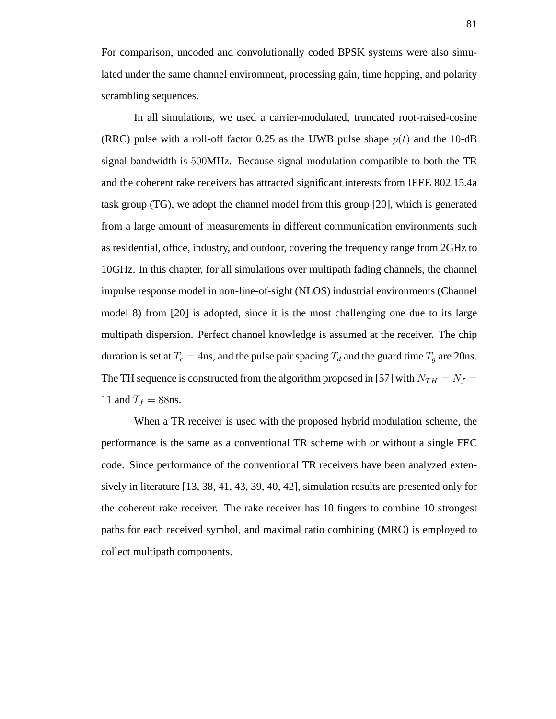For comparison, uncoded and convolutionally coded BPSK systems were also simulated under the same channel environment, processing gain, time hopping, and polarity scrambling sequences.

In all simulations, we used a carrier-modulated, truncated root-raised-cosine (RRC) pulse with a roll-off factor 0.25 as the UWB pulse shape  $p(t)$  and the 10-dB signal bandwidth is 500MHz. Because signal modulation compatible to both the TR and the coherent rake receivers has attracted significant interests from IEEE 802.15.4a task group (TG), we adopt the channel model from this group [20], which is generated from a large amount of measurements in different communication environments such as residential, office, industry, and outdoor, covering the frequency range from 2GHz to 10GHz. In this chapter, for all simulations over multipath fading channels, the channel impulse response model in non-line-of-sight (NLOS) industrial environments (Channel model 8) from [20] is adopted, since it is the most challenging one due to its large multipath dispersion. Perfect channel knowledge is assumed at the receiver. The chip duration is set at  $T_c = 4$ ns, and the pulse pair spacing  $T_d$  and the guard time  $T_q$  are 20ns. The TH sequence is constructed from the algorithm proposed in [57] with  $N_{TH} = N_f$  = 11 and  $T_f = 88$ ns.

When a TR receiver is used with the proposed hybrid modulation scheme, the performance is the same as a conventional TR scheme with or without a single FEC code. Since performance of the conventional TR receivers have been analyzed extensively in literature [13, 38, 41, 43, 39, 40, 42], simulation results are presented only for the coherent rake receiver. The rake receiver has 10 fingers to combine 10 strongest paths for each received symbol, and maximal ratio combining (MRC) is employed to collect multipath components.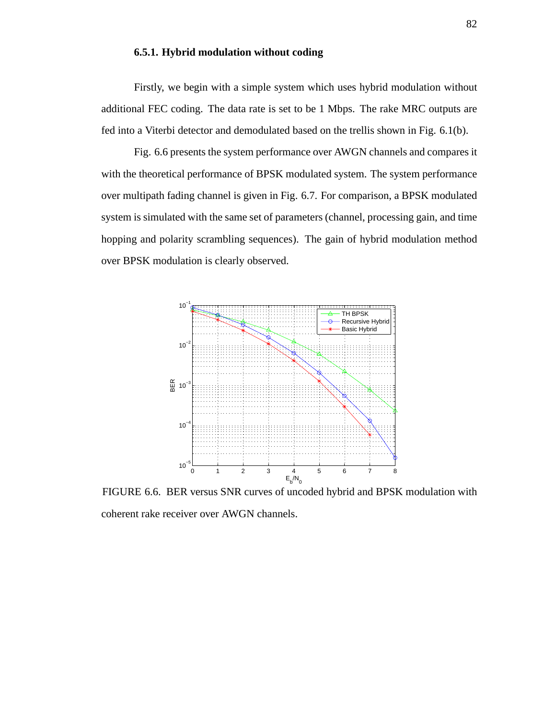## **6.5.1. Hybrid modulation without coding**

Firstly, we begin with a simple system which uses hybrid modulation without additional FEC coding. The data rate is set to be 1 Mbps. The rake MRC outputs are fed into a Viterbi detector and demodulated based on the trellis shown in Fig. 6.1(b).

Fig. 6.6 presents the system performance over AWGN channels and compares it with the theoretical performance of BPSK modulated system. The system performance over multipath fading channel is given in Fig. 6.7. For comparison, a BPSK modulated system is simulated with the same set of parameters (channel, processing gain, and time hopping and polarity scrambling sequences). The gain of hybrid modulation method over BPSK modulation is clearly observed.



FIGURE 6.6. BER versus SNR curves of uncoded hybrid and BPSK modulation with coherent rake receiver over AWGN channels.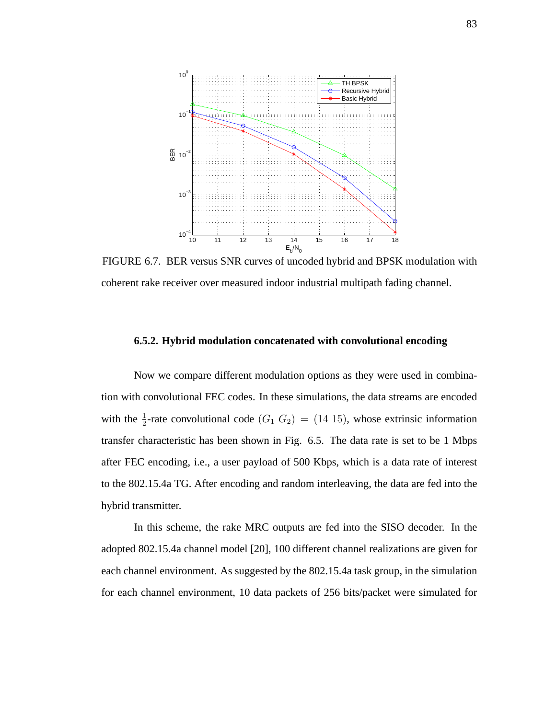

FIGURE 6.7. BER versus SNR curves of uncoded hybrid and BPSK modulation with coherent rake receiver over measured indoor industrial multipath fading channel.

## **6.5.2. Hybrid modulation concatenated with convolutional encoding**

Now we compare different modulation options as they were used in combination with convolutional FEC codes. In these simulations, the data streams are encoded with the  $\frac{1}{2}$ -rate convolutional code  $(G_1 \ G_2) = (14 \ 15)$ , whose extrinsic information transfer characteristic has been shown in Fig. 6.5. The data rate is set to be 1 Mbps after FEC encoding, i.e., a user payload of 500 Kbps, which is a data rate of interest to the 802.15.4a TG. After encoding and random interleaving, the data are fed into the hybrid transmitter.

In this scheme, the rake MRC outputs are fed into the SISO decoder. In the adopted 802.15.4a channel model [20], 100 different channel realizations are given for each channel environment. As suggested by the 802.15.4a task group, in the simulation for each channel environment, 10 data packets of 256 bits/packet were simulated for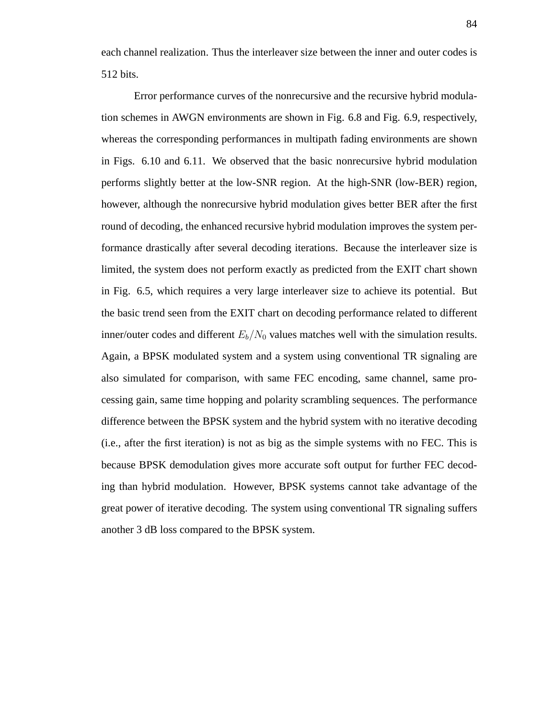each channel realization. Thus the interleaver size between the inner and outer codes is 512 bits.

Error performance curves of the nonrecursive and the recursive hybrid modulation schemes in AWGN environments are shown in Fig. 6.8 and Fig. 6.9, respectively, whereas the corresponding performances in multipath fading environments are shown in Figs. 6.10 and 6.11. We observed that the basic nonrecursive hybrid modulation performs slightly better at the low-SNR region. At the high-SNR (low-BER) region, however, although the nonrecursive hybrid modulation gives better BER after the first round of decoding, the enhanced recursive hybrid modulation improves the system performance drastically after several decoding iterations. Because the interleaver size is limited, the system does not perform exactly as predicted from the EXIT chart shown in Fig. 6.5, which requires a very large interleaver size to achieve its potential. But the basic trend seen from the EXIT chart on decoding performance related to different inner/outer codes and different  $E_b/N_0$  values matches well with the simulation results. Again, a BPSK modulated system and a system using conventional TR signaling are also simulated for comparison, with same FEC encoding, same channel, same processing gain, same time hopping and polarity scrambling sequences. The performance difference between the BPSK system and the hybrid system with no iterative decoding (i.e., after the first iteration) is not as big as the simple systems with no FEC. This is because BPSK demodulation gives more accurate soft output for further FEC decoding than hybrid modulation. However, BPSK systems cannot take advantage of the great power of iterative decoding. The system using conventional TR signaling suffers another 3 dB loss compared to the BPSK system.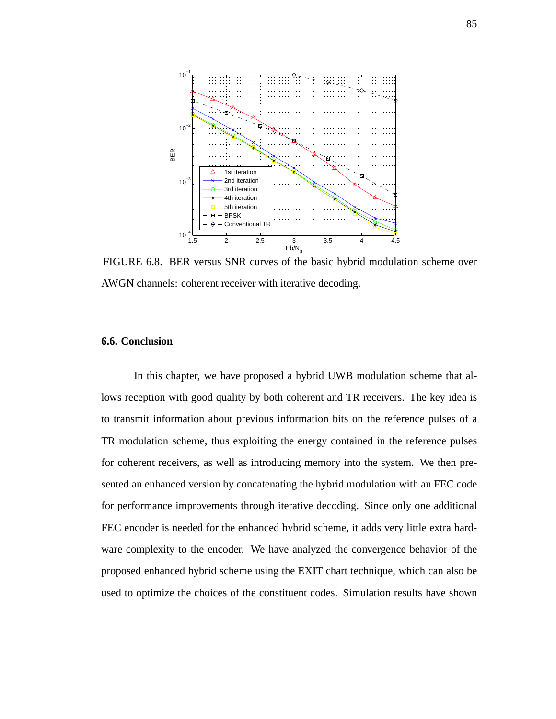

FIGURE 6.8. BER versus SNR curves of the basic hybrid modulation scheme over AWGN channels: coherent receiver with iterative decoding.

## **6.6. Conclusion**

In this chapter, we have proposed a hybrid UWB modulation scheme that allows reception with good quality by both coherent and TR receivers. The key idea is to transmit information about previous information bits on the reference pulses of a TR modulation scheme, thus exploiting the energy contained in the reference pulses for coherent receivers, as well as introducing memory into the system. We then presented an enhanced version by concatenating the hybrid modulation with an FEC code for performance improvements through iterative decoding. Since only one additional FEC encoder is needed for the enhanced hybrid scheme, it adds very little extra hardware complexity to the encoder. We have analyzed the convergence behavior of the proposed enhanced hybrid scheme using the EXIT chart technique, which can also be used to optimize the choices of the constituent codes. Simulation results have shown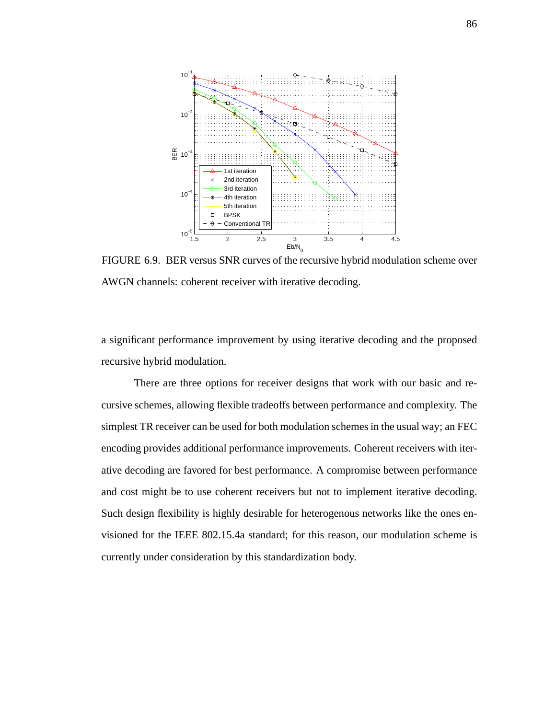

FIGURE 6.9. BER versus SNR curves of the recursive hybrid modulation scheme over AWGN channels: coherent receiver with iterative decoding.

a significant performance improvement by using iterative decoding and the proposed recursive hybrid modulation.

There are three options for receiver designs that work with our basic and recursive schemes, allowing flexible tradeoffs between performance and complexity. The simplest TR receiver can be used for both modulation schemes in the usual way; an FEC encoding provides additional performance improvements. Coherent receivers with iterative decoding are favored for best performance. A compromise between performance and cost might be to use coherent receivers but not to implement iterative decoding. Such design flexibility is highly desirable for heterogenous networks like the ones envisioned for the IEEE 802.15.4a standard; for this reason, our modulation scheme is currently under consideration by this standardization body.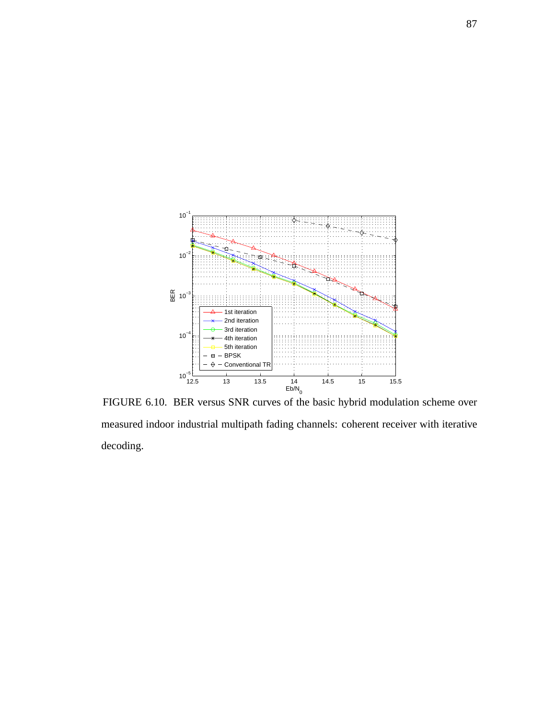

FIGURE 6.10. BER versus SNR curves of the basic hybrid modulation scheme over measured indoor industrial multipath fading channels: coherent receiver with iterative decoding.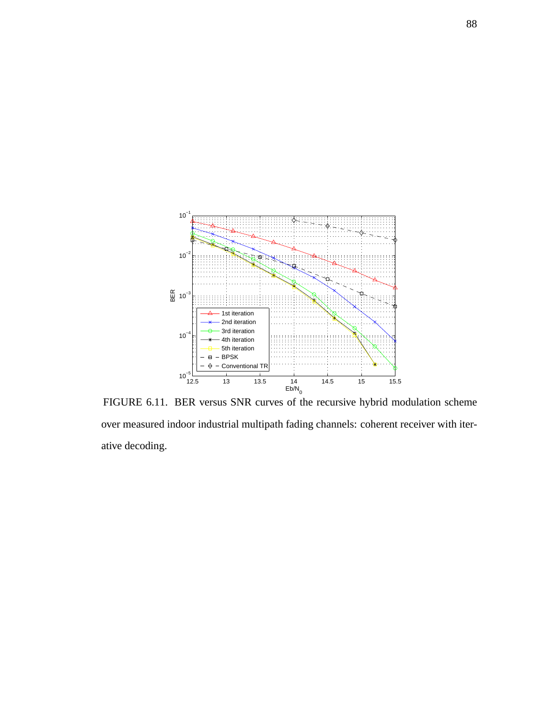

FIGURE 6.11. BER versus SNR curves of the recursive hybrid modulation scheme over measured indoor industrial multipath fading channels: coherent receiver with iterative decoding.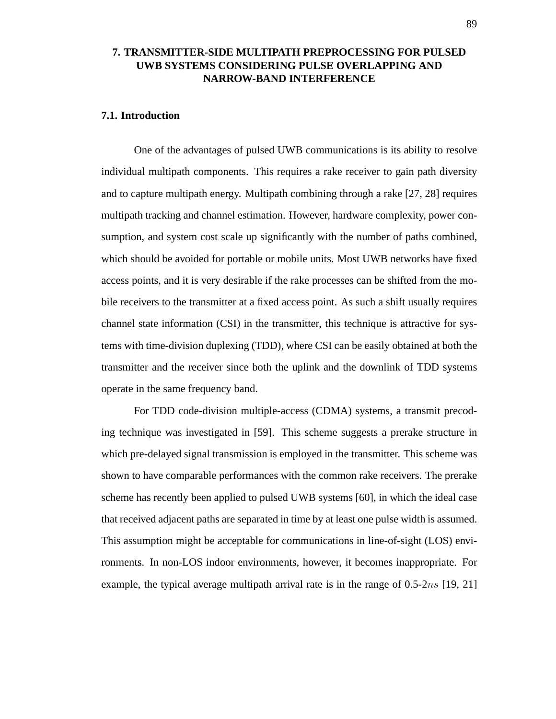# **7. TRANSMITTER-SIDE MULTIPATH PREPROCESSING FOR PULSED UWB SYSTEMS CONSIDERING PULSE OVERLAPPING AND NARROW-BAND INTERFERENCE**

## **7.1. Introduction**

One of the advantages of pulsed UWB communications is its ability to resolve individual multipath components. This requires a rake receiver to gain path diversity and to capture multipath energy. Multipath combining through a rake [27, 28] requires multipath tracking and channel estimation. However, hardware complexity, power consumption, and system cost scale up significantly with the number of paths combined, which should be avoided for portable or mobile units. Most UWB networks have fixed access points, and it is very desirable if the rake processes can be shifted from the mobile receivers to the transmitter at a fixed access point. As such a shift usually requires channel state information (CSI) in the transmitter, this technique is attractive for systems with time-division duplexing (TDD), where CSI can be easily obtained at both the transmitter and the receiver since both the uplink and the downlink of TDD systems operate in the same frequency band.

For TDD code-division multiple-access (CDMA) systems, a transmit precoding technique was investigated in [59]. This scheme suggests a prerake structure in which pre-delayed signal transmission is employed in the transmitter. This scheme was shown to have comparable performances with the common rake receivers. The prerake scheme has recently been applied to pulsed UWB systems [60], in which the ideal case that received adjacent paths are separated in time by at least one pulse width is assumed. This assumption might be acceptable for communications in line-of-sight (LOS) environments. In non-LOS indoor environments, however, it becomes inappropriate. For example, the typical average multipath arrival rate is in the range of  $0.5-2ns$  [19, 21]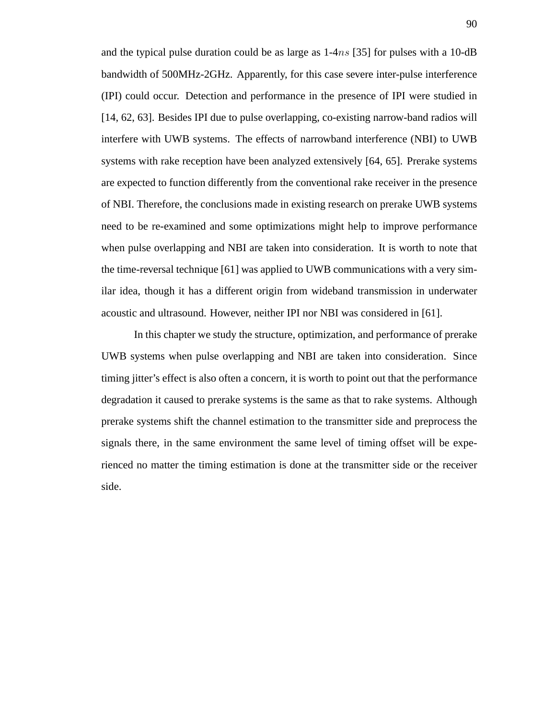and the typical pulse duration could be as large as  $1-4ns$  [35] for pulses with a 10-dB bandwidth of 500MHz-2GHz. Apparently, for this case severe inter-pulse interference (IPI) could occur. Detection and performance in the presence of IPI were studied in [14, 62, 63]. Besides IPI due to pulse overlapping, co-existing narrow-band radios will interfere with UWB systems. The effects of narrowband interference (NBI) to UWB systems with rake reception have been analyzed extensively [64, 65]. Prerake systems are expected to function differently from the conventional rake receiver in the presence of NBI. Therefore, the conclusions made in existing research on prerake UWB systems need to be re-examined and some optimizations might help to improve performance when pulse overlapping and NBI are taken into consideration. It is worth to note that the time-reversal technique [61] was applied to UWB communications with a very similar idea, though it has a different origin from wideband transmission in underwater acoustic and ultrasound. However, neither IPI nor NBI was considered in [61].

In this chapter we study the structure, optimization, and performance of prerake UWB systems when pulse overlapping and NBI are taken into consideration. Since timing jitter's effect is also often a concern, it is worth to point out that the performance degradation it caused to prerake systems is the same as that to rake systems. Although prerake systems shift the channel estimation to the transmitter side and preprocess the signals there, in the same environment the same level of timing offset will be experienced no matter the timing estimation is done at the transmitter side or the receiver side.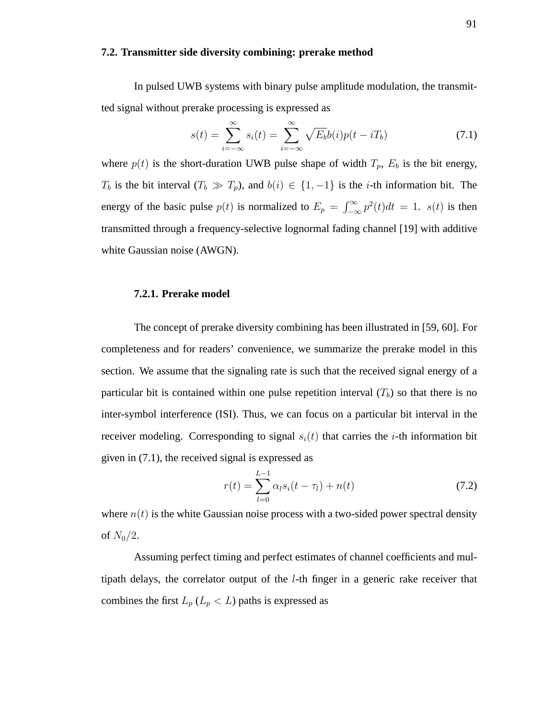#### **7.2. Transmitter side diversity combining: prerake method**

In pulsed UWB systems with binary pulse amplitude modulation, the transmitted signal without prerake processing is expressed as

$$
s(t) = \sum_{i = -\infty}^{\infty} s_i(t) = \sum_{i = -\infty}^{\infty} \sqrt{E_b} b(i) p(t - iT_b)
$$
\n(7.1)

where  $p(t)$  is the short-duration UWB pulse shape of width  $T_p$ ,  $E_b$  is the bit energy,  $T_b$  is the bit interval  $(T_b \gg T_p)$ , and  $b(i) \in \{1, -1\}$  is the *i*-th information bit. The energy of the basic pulse  $p(t)$  is normalized to  $E_p = \int_{-\infty}^{\infty} p^2(t) dt = 1$ .  $s(t)$  is then transmitted through a frequency-selective lognormal fading channel [19] with additive white Gaussian noise (AWGN).

## **7.2.1. Prerake model**

The concept of prerake diversity combining has been illustrated in [59, 60]. For completeness and for readers' convenience, we summarize the prerake model in this section. We assume that the signaling rate is such that the received signal energy of a particular bit is contained within one pulse repetition interval  $(T_b)$  so that there is no inter-symbol interference (ISI). Thus, we can focus on a particular bit interval in the receiver modeling. Corresponding to signal  $s_i(t)$  that carries the *i*-th information bit given in (7.1), the received signal is expressed as

$$
r(t) = \sum_{l=0}^{L-1} \alpha_l s_i(t - \tau_l) + n(t)
$$
\n(7.2)

where  $n(t)$  is the white Gaussian noise process with a two-sided power spectral density of  $N_0/2$ .

Assuming perfect timing and perfect estimates of channel coefficients and multipath delays, the correlator output of the l-th finger in a generic rake receiver that combines the first  $L_p$  ( $L_p < L$ ) paths is expressed as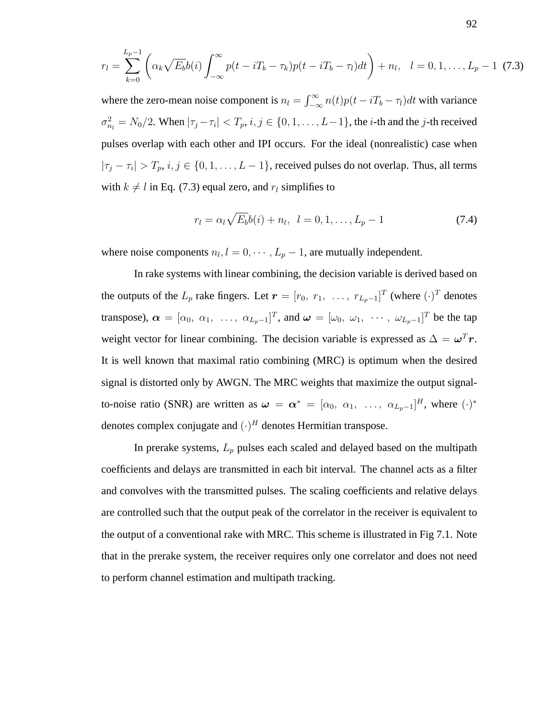$$
r_l = \sum_{k=0}^{L_p-1} \left( \alpha_k \sqrt{E_b} b(i) \int_{-\infty}^{\infty} p(t - iT_b - \tau_k) p(t - iT_b - \tau_l) dt \right) + n_l, \quad l = 0, 1, \dots, L_p - 1 \tag{7.3}
$$

where the zero-mean noise component is  $n_l = \int_{-\infty}^{\infty} n(t)p(t - iT_b - \tau_l)dt$  with variance  $\sigma_{n_l}^2 = N_0/2$ . When  $|\tau_j - \tau_i| < T_p$ ,  $i, j \in \{0, 1, \ldots, L-1\}$ , the *i*-th and the *j*-th received pulses overlap with each other and IPI occurs. For the ideal (nonrealistic) case when  $|\tau_j - \tau_i| > T_p$ ,  $i, j \in \{0, 1, ..., L - 1\}$ , received pulses do not overlap. Thus, all terms with  $k \neq l$  in Eq. (7.3) equal zero, and  $r_l$  simplifies to

$$
r_l = \alpha_l \sqrt{E_b} b(i) + n_l, \ \ l = 0, 1, \dots, L_p - 1 \tag{7.4}
$$

where noise components  $n_l$ ,  $l = 0, \dots, L_p - 1$ , are mutually independent.

In rake systems with linear combining, the decision variable is derived based on the outputs of the  $L_p$  rake fingers. Let  $\boldsymbol{r} = [r_0, r_1, \ldots, r_{L_p-1}]^T$  (where  $(\cdot)^T$  denotes transpose),  $\boldsymbol{\alpha} = [\alpha_0, \alpha_1, \ldots, \alpha_{L_p-1}]^T$ , and  $\boldsymbol{\omega} = [\omega_0, \omega_1, \cdots, \omega_{L_p-1}]^T$  be the tap weight vector for linear combining. The decision variable is expressed as  $\Delta = \omega^T r$ . It is well known that maximal ratio combining (MRC) is optimum when the desired signal is distorted only by AWGN. The MRC weights that maximize the output signalto-noise ratio (SNR) are written as  $\boldsymbol{\omega} = \boldsymbol{\alpha}^* = [\alpha_0, \alpha_1, \ldots, \alpha_{L_p-1}]^H$ , where  $(\cdot)^*$ denotes complex conjugate and  $(\cdot)^H$  denotes Hermitian transpose.

In prerake systems,  $L_p$  pulses each scaled and delayed based on the multipath coefficients and delays are transmitted in each bit interval. The channel acts as a filter and convolves with the transmitted pulses. The scaling coefficients and relative delays are controlled such that the output peak of the correlator in the receiver is equivalent to the output of a conventional rake with MRC. This scheme is illustrated in Fig 7.1. Note that in the prerake system, the receiver requires only one correlator and does not need to perform channel estimation and multipath tracking.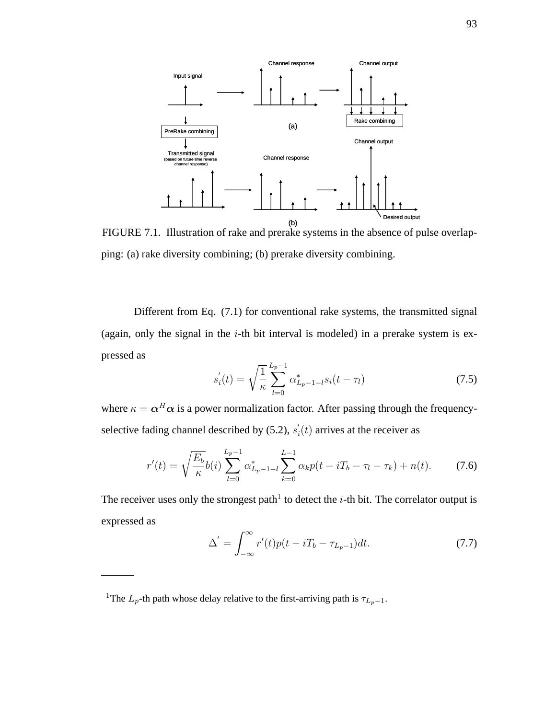

FIGURE 7.1. Illustration of rake and prerake systems in the absence of pulse overlapping: (a) rake diversity combining; (b) prerake diversity combining.

Different from Eq. (7.1) for conventional rake systems, the transmitted signal (again, only the signal in the  $i$ -th bit interval is modeled) in a prerake system is expressed as

$$
s_i'(t) = \sqrt{\frac{1}{\kappa}} \sum_{l=0}^{L_p - 1} \alpha_{L_p - 1 - l}^* s_i(t - \tau_l)
$$
\n(7.5)

where  $\kappa = \alpha^H \alpha$  is a power normalization factor. After passing through the frequencyselective fading channel described by  $(5.2)$ ,  $s'_{i}(t)$  arrives at the receiver as

$$
r'(t) = \sqrt{\frac{E_b}{\kappa}} b(i) \sum_{l=0}^{L_p - 1} \alpha_{L_p - 1 - l}^* \sum_{k=0}^{L-1} \alpha_k p(t - iT_b - \tau_l - \tau_k) + n(t). \tag{7.6}
$$

The receiver uses only the strongest path<sup>1</sup> to detect the *i*-th bit. The correlator output is expressed as

$$
\Delta' = \int_{-\infty}^{\infty} r'(t)p(t - iT_b - \tau_{L_p - 1})dt.
$$
\n(7.7)

<sup>&</sup>lt;sup>1</sup>The  $L_p$ -th path whose delay relative to the first-arriving path is  $\tau_{L_p-1}$ .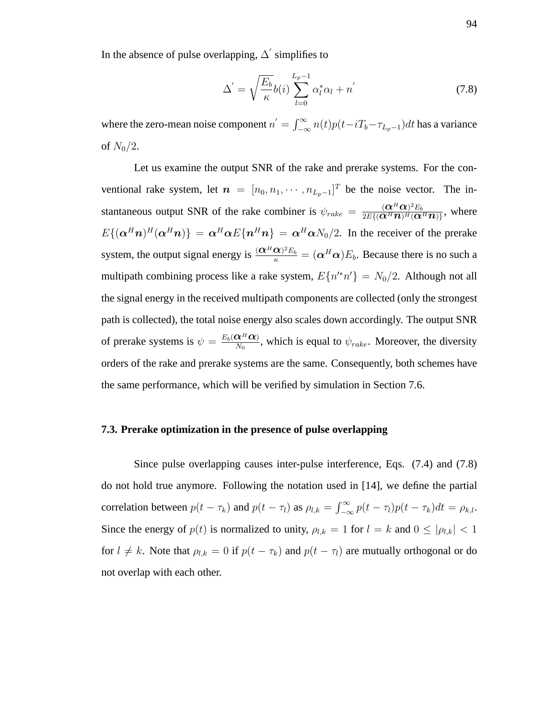In the absence of pulse overlapping,  $\Delta'$  simplifies to

$$
\Delta' = \sqrt{\frac{E_b}{\kappa}} b(i) \sum_{l=0}^{L_p - 1} \alpha_l^* \alpha_l + n'
$$
\n(7.8)

where the zero-mean noise component  $n' = \int_{-\infty}^{\infty} n(t)p(t-iT_b-\tau_{L_p-1})dt$  has a variance of  $N_0/2$ .

Let us examine the output SNR of the rake and prerake systems. For the conventional rake system, let  $n = [n_0, n_1, \dots, n_{L_p-1}]^T$  be the noise vector. The instantaneous output SNR of the rake combiner is  $\psi_{\text{rate}} = \frac{(\mathbf{\alpha}^H \mathbf{\alpha})^2 E_b}{2E{(\mathbf{\alpha}^H \mathbf{n})^H (\mathbf{\alpha}^H \mathbf{n})}}$ , where  $E\{(\alpha^H n)^H (\alpha^H n)\} = \alpha^H \alpha E\{n^H n\} = \alpha^H \alpha N_0/2$ . In the receiver of the prerake system, the output signal energy is  $\frac{(\mathbf{\alpha}^H \mathbf{\alpha})^2 E_b}{\kappa} = (\mathbf{\alpha}^H \mathbf{\alpha}) E_b$ . Because there is no such a multipath combining process like a rake system,  $E\{n'^*n'\} = N_0/2$ . Although not all the signal energy in the received multipath components are collected (only the strongest path is collected), the total noise energy also scales down accordingly. The output SNR of prerake systems is  $\psi = \frac{E_b(\mathbf{\alpha}^H \mathbf{\alpha})}{N_0}$ , which is equal to  $\psi_{\text{rake}}$ . Moreover, the diversity orders of the rake and prerake systems are the same. Consequently, both schemes have the same performance, which will be verified by simulation in Section 7.6.

# **7.3. Prerake optimization in the presence of pulse overlapping**

Since pulse overlapping causes inter-pulse interference, Eqs. (7.4) and (7.8) do not hold true anymore. Following the notation used in [14], we define the partial correlation between  $p(t - \tau_k)$  and  $p(t - \tau_l)$  as  $\rho_{l,k} = \int_{-\infty}^{\infty} p(t - \tau_l)p(t - \tau_k)dt = \rho_{k,l}$ . Since the energy of  $p(t)$  is normalized to unity,  $\rho_{l,k} = 1$  for  $l = k$  and  $0 \leq |\rho_{l,k}| < 1$ for  $l \neq k$ . Note that  $\rho_{l,k} = 0$  if  $p(t - \tau_k)$  and  $p(t - \tau_l)$  are mutually orthogonal or do not overlap with each other.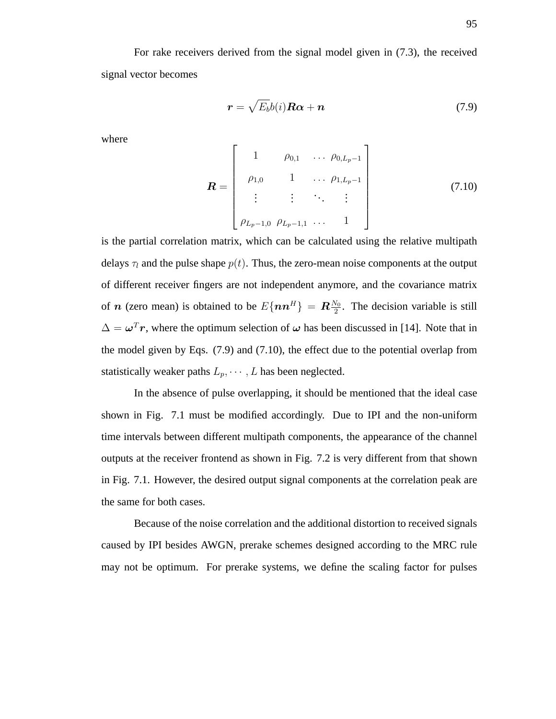For rake receivers derived from the signal model given in (7.3), the received signal vector becomes

$$
\boldsymbol{r} = \sqrt{E_b}b(i)\boldsymbol{R}\boldsymbol{\alpha} + \boldsymbol{n} \tag{7.9}
$$

where

$$
\boldsymbol{R} = \begin{bmatrix} 1 & \rho_{0,1} & \dots & \rho_{0,L_p-1} \\ \rho_{1,0} & 1 & \dots & \rho_{1,L_p-1} \\ \vdots & \vdots & \ddots & \vdots \\ \rho_{L_p-1,0} & \rho_{L_p-1,1} & \dots & 1 \end{bmatrix}
$$
(7.10)

is the partial correlation matrix, which can be calculated using the relative multipath delays  $\tau_l$  and the pulse shape  $p(t)$ . Thus, the zero-mean noise components at the output of different receiver fingers are not independent anymore, and the covariance matrix of *n* (zero mean) is obtained to be  $E\{nn^H\} = R\frac{N_0}{2}$ . The decision variable is still  $\Delta = \omega^T r$ , where the optimum selection of  $\omega$  has been discussed in [14]. Note that in the model given by Eqs. (7.9) and (7.10), the effect due to the potential overlap from statistically weaker paths  $L_p, \dots, L$  has been neglected.

In the absence of pulse overlapping, it should be mentioned that the ideal case shown in Fig. 7.1 must be modified accordingly. Due to IPI and the non-uniform time intervals between different multipath components, the appearance of the channel outputs at the receiver frontend as shown in Fig. 7.2 is very different from that shown in Fig. 7.1. However, the desired output signal components at the correlation peak are the same for both cases.

Because of the noise correlation and the additional distortion to received signals caused by IPI besides AWGN, prerake schemes designed according to the MRC rule may not be optimum. For prerake systems, we define the scaling factor for pulses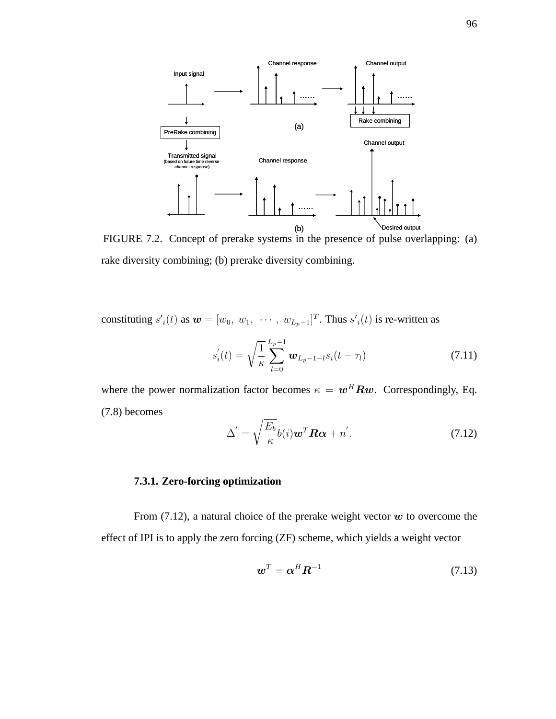

FIGURE 7.2. Concept of prerake systems in the presence of pulse overlapping: (a) rake diversity combining; (b) prerake diversity combining.

constituting  $s'_{i}(t)$  as  $\boldsymbol{w} = [w_0, w_1, \dots, w_{L_p-1}]^T$ . Thus  $s'_{i}(t)$  is re-written as

$$
s'_{i}(t) = \sqrt{\frac{1}{\kappa}} \sum_{l=0}^{L_{p}-1} \boldsymbol{w}_{L_{p}-1-l} s_{i}(t-\tau_{l})
$$
\n(7.11)

where the power normalization factor becomes  $\kappa = \mathbf{w}^H \mathbf{R} \mathbf{w}$ . Correspondingly, Eq. (7.8) becomes

$$
\Delta' = \sqrt{\frac{E_b}{\kappa}} b(i) \boldsymbol{w}^T \boldsymbol{R} \boldsymbol{\alpha} + n'.
$$
 (7.12)

# **7.3.1. Zero-forcing optimization**

From  $(7.12)$ , a natural choice of the prerake weight vector  $w$  to overcome the effect of IPI is to apply the zero forcing (ZF) scheme, which yields a weight vector

$$
\boldsymbol{w}^T = \boldsymbol{\alpha}^H \boldsymbol{R}^{-1} \tag{7.13}
$$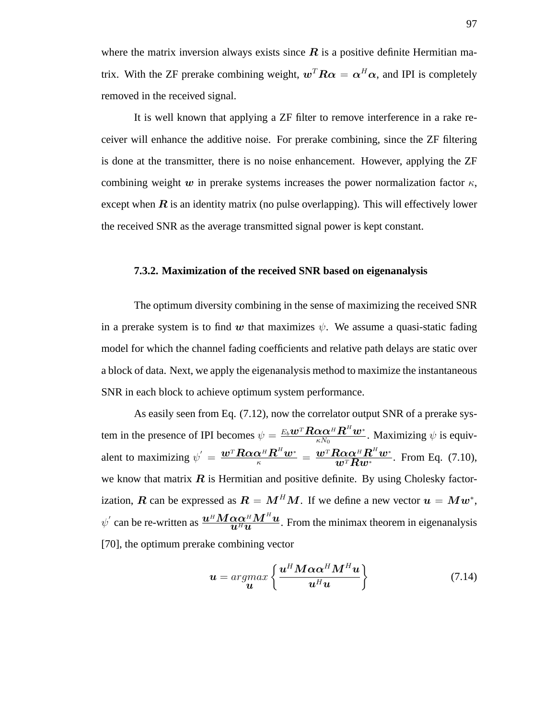where the matrix inversion always exists since  $\bf{R}$  is a positive definite Hermitian matrix. With the ZF prerake combining weight,  $w^T R \alpha = \alpha^H \alpha$ , and IPI is completely removed in the received signal.

It is well known that applying a ZF filter to remove interference in a rake receiver will enhance the additive noise. For prerake combining, since the ZF filtering is done at the transmitter, there is no noise enhancement. However, applying the ZF combining weight *w* in prerake systems increases the power normalization factor  $\kappa$ , except when  $\vec{R}$  is an identity matrix (no pulse overlapping). This will effectively lower the received SNR as the average transmitted signal power is kept constant.

#### **7.3.2. Maximization of the received SNR based on eigenanalysis**

The optimum diversity combining in the sense of maximizing the received SNR in a prerake system is to find *w* that maximizes  $\psi$ . We assume a quasi-static fading model for which the channel fading coefficients and relative path delays are static over a block of data. Next, we apply the eigenanalysis method to maximize the instantaneous SNR in each block to achieve optimum system performance.

As easily seen from Eq. (7.12), now the correlator output SNR of a prerake system in the presence of IPI becomes  $\psi = \frac{E_b \mathbf{w}^T \mathbf{R} \alpha \alpha^H \mathbf{R}^H \mathbf{w}^*}{\kappa N_0}$ . Maximizing  $\psi$  is equivalent to maximizing  $\psi' = \frac{\boldsymbol{w}^T \boldsymbol{R} \alpha \boldsymbol{\alpha}^H \boldsymbol{R}^H \boldsymbol{w}^*}{\kappa} = \frac{\boldsymbol{w}^T \boldsymbol{R} \alpha \boldsymbol{\alpha}^H \boldsymbol{R}^H \boldsymbol{w}^*}{\boldsymbol{w}^T \boldsymbol{R} \boldsymbol{w}^*}.$  From Eq. (7.10), we know that matrix  $R$  is Hermitian and positive definite. By using Cholesky factorization, *R* can be expressed as  $\mathbf{R} = \mathbf{M}^H \mathbf{M}$ . If we define a new vector  $\mathbf{u} = \mathbf{M} \mathbf{w}^*$ ,  $\psi'$  can be re-written as  $\frac{u^{\mu}M\alpha\alpha^{\mu}M^{\mu}u}{u^{\mu}u}$ . From the minimax theorem in eigenanalysis [70], the optimum prerake combining vector

$$
u = argmax_{u} \left\{ \frac{u^H M \alpha \alpha^H M^H u}{u^H u} \right\}
$$
 (7.14)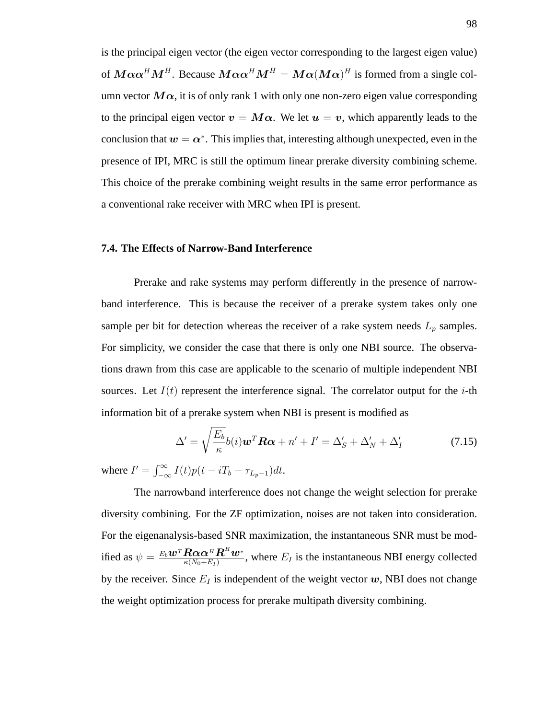is the principal eigen vector (the eigen vector corresponding to the largest eigen value) of  $M \alpha \alpha^H M^H$ . Because  $M \alpha \alpha^H M^H = M \alpha (M \alpha)^H$  is formed from a single column vector  $M\alpha$ , it is of only rank 1 with only one non-zero eigen value corresponding to the principal eigen vector  $v = M\alpha$ . We let  $u = v$ , which apparently leads to the conclusion that  $w = \alpha^*$ . This implies that, interesting although unexpected, even in the presence of IPI, MRC is still the optimum linear prerake diversity combining scheme. This choice of the prerake combining weight results in the same error performance as a conventional rake receiver with MRC when IPI is present.

#### **7.4. The Effects of Narrow-Band Interference**

Prerake and rake systems may perform differently in the presence of narrowband interference. This is because the receiver of a prerake system takes only one sample per bit for detection whereas the receiver of a rake system needs  $L_p$  samples. For simplicity, we consider the case that there is only one NBI source. The observations drawn from this case are applicable to the scenario of multiple independent NBI sources. Let  $I(t)$  represent the interference signal. The correlator output for the *i*-th information bit of a prerake system when NBI is present is modified as

$$
\Delta' = \sqrt{\frac{E_b}{\kappa}} b(i) \mathbf{w}^T \mathbf{R} \alpha + n' + I' = \Delta'_S + \Delta'_N + \Delta'_I \tag{7.15}
$$

where  $I' = \int_{-\infty}^{\infty} I(t)p(t - iT_b - \tau_{L_p-1})dt$ .

The narrowband interference does not change the weight selection for prerake diversity combining. For the ZF optimization, noises are not taken into consideration. For the eigenanalysis-based SNR maximization, the instantaneous SNR must be modified as  $\psi = \frac{E_b \mathbf{w}^T \mathbf{R} \alpha \alpha^H \mathbf{R}^H \mathbf{w}^*}{\kappa (N_0 + E_I)}$ , where  $E_I$  is the instantaneous NBI energy collected by the receiver. Since  $E_I$  is independent of the weight vector  $w$ , NBI does not change the weight optimization process for prerake multipath diversity combining.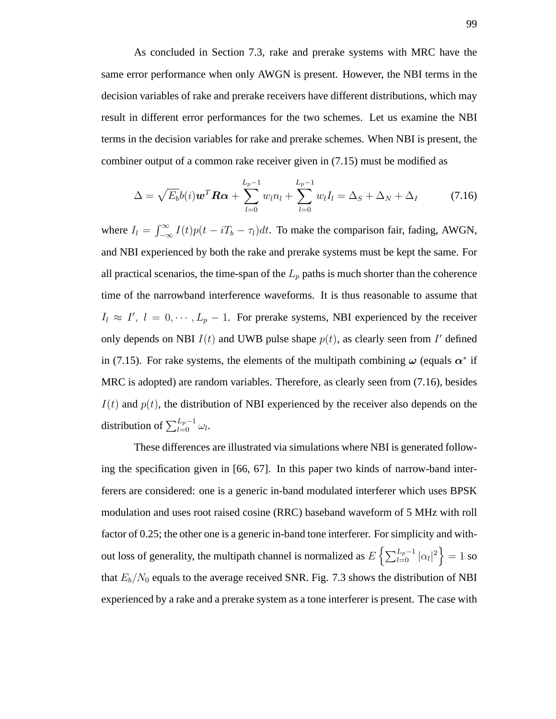As concluded in Section 7.3, rake and prerake systems with MRC have the same error performance when only AWGN is present. However, the NBI terms in the decision variables of rake and prerake receivers have different distributions, which may result in different error performances for the two schemes. Let us examine the NBI terms in the decision variables for rake and prerake schemes. When NBI is present, the combiner output of a common rake receiver given in (7.15) must be modified as

$$
\Delta = \sqrt{E_b} b(i) \mathbf{w}^T \mathbf{R} \alpha + \sum_{l=0}^{L_p - 1} w_l n_l + \sum_{l=0}^{L_p - 1} w_l I_l = \Delta_S + \Delta_N + \Delta_I \tag{7.16}
$$

where  $I_l = \int_{-\infty}^{\infty} I(t)p(t - iT_b - \tau_l)dt$ . To make the comparison fair, fading, AWGN, and NBI experienced by both the rake and prerake systems must be kept the same. For all practical scenarios, the time-span of the  $L_p$  paths is much shorter than the coherence time of the narrowband interference waveforms. It is thus reasonable to assume that  $I_l \approx I', l = 0, \dots, L_p - 1$ . For prerake systems, NBI experienced by the receiver only depends on NBI  $I(t)$  and UWB pulse shape  $p(t)$ , as clearly seen from  $I'$  defined in (7.15). For rake systems, the elements of the multipath combining  $\omega$  (equals  $\alpha^*$  if MRC is adopted) are random variables. Therefore, as clearly seen from (7.16), besides  $I(t)$  and  $p(t)$ , the distribution of NBI experienced by the receiver also depends on the distribution of  $\sum_{l=0}^{L_p-1} \omega_l$ .

These differences are illustrated via simulations where NBI is generated following the specification given in [66, 67]. In this paper two kinds of narrow-band interferers are considered: one is a generic in-band modulated interferer which uses BPSK modulation and uses root raised cosine (RRC) baseband waveform of 5 MHz with roll factor of 0.25; the other one is a generic in-band tone interferer. For simplicity and without loss of generality, the multipath channel is normalized as  $E\left\{\sum_{l=0}^{L_p-1}|\alpha_l|^2\right\}=1$  so that  $E_b/N_0$  equals to the average received SNR. Fig. 7.3 shows the distribution of NBI experienced by a rake and a prerake system as a tone interferer is present. The case with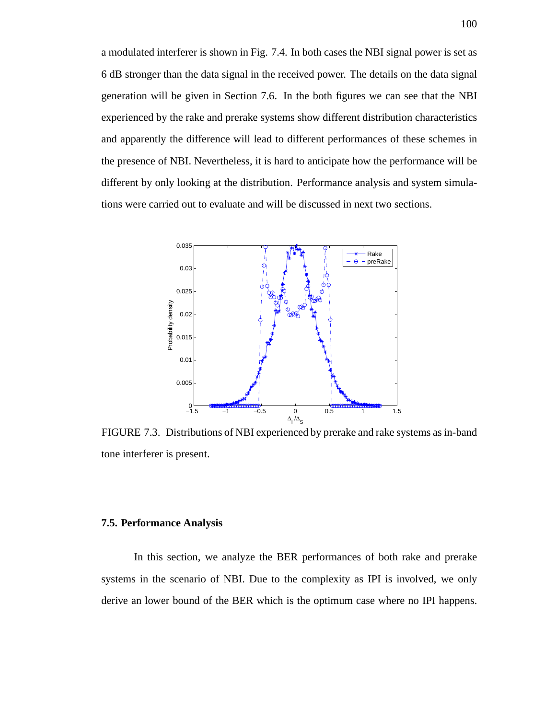a modulated interferer is shown in Fig. 7.4. In both cases the NBI signal power is set as 6 dB stronger than the data signal in the received power. The details on the data signal generation will be given in Section 7.6. In the both figures we can see that the NBI experienced by the rake and prerake systems show different distribution characteristics and apparently the difference will lead to different performances of these schemes in the presence of NBI. Nevertheless, it is hard to anticipate how the performance will be different by only looking at the distribution. Performance analysis and system simulations were carried out to evaluate and will be discussed in next two sections.



FIGURE 7.3. Distributions of NBI experienced by prerake and rake systems as in-band tone interferer is present.

## **7.5. Performance Analysis**

In this section, we analyze the BER performances of both rake and prerake systems in the scenario of NBI. Due to the complexity as IPI is involved, we only derive an lower bound of the BER which is the optimum case where no IPI happens.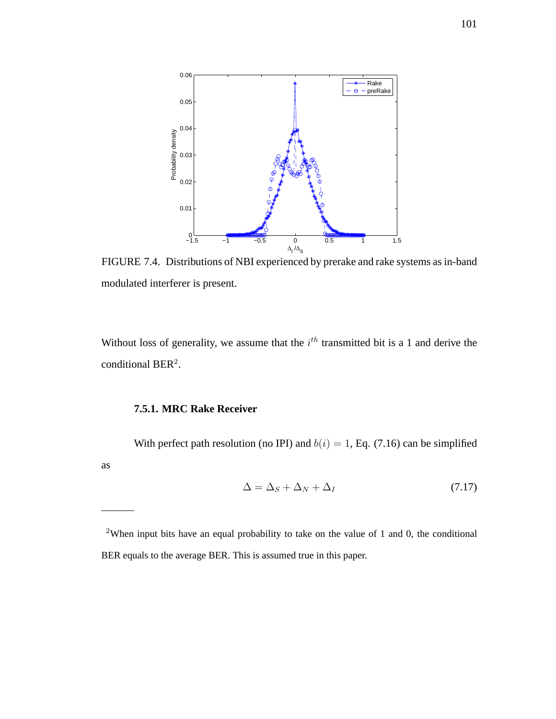

FIGURE 7.4. Distributions of NBI experienced by prerake and rake systems as in-band modulated interferer is present.

Without loss of generality, we assume that the  $i<sup>th</sup>$  transmitted bit is a 1 and derive the conditional BER<sup>2</sup>.

# **7.5.1. MRC Rake Receiver**

With perfect path resolution (no IPI) and  $b(i)=1$ , Eq. (7.16) can be simplified as

$$
\Delta = \Delta_S + \Delta_N + \Delta_I \tag{7.17}
$$

<sup>2</sup>When input bits have an equal probability to take on the value of 1 and 0, the conditional BER equals to the average BER. This is assumed true in this paper.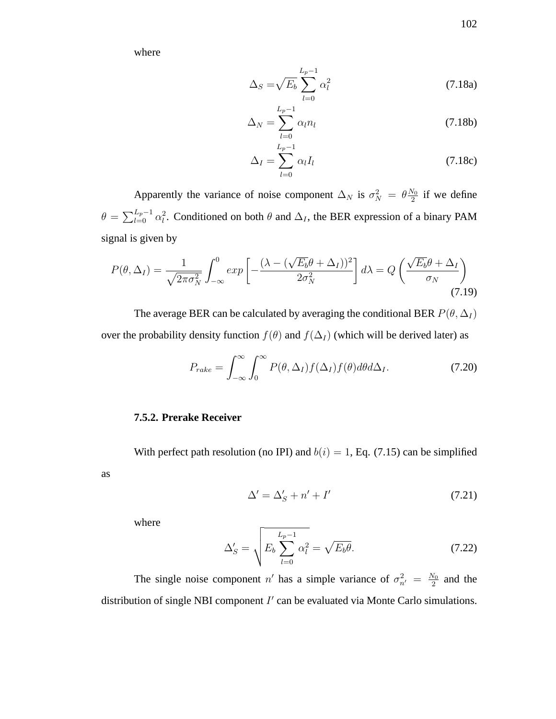where

$$
\Delta_S = \sqrt{E_b} \sum_{l=0}^{L_p - 1} \alpha_l^2 \tag{7.18a}
$$

$$
\Delta_N = \sum_{l=0}^{L_p - 1} \alpha_l n_l \tag{7.18b}
$$

$$
\Delta_I = \sum_{l=0}^{L_p - 1} \alpha_l I_l \tag{7.18c}
$$

Apparently the variance of noise component  $\Delta_N$  is  $\sigma_N^2 = \theta \frac{N_0}{2}$  if we define  $\theta = \sum_{l=0}^{L_p-1} \alpha_l^2$ . Conditioned on both  $\theta$  and  $\Delta_I$ , the BER expression of a binary PAM signal is given by

$$
P(\theta, \Delta_I) = \frac{1}{\sqrt{2\pi\sigma_N^2}} \int_{-\infty}^0 exp\left[-\frac{(\lambda - (\sqrt{E_b}\theta + \Delta_I))^2}{2\sigma_N^2}\right] d\lambda = Q\left(\frac{\sqrt{E_b}\theta + \Delta_I}{\sigma_N}\right)
$$
(7.19)

The average BER can be calculated by averaging the conditional BER  $P(\theta, \Delta_I)$ over the probability density function  $f(\theta)$  and  $f(\Delta_I)$  (which will be derived later) as

$$
P_{\text{rate}} = \int_{-\infty}^{\infty} \int_{0}^{\infty} P(\theta, \Delta_I) f(\Delta_I) f(\theta) d\theta d\Delta_I.
$$
 (7.20)

# **7.5.2. Prerake Receiver**

With perfect path resolution (no IPI) and  $b(i)=1$ , Eq. (7.15) can be simplified

$$
\Delta' = \Delta'_S + n' + I'
$$
\n(7.21)

where

as

$$
\Delta_S' = \sqrt{E_b \sum_{l=0}^{L_p - 1} \alpha_l^2} = \sqrt{E_b \theta}.
$$
\n(7.22)

The single noise component n' has a simple variance of  $\sigma_{n'}^2 = \frac{N_0}{2}$  and the distribution of single NBI component  $I'$  can be evaluated via Monte Carlo simulations.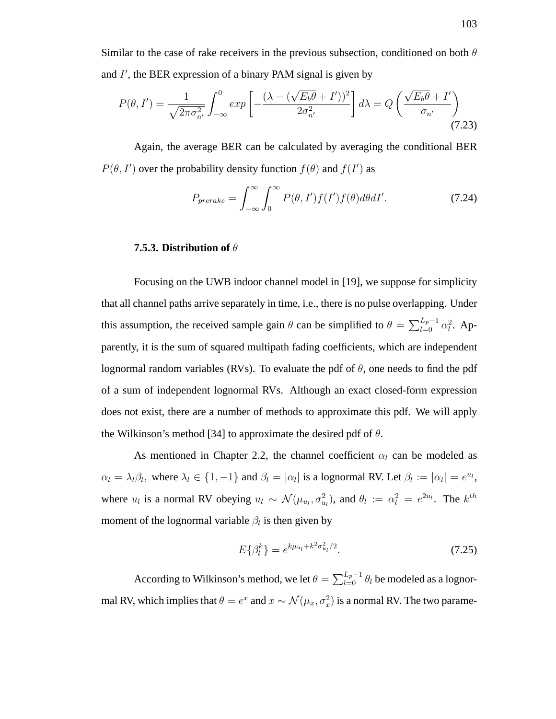Similar to the case of rake receivers in the previous subsection, conditioned on both  $\theta$ and  $I'$ , the BER expression of a binary PAM signal is given by

$$
P(\theta, I') = \frac{1}{\sqrt{2\pi\sigma_{n'}^2}} \int_{-\infty}^0 exp\left[-\frac{(\lambda - (\sqrt{E_b\theta} + I'))^2}{2\sigma_{n'}^2}\right] d\lambda = Q\left(\frac{\sqrt{E_b\theta} + I'}{\sigma_{n'}}\right)
$$
(7.23)

Again, the average BER can be calculated by averaging the conditional BER  $P(\theta, I')$  over the probability density function  $f(\theta)$  and  $f(I')$  as

$$
P_{prerate} = \int_{-\infty}^{\infty} \int_{0}^{\infty} P(\theta, I') f(I') f(\theta) d\theta dI'. \tag{7.24}
$$

## **7.5.3. Distribution of** θ

Focusing on the UWB indoor channel model in [19], we suppose for simplicity that all channel paths arrive separately in time, i.e., there is no pulse overlapping. Under this assumption, the received sample gain  $\theta$  can be simplified to  $\theta = \sum_{l=0}^{L_p-1} \alpha_l^2$ . Apparently, it is the sum of squared multipath fading coefficients, which are independent lognormal random variables (RVs). To evaluate the pdf of  $\theta$ , one needs to find the pdf of a sum of independent lognormal RVs. Although an exact closed-form expression does not exist, there are a number of methods to approximate this pdf. We will apply the Wilkinson's method [34] to approximate the desired pdf of  $\theta$ .

As mentioned in Chapter 2.2, the channel coefficient  $\alpha_l$  can be modeled as  $\alpha_l = \lambda_l \beta_l$ , where  $\lambda_l \in \{1, -1\}$  and  $\beta_l = |\alpha_l|$  is a lognormal RV. Let  $\beta_l := |\alpha_l| = e^{u_l}$ , where  $u_l$  is a normal RV obeying  $u_l \sim \mathcal{N}(\mu_{u_l}, \sigma_{u_l}^2)$ , and  $\theta_l := \alpha_l^2 = e^{2u_l}$ . The  $k^{th}$ moment of the lognormal variable  $\beta_l$  is then given by

$$
E\{\beta_l^k\} = e^{k\mu_{u_l} + k^2 \sigma_{u_l}^2/2}.
$$
\n(7.25)

According to Wilkinson's method, we let  $\theta = \sum_{l=0}^{L_p-1} \theta_l$  be modeled as a lognormal RV, which implies that  $\theta = e^x$  and  $x \sim \mathcal{N}(\mu_x, \sigma_x^2)$  is a normal RV. The two parame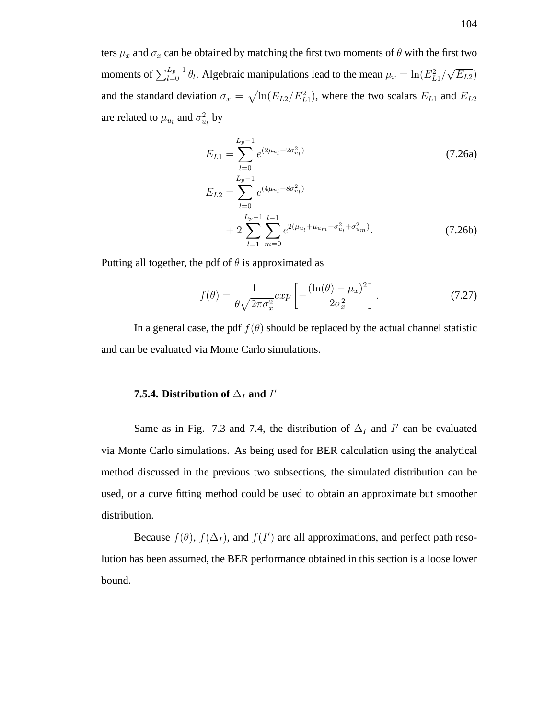ters  $\mu_x$  and  $\sigma_x$  can be obtained by matching the first two moments of  $\theta$  with the first two moments of  $\sum_{l=0}^{L_p-1} \theta_l$ . Algebraic manipulations lead to the mean  $\mu_x = \ln(E_{L1}^2/\sqrt{E_{L2}})$ and the standard deviation  $\sigma_x = \sqrt{\ln(E_{L2}/E_{L1}^2)}$ , where the two scalars  $E_{L1}$  and  $E_{L2}$ are related to  $\mu_{u_l}$  and  $\sigma_{u_l}^2$  by

$$
E_{L1} = \sum_{l=0}^{L_p - 1} e^{(2\mu_{u_l} + 2\sigma_{u_l}^2)}
$$
(7.26a)  

$$
E_{L2} = \sum_{l=0}^{L_p - 1} e^{(4\mu_{u_l} + 8\sigma_{u_l}^2)}
$$

$$
+ 2 \sum_{l=1}^{L_p - 1} \sum_{m=0}^{l-1} e^{2(\mu_{u_l} + \mu_{u_m} + \sigma_{u_l}^2 + \sigma_{u_m}^2)}.
$$
(7.26b)

Putting all together, the pdf of  $\theta$  is approximated as

$$
f(\theta) = \frac{1}{\theta \sqrt{2\pi \sigma_x^2}} exp\left[-\frac{(\ln(\theta) - \mu_x)^2}{2\sigma_x^2}\right].
$$
 (7.27)

In a general case, the pdf  $f(\theta)$  should be replaced by the actual channel statistic and can be evaluated via Monte Carlo simulations.

# **7.5.4. Distribution of**  $\Delta_I$  and  $I'$

Same as in Fig. 7.3 and 7.4, the distribution of  $\Delta_I$  and I' can be evaluated via Monte Carlo simulations. As being used for BER calculation using the analytical method discussed in the previous two subsections, the simulated distribution can be used, or a curve fitting method could be used to obtain an approximate but smoother distribution.

Because  $f(\theta)$ ,  $f(\Delta_I)$ , and  $f(I')$  are all approximations, and perfect path resolution has been assumed, the BER performance obtained in this section is a loose lower bound.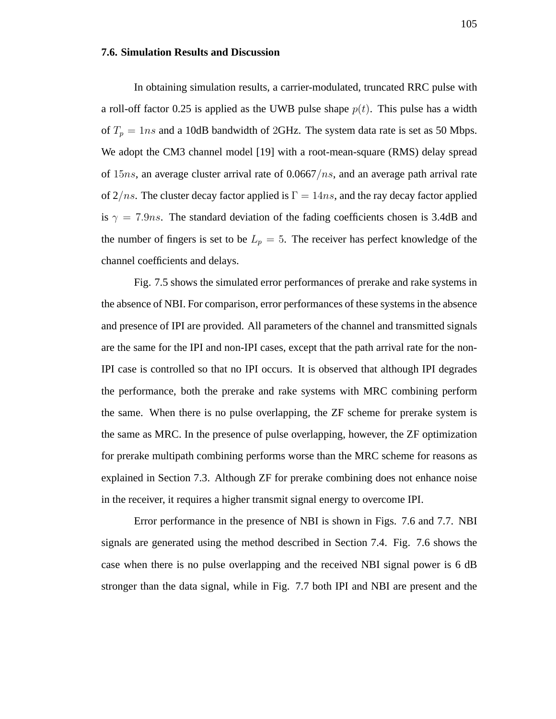#### **7.6. Simulation Results and Discussion**

In obtaining simulation results, a carrier-modulated, truncated RRC pulse with a roll-off factor 0.25 is applied as the UWB pulse shape  $p(t)$ . This pulse has a width of  $T_p = 1ns$  and a 10dB bandwidth of 2GHz. The system data rate is set as 50 Mbps. We adopt the CM3 channel model [19] with a root-mean-square (RMS) delay spread of 15ns, an average cluster arrival rate of  $0.0667/ns$ , and an average path arrival rate of  $2/ns$ . The cluster decay factor applied is  $\Gamma = 14ns$ , and the ray decay factor applied is  $\gamma = 7.9ns$ . The standard deviation of the fading coefficients chosen is 3.4dB and the number of fingers is set to be  $L_p = 5$ . The receiver has perfect knowledge of the channel coefficients and delays.

Fig. 7.5 shows the simulated error performances of prerake and rake systems in the absence of NBI. For comparison, error performances of these systems in the absence and presence of IPI are provided. All parameters of the channel and transmitted signals are the same for the IPI and non-IPI cases, except that the path arrival rate for the non-IPI case is controlled so that no IPI occurs. It is observed that although IPI degrades the performance, both the prerake and rake systems with MRC combining perform the same. When there is no pulse overlapping, the ZF scheme for prerake system is the same as MRC. In the presence of pulse overlapping, however, the ZF optimization for prerake multipath combining performs worse than the MRC scheme for reasons as explained in Section 7.3. Although ZF for prerake combining does not enhance noise in the receiver, it requires a higher transmit signal energy to overcome IPI.

Error performance in the presence of NBI is shown in Figs. 7.6 and 7.7. NBI signals are generated using the method described in Section 7.4. Fig. 7.6 shows the case when there is no pulse overlapping and the received NBI signal power is 6 dB stronger than the data signal, while in Fig. 7.7 both IPI and NBI are present and the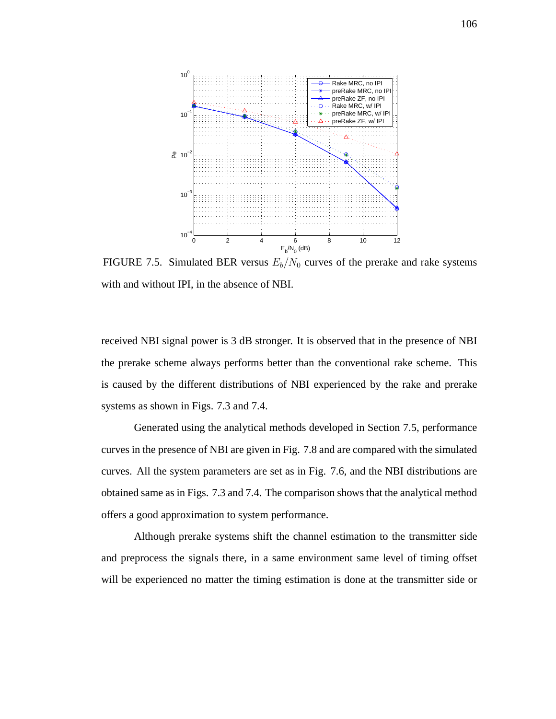

FIGURE 7.5. Simulated BER versus  $E_b/N_0$  curves of the prerake and rake systems with and without IPI, in the absence of NBI.

received NBI signal power is 3 dB stronger. It is observed that in the presence of NBI the prerake scheme always performs better than the conventional rake scheme. This is caused by the different distributions of NBI experienced by the rake and prerake systems as shown in Figs. 7.3 and 7.4.

Generated using the analytical methods developed in Section 7.5, performance curves in the presence of NBI are given in Fig. 7.8 and are compared with the simulated curves. All the system parameters are set as in Fig. 7.6, and the NBI distributions are obtained same as in Figs. 7.3 and 7.4. The comparison shows that the analytical method offers a good approximation to system performance.

Although prerake systems shift the channel estimation to the transmitter side and preprocess the signals there, in a same environment same level of timing offset will be experienced no matter the timing estimation is done at the transmitter side or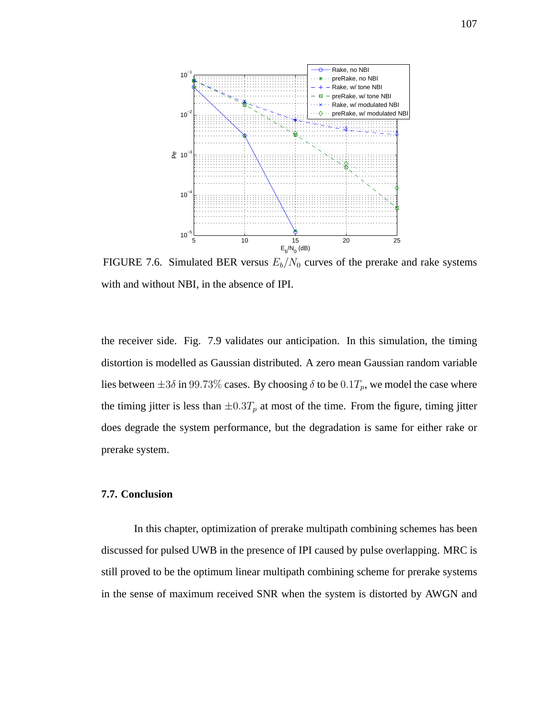

FIGURE 7.6. Simulated BER versus  $E_b/N_0$  curves of the prerake and rake systems with and without NBI, in the absence of IPI.

the receiver side. Fig. 7.9 validates our anticipation. In this simulation, the timing distortion is modelled as Gaussian distributed. A zero mean Gaussian random variable lies between  $\pm 3\delta$  in 99.73% cases. By choosing  $\delta$  to be  $0.1T_p$ , we model the case where the timing jitter is less than  $\pm 0.3T_p$  at most of the time. From the figure, timing jitter does degrade the system performance, but the degradation is same for either rake or prerake system.

# **7.7. Conclusion**

In this chapter, optimization of prerake multipath combining schemes has been discussed for pulsed UWB in the presence of IPI caused by pulse overlapping. MRC is still proved to be the optimum linear multipath combining scheme for prerake systems in the sense of maximum received SNR when the system is distorted by AWGN and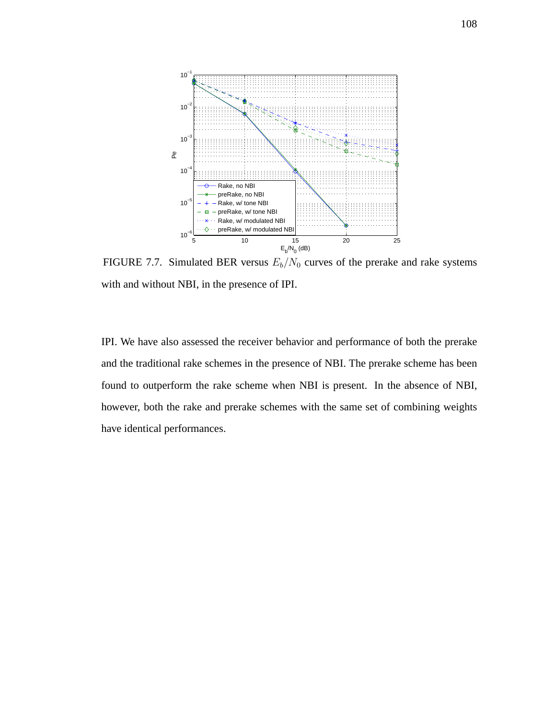

FIGURE 7.7. Simulated BER versus  $E_b/N_0$  curves of the prerake and rake systems with and without NBI, in the presence of IPI.

IPI. We have also assessed the receiver behavior and performance of both the prerake and the traditional rake schemes in the presence of NBI. The prerake scheme has been found to outperform the rake scheme when NBI is present. In the absence of NBI, however, both the rake and prerake schemes with the same set of combining weights have identical performances.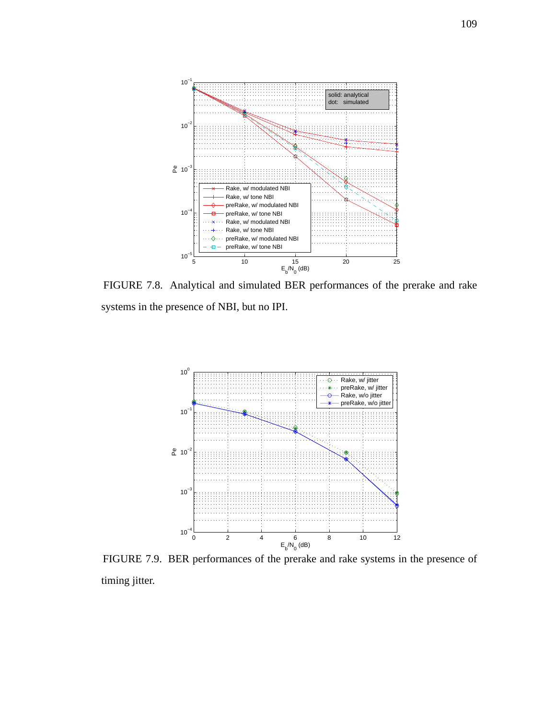

FIGURE 7.8. Analytical and simulated BER performances of the prerake and rake systems in the presence of NBI, but no IPI.



FIGURE 7.9. BER performances of the prerake and rake systems in the presence of timing jitter.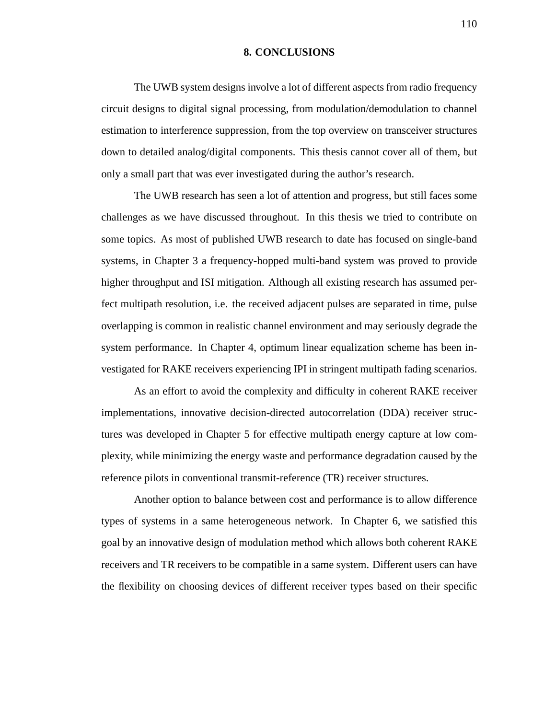## **8. CONCLUSIONS**

The UWB system designs involve a lot of different aspects from radio frequency circuit designs to digital signal processing, from modulation/demodulation to channel estimation to interference suppression, from the top overview on transceiver structures down to detailed analog/digital components. This thesis cannot cover all of them, but only a small part that was ever investigated during the author's research.

The UWB research has seen a lot of attention and progress, but still faces some challenges as we have discussed throughout. In this thesis we tried to contribute on some topics. As most of published UWB research to date has focused on single-band systems, in Chapter 3 a frequency-hopped multi-band system was proved to provide higher throughput and ISI mitigation. Although all existing research has assumed perfect multipath resolution, i.e. the received adjacent pulses are separated in time, pulse overlapping is common in realistic channel environment and may seriously degrade the system performance. In Chapter 4, optimum linear equalization scheme has been investigated for RAKE receivers experiencing IPI in stringent multipath fading scenarios.

As an effort to avoid the complexity and difficulty in coherent RAKE receiver implementations, innovative decision-directed autocorrelation (DDA) receiver structures was developed in Chapter 5 for effective multipath energy capture at low complexity, while minimizing the energy waste and performance degradation caused by the reference pilots in conventional transmit-reference (TR) receiver structures.

Another option to balance between cost and performance is to allow difference types of systems in a same heterogeneous network. In Chapter 6, we satisfied this goal by an innovative design of modulation method which allows both coherent RAKE receivers and TR receivers to be compatible in a same system. Different users can have the flexibility on choosing devices of different receiver types based on their specific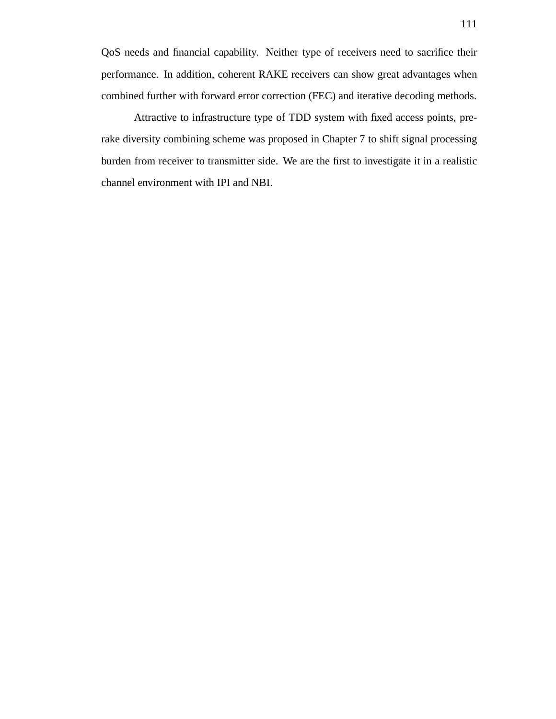QoS needs and financial capability. Neither type of receivers need to sacrifice their performance. In addition, coherent RAKE receivers can show great advantages when combined further with forward error correction (FEC) and iterative decoding methods.

Attractive to infrastructure type of TDD system with fixed access points, prerake diversity combining scheme was proposed in Chapter 7 to shift signal processing burden from receiver to transmitter side. We are the first to investigate it in a realistic channel environment with IPI and NBI.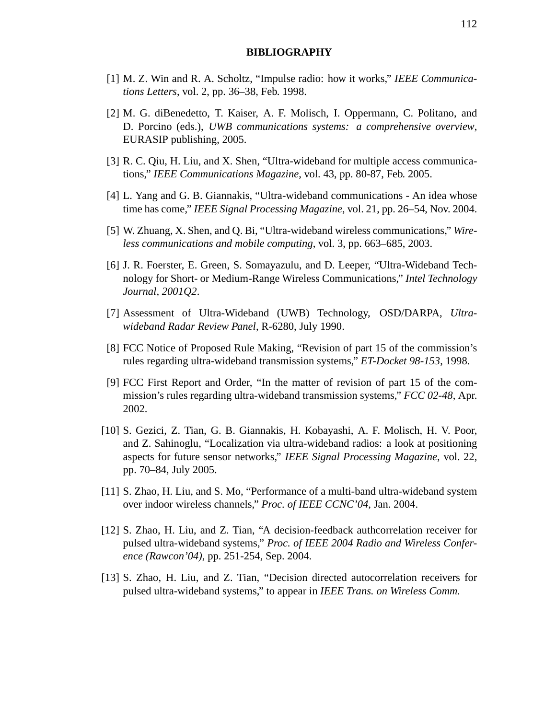## **BIBLIOGRAPHY**

- [1] M. Z. Win and R. A. Scholtz, "Impulse radio: how it works," *IEEE Communications Letters*, vol. 2, pp. 36–38, Feb. 1998.
- [2] M. G. diBenedetto, T. Kaiser, A. F. Molisch, I. Oppermann, C. Politano, and D. Porcino (eds.), *UWB communications systems: a comprehensive overview*, EURASIP publishing, 2005.
- [3] R. C. Qiu, H. Liu, and X. Shen, "Ultra-wideband for multiple access communications," *IEEE Communications Magazine*, vol. 43, pp. 80-87, Feb. 2005.
- [4] L. Yang and G. B. Giannakis, "Ultra-wideband communications An idea whose time has come," *IEEE Signal Processing Magazine*, vol. 21, pp. 26–54, Nov. 2004.
- [5] W. Zhuang, X. Shen, and Q. Bi, "Ultra-wideband wireless communications," *Wireless communications and mobile computing*, vol. 3, pp. 663–685, 2003.
- [6] J. R. Foerster, E. Green, S. Somayazulu, and D. Leeper, "Ultra-Wideband Technology for Short- or Medium-Range Wireless Communications," *Intel Technology Journal, 2001Q2*.
- [7] Assessment of Ultra-Wideband (UWB) Technology, OSD/DARPA, *Ultrawideband Radar Review Panel*, R-6280, July 1990.
- [8] FCC Notice of Proposed Rule Making, "Revision of part 15 of the commission's rules regarding ultra-wideband transmission systems," *ET-Docket 98-153*, 1998.
- [9] FCC First Report and Order, "In the matter of revision of part 15 of the commission's rules regarding ultra-wideband transmission systems," *FCC 02-48*, Apr. 2002.
- [10] S. Gezici, Z. Tian, G. B. Giannakis, H. Kobayashi, A. F. Molisch, H. V. Poor, and Z. Sahinoglu, "Localization via ultra-wideband radios: a look at positioning aspects for future sensor networks," *IEEE Signal Processing Magazine*, vol. 22, pp. 70–84, July 2005.
- [11] S. Zhao, H. Liu, and S. Mo, "Performance of a multi-band ultra-wideband system over indoor wireless channels," *Proc. of IEEE CCNC'04*, Jan. 2004.
- [12] S. Zhao, H. Liu, and Z. Tian, "A decision-feedback authcorrelation receiver for pulsed ultra-wideband systems," *Proc. of IEEE 2004 Radio and Wireless Conference (Rawcon'04)*, pp. 251-254, Sep. 2004.
- [13] S. Zhao, H. Liu, and Z. Tian, "Decision directed autocorrelation receivers for pulsed ultra-wideband systems," to appear in *IEEE Trans. on Wireless Comm.*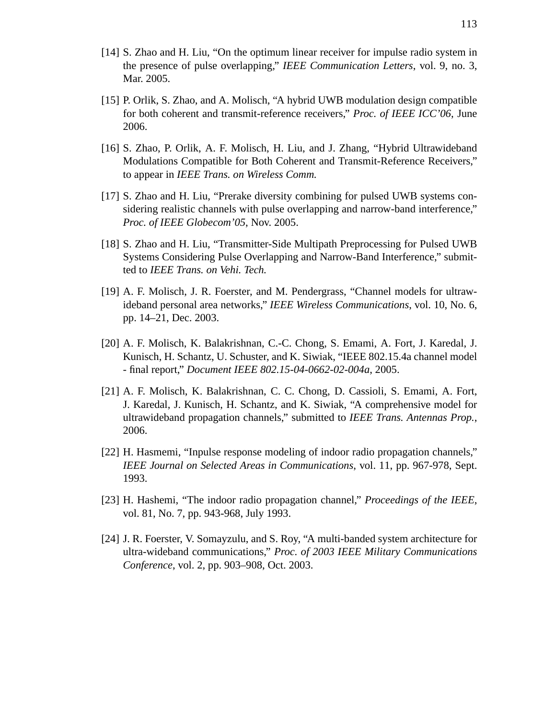- [14] S. Zhao and H. Liu, "On the optimum linear receiver for impulse radio system in the presence of pulse overlapping," *IEEE Communication Letters*, vol. 9, no. 3, Mar. 2005.
- [15] P. Orlik, S. Zhao, and A. Molisch, "A hybrid UWB modulation design compatible for both coherent and transmit-reference receivers," *Proc. of IEEE ICC'06*, June 2006.
- [16] S. Zhao, P. Orlik, A. F. Molisch, H. Liu, and J. Zhang, "Hybrid Ultrawideband Modulations Compatible for Both Coherent and Transmit-Reference Receivers," to appear in *IEEE Trans. on Wireless Comm.*
- [17] S. Zhao and H. Liu, "Prerake diversity combining for pulsed UWB systems considering realistic channels with pulse overlapping and narrow-band interference," *Proc. of IEEE Globecom'05*, Nov. 2005.
- [18] S. Zhao and H. Liu, "Transmitter-Side Multipath Preprocessing for Pulsed UWB Systems Considering Pulse Overlapping and Narrow-Band Interference," submitted to *IEEE Trans. on Vehi. Tech.*
- [19] A. F. Molisch, J. R. Foerster, and M. Pendergrass, "Channel models for ultrawideband personal area networks," *IEEE Wireless Communications*, vol. 10, No. 6, pp. 14–21, Dec. 2003.
- [20] A. F. Molisch, K. Balakrishnan, C.-C. Chong, S. Emami, A. Fort, J. Karedal, J. Kunisch, H. Schantz, U. Schuster, and K. Siwiak, "IEEE 802.15.4a channel model - final report," *Document IEEE 802.15-04-0662-02-004a*, 2005.
- [21] A. F. Molisch, K. Balakrishnan, C. C. Chong, D. Cassioli, S. Emami, A. Fort, J. Karedal, J. Kunisch, H. Schantz, and K. Siwiak, "A comprehensive model for ultrawideband propagation channels," submitted to *IEEE Trans. Antennas Prop.*, 2006.
- [22] H. Hasmemi, "Inpulse response modeling of indoor radio propagation channels," *IEEE Journal on Selected Areas in Communications*, vol. 11, pp. 967-978, Sept. 1993.
- [23] H. Hashemi, "The indoor radio propagation channel," *Proceedings of the IEEE*, vol. 81, No. 7, pp. 943-968, July 1993.
- [24] J. R. Foerster, V. Somayzulu, and S. Roy, "A multi-banded system architecture for ultra-wideband communications," *Proc. of 2003 IEEE Military Communications Conference*, vol. 2, pp. 903–908, Oct. 2003.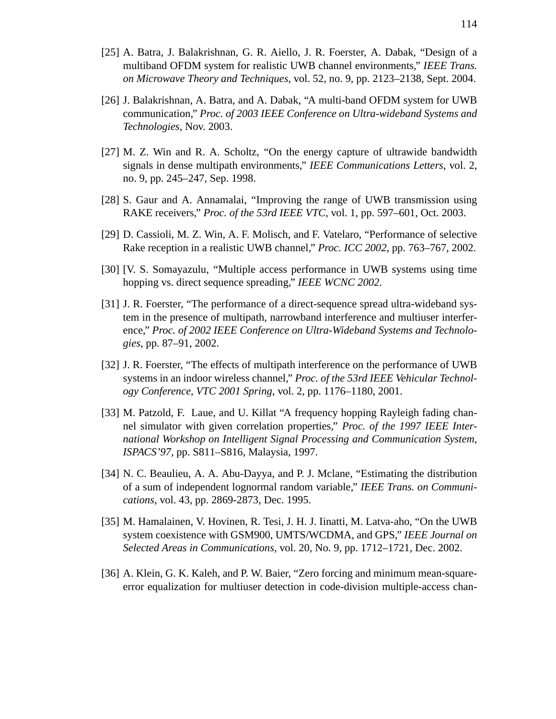- [25] A. Batra, J. Balakrishnan, G. R. Aiello, J. R. Foerster, A. Dabak, "Design of a multiband OFDM system for realistic UWB channel environments," *IEEE Trans. on Microwave Theory and Techniques*, vol. 52, no. 9, pp. 2123–2138, Sept. 2004.
- [26] J. Balakrishnan, A. Batra, and A. Dabak, "A multi-band OFDM system for UWB communication," *Proc. of 2003 IEEE Conference on Ultra-wideband Systems and Technologies*, Nov. 2003.
- [27] M. Z. Win and R. A. Scholtz, "On the energy capture of ultrawide bandwidth signals in dense multipath environments," *IEEE Communications Letters*, vol. 2, no. 9, pp. 245–247, Sep. 1998.
- [28] S. Gaur and A. Annamalai, "Improving the range of UWB transmission using RAKE receivers," *Proc. of the 53rd IEEE VTC*, vol. 1, pp. 597–601, Oct. 2003.
- [29] D. Cassioli, M. Z. Win, A. F. Molisch, and F. Vatelaro, "Performance of selective Rake reception in a realistic UWB channel," *Proc. ICC 2002*, pp. 763–767, 2002.
- [30] [V. S. Somayazulu, "Multiple access performance in UWB systems using time hopping vs. direct sequence spreading," *IEEE WCNC 2002*.
- [31] J. R. Foerster, "The performance of a direct-sequence spread ultra-wideband system in the presence of multipath, narrowband interference and multiuser interference," *Proc. of 2002 IEEE Conference on Ultra-Wideband Systems and Technologies*, pp. 87–91, 2002.
- [32] J. R. Foerster, "The effects of multipath interference on the performance of UWB systems in an indoor wireless channel," *Proc. of the 53rd IEEE Vehicular Technology Conference, VTC 2001 Spring*, vol. 2, pp. 1176–1180, 2001.
- [33] M. Patzold, F. Laue, and U. Killat "A frequency hopping Rayleigh fading channel simulator with given correlation properties," *Proc. of the 1997 IEEE International Workshop on Intelligent Signal Processing and Communication System, ISPACS'97*, pp. S811–S816, Malaysia, 1997.
- [34] N. C. Beaulieu, A. A. Abu-Dayya, and P. J. Mclane, "Estimating the distribution of a sum of independent lognormal random variable," *IEEE Trans. on Communications*, vol. 43, pp. 2869-2873, Dec. 1995.
- [35] M. Hamalainen, V. Hovinen, R. Tesi, J. H. J. Iinatti, M. Latva-aho, "On the UWB system coexistence with GSM900, UMTS/WCDMA, and GPS," *IEEE Journal on Selected Areas in Communications*, vol. 20, No. 9, pp. 1712–1721, Dec. 2002.
- [36] A. Klein, G. K. Kaleh, and P. W. Baier, "Zero forcing and minimum mean-squareerror equalization for multiuser detection in code-division multiple-access chan-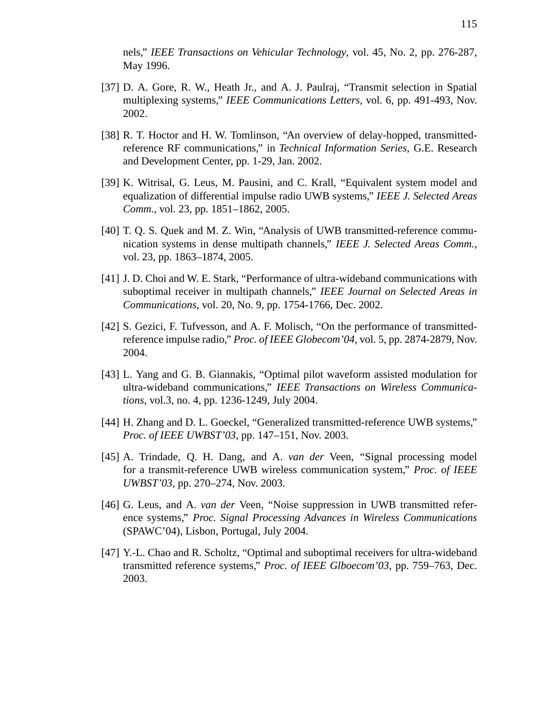nels," *IEEE Transactions on Vehicular Technology*, vol. 45, No. 2, pp. 276-287, May 1996.

- [37] D. A. Gore, R. W., Heath Jr., and A. J. Paulraj, "Transmit selection in Spatial multiplexing systems," *IEEE Communications Letters*, vol. 6, pp. 491-493, Nov. 2002.
- [38] R. T. Hoctor and H. W. Tomlinson, "An overview of delay-hopped, transmittedreference RF communications," in *Technical Information Series*, G.E. Research and Development Center, pp. 1-29, Jan. 2002.
- [39] K. Witrisal, G. Leus, M. Pausini, and C. Krall, "Equivalent system model and equalization of differential impulse radio UWB systems," *IEEE J. Selected Areas Comm.*, vol. 23, pp. 1851–1862, 2005.
- [40] T. Q. S. Quek and M. Z. Win, "Analysis of UWB transmitted-reference communication systems in dense multipath channels," *IEEE J. Selected Areas Comm.*, vol. 23, pp. 1863–1874, 2005.
- [41] J. D. Choi and W. E. Stark, "Performance of ultra-wideband communications with suboptimal receiver in multipath channels," *IEEE Journal on Selected Areas in Communications*, vol. 20, No. 9, pp. 1754-1766, Dec. 2002.
- [42] S. Gezici, F. Tufvesson, and A. F. Molisch, "On the performance of transmittedreference impulse radio," *Proc. of IEEE Globecom'04*, vol. 5, pp. 2874-2879, Nov. 2004.
- [43] L. Yang and G. B. Giannakis, "Optimal pilot waveform assisted modulation for ultra-wideband communications," *IEEE Transactions on Wireless Communications*, vol.3, no. 4, pp. 1236-1249, July 2004.
- [44] H. Zhang and D. L. Goeckel, "Generalized transmitted-reference UWB systems," *Proc. of IEEE UWBST'03*, pp. 147–151, Nov. 2003.
- [45] A. Trindade, Q. H. Dang, and A. *van der* Veen, "Signal processing model for a transmit-reference UWB wireless communication system," *Proc. of IEEE UWBST'03*, pp. 270–274, Nov. 2003.
- [46] G. Leus, and A. *van der* Veen, "Noise suppression in UWB transmitted reference systems," *Proc. Signal Processing Advances in Wireless Communications* (SPAWC'04), Lisbon, Portugal, July 2004.
- [47] Y.-L. Chao and R. Scholtz, "Optimal and suboptimal receivers for ultra-wideband transmitted reference systems," *Proc. of IEEE Glboecom'03*, pp. 759–763, Dec. 2003.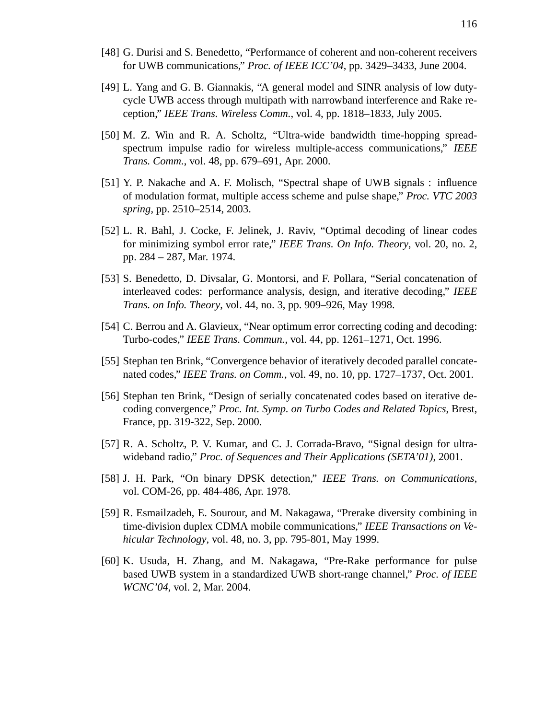- [48] G. Durisi and S. Benedetto, "Performance of coherent and non-coherent receivers for UWB communications," *Proc. of IEEE ICC'04*, pp. 3429–3433, June 2004.
- [49] L. Yang and G. B. Giannakis, "A general model and SINR analysis of low dutycycle UWB access through multipath with narrowband interference and Rake reception," *IEEE Trans. Wireless Comm.*, vol. 4, pp. 1818–1833, July 2005.
- [50] M. Z. Win and R. A. Scholtz, "Ultra-wide bandwidth time-hopping spreadspectrum impulse radio for wireless multiple-access communications," *IEEE Trans. Comm.*, vol. 48, pp. 679–691, Apr. 2000.
- [51] Y. P. Nakache and A. F. Molisch, "Spectral shape of UWB signals : influence of modulation format, multiple access scheme and pulse shape," *Proc. VTC 2003 spring*, pp. 2510–2514, 2003.
- [52] L. R. Bahl, J. Cocke, F. Jelinek, J. Raviv, "Optimal decoding of linear codes for minimizing symbol error rate," *IEEE Trans. On Info. Theory*, vol. 20, no. 2, pp. 284 – 287, Mar. 1974.
- [53] S. Benedetto, D. Divsalar, G. Montorsi, and F. Pollara, "Serial concatenation of interleaved codes: performance analysis, design, and iterative decoding," *IEEE Trans. on Info. Theory*, vol. 44, no. 3, pp. 909–926, May 1998.
- [54] C. Berrou and A. Glavieux, "Near optimum error correcting coding and decoding: Turbo-codes," *IEEE Trans. Commun.*, vol. 44, pp. 1261–1271, Oct. 1996.
- [55] Stephan ten Brink, "Convergence behavior of iteratively decoded parallel concatenated codes," *IEEE Trans. on Comm.*, vol. 49, no. 10, pp. 1727–1737, Oct. 2001.
- [56] Stephan ten Brink, "Design of serially concatenated codes based on iterative decoding convergence," *Proc. Int. Symp. on Turbo Codes and Related Topics*, Brest, France, pp. 319-322, Sep. 2000.
- [57] R. A. Scholtz, P. V. Kumar, and C. J. Corrada-Bravo, "Signal design for ultrawideband radio," *Proc. of Sequences and Their Applications (SETA'01)*, 2001.
- [58] J. H. Park, "On binary DPSK detection," *IEEE Trans. on Communications*, vol. COM-26, pp. 484-486, Apr. 1978.
- [59] R. Esmailzadeh, E. Sourour, and M. Nakagawa, "Prerake diversity combining in time-division duplex CDMA mobile communications," *IEEE Transactions on Vehicular Technology*, vol. 48, no. 3, pp. 795-801, May 1999.
- [60] K. Usuda, H. Zhang, and M. Nakagawa, "Pre-Rake performance for pulse based UWB system in a standardized UWB short-range channel," *Proc. of IEEE WCNC'04*, vol. 2, Mar. 2004.